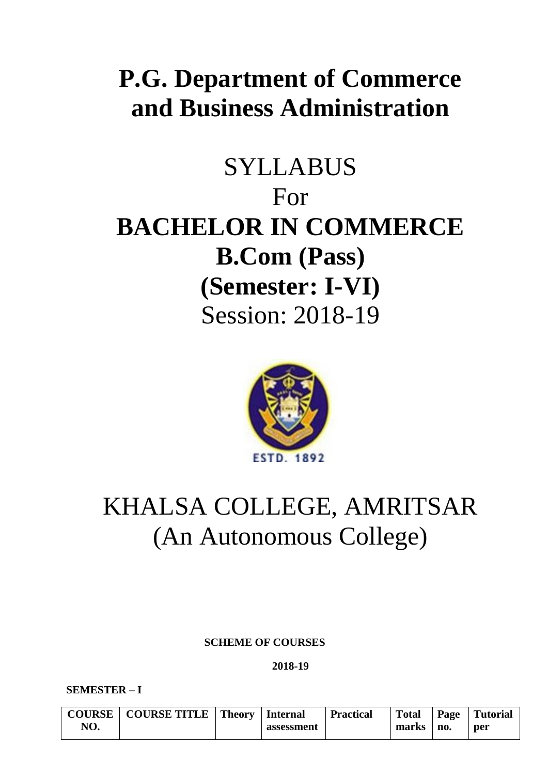# **P.G. Department of Commerce and Business Administration**

# SYLLABUS For **BACHELOR IN COMMERCE B.Com (Pass) (Semester: I-VI)** Session: 2018-19



# KHALSA COLLEGE, AMRITSAR (An Autonomous College)

 **SCHEME OF COURSES**

**2018-19**

**SEMESTER – I**

|     | COURSE   COURSE TITLE   Theory | <b>Internal</b> | <b>Practical</b> | <b>Total</b> |     | Page   Tutorial |
|-----|--------------------------------|-----------------|------------------|--------------|-----|-----------------|
| NO. |                                | assessment      |                  | marks        | no. | per             |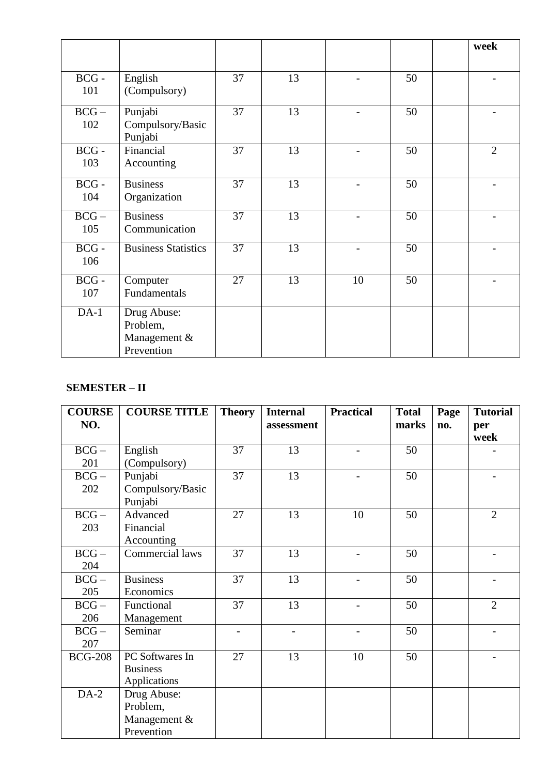|                |                                                       |    |    |    |    | week           |
|----------------|-------------------------------------------------------|----|----|----|----|----------------|
|                |                                                       |    |    |    |    |                |
| $BCG -$<br>101 | English<br>(Compulsory)                               | 37 | 13 |    | 50 |                |
| $BCG -$<br>102 | Punjabi<br>Compulsory/Basic<br>Punjabi                | 37 | 13 |    | 50 |                |
| $BCG -$<br>103 | Financial<br>Accounting                               | 37 | 13 |    | 50 | $\overline{2}$ |
| $BCG -$<br>104 | <b>Business</b><br>Organization                       | 37 | 13 |    | 50 |                |
| $BCG -$<br>105 | <b>Business</b><br>Communication                      | 37 | 13 |    | 50 |                |
| $BCG -$<br>106 | <b>Business Statistics</b>                            | 37 | 13 |    | 50 |                |
| $BCG -$<br>107 | Computer<br>Fundamentals                              | 27 | 13 | 10 | 50 |                |
| $DA-1$         | Drug Abuse:<br>Problem,<br>Management &<br>Prevention |    |    |    |    |                |

# **SEMESTER – II**

| <b>COURSE</b><br>NO. | <b>COURSE TITLE</b>                                   | <b>Theory</b>            | <b>Internal</b><br>assessment | <b>Practical</b> | <b>Total</b><br>marks | Page<br>no. | <b>Tutorial</b> |
|----------------------|-------------------------------------------------------|--------------------------|-------------------------------|------------------|-----------------------|-------------|-----------------|
|                      |                                                       |                          |                               |                  |                       |             | per<br>week     |
| $BCG -$<br>201       | English<br>(Compulsory)                               | 37                       | 13                            |                  | 50                    |             |                 |
| $BCG -$<br>202       | Punjabi<br>Compulsory/Basic<br>Punjabi                | 37                       | 13                            |                  | 50                    |             |                 |
| $BCG -$<br>203       | Advanced<br>Financial<br>Accounting                   | 27                       | 13                            | 10               | 50                    |             | $\overline{2}$  |
| $BCG -$<br>204       | Commercial laws                                       | 37                       | 13                            |                  | 50                    |             |                 |
| $BCG -$<br>205       | <b>Business</b><br>Economics                          | 37                       | 13                            |                  | 50                    |             |                 |
| $BCG -$<br>206       | Functional<br>Management                              | 37                       | 13                            |                  | 50                    |             | $\overline{2}$  |
| $BCG -$<br>207       | Seminar                                               | $\overline{\phantom{0}}$ |                               |                  | 50                    |             |                 |
| <b>BCG-208</b>       | PC Softwares In<br><b>Business</b><br>Applications    | 27                       | 13                            | 10               | 50                    |             |                 |
| $DA-2$               | Drug Abuse:<br>Problem,<br>Management &<br>Prevention |                          |                               |                  |                       |             |                 |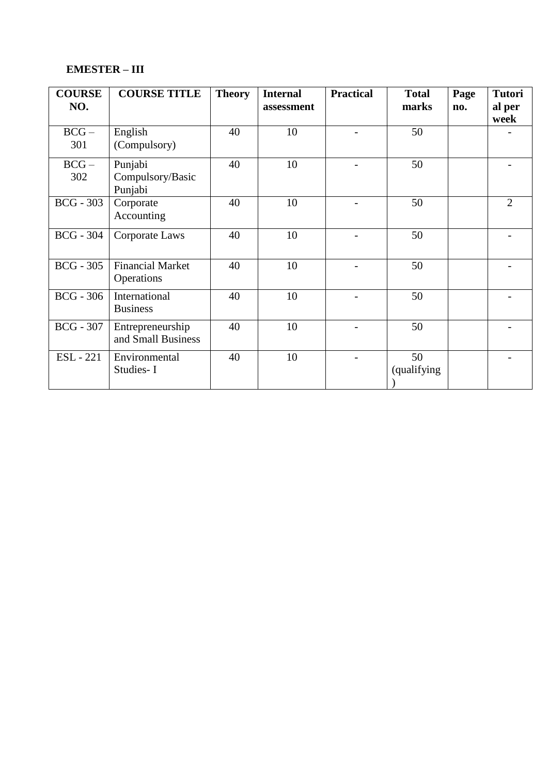# **EMESTER – III**

| <b>COURSE</b>    | <b>COURSE TITLE</b>     | <b>Theory</b> | <b>Internal</b> | <b>Practical</b> | <b>Total</b> | Page | <b>Tutori</b>  |
|------------------|-------------------------|---------------|-----------------|------------------|--------------|------|----------------|
| NO.              |                         |               | assessment      |                  | marks        | no.  | al per         |
|                  |                         |               |                 |                  |              |      | week           |
| $BCG -$          | English                 | 40            | 10              |                  | 50           |      |                |
| 301              | (Compulsory)            |               |                 |                  |              |      |                |
| $BCG -$          | Punjabi                 | 40            | 10              |                  | 50           |      |                |
| 302              | Compulsory/Basic        |               |                 |                  |              |      |                |
|                  | Punjabi                 |               |                 |                  |              |      |                |
| $BCG - 303$      | Corporate               | 40            | 10              |                  | 50           |      | $\overline{2}$ |
|                  | Accounting              |               |                 |                  |              |      |                |
| <b>BCG</b> - 304 | Corporate Laws          | 40            | 10              |                  | 50           |      |                |
|                  |                         |               |                 |                  |              |      |                |
| $BCG - 305$      | <b>Financial Market</b> | 40            | 10              |                  | 50           |      |                |
|                  | Operations              |               |                 |                  |              |      |                |
| $BCG - 306$      | International           | 40            | 10              |                  | 50           |      |                |
|                  | <b>Business</b>         |               |                 |                  |              |      |                |
| <b>BCG</b> - 307 | Entrepreneurship        | 40            | 10              |                  | 50           |      |                |
|                  | and Small Business      |               |                 |                  |              |      |                |
| <b>ESL</b> - 221 | Environmental           | 40            | 10              |                  | 50           |      |                |
|                  | Studies-I               |               |                 |                  | (qualifying) |      |                |
|                  |                         |               |                 |                  |              |      |                |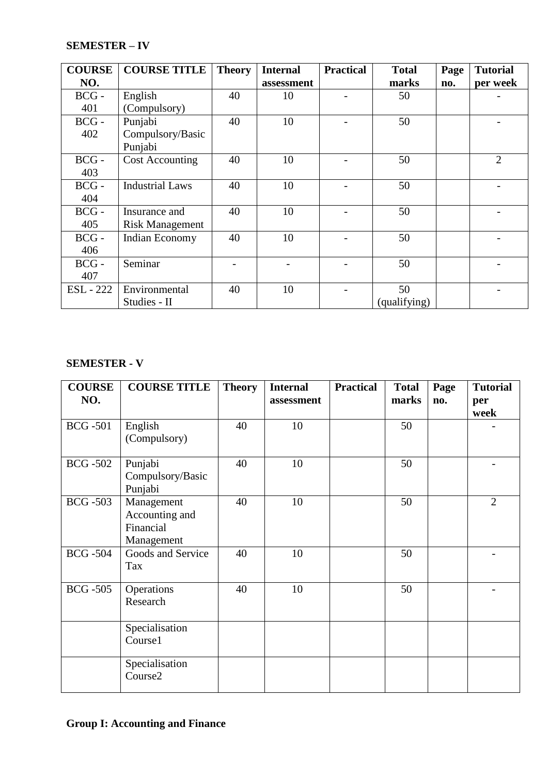# **SEMESTER – IV**

| <b>COURSE</b> | <b>COURSE TITLE</b>    | <b>Theory</b> | <b>Internal</b> | <b>Practical</b> | <b>Total</b> | Page | <b>Tutorial</b> |
|---------------|------------------------|---------------|-----------------|------------------|--------------|------|-----------------|
| NO.           |                        |               | assessment      |                  | marks        | no.  | per week        |
| $BCG -$       | English                | 40            | 10              |                  | 50           |      |                 |
| 401           | (Compulsory)           |               |                 |                  |              |      |                 |
| $BCG -$       | Punjabi                | 40            | 10              |                  | 50           |      |                 |
| 402           | Compulsory/Basic       |               |                 |                  |              |      |                 |
|               | Punjabi                |               |                 |                  |              |      |                 |
| $BCG -$       | <b>Cost Accounting</b> | 40            | 10              |                  | 50           |      | $\overline{2}$  |
| 403           |                        |               |                 |                  |              |      |                 |
| $BCG -$       | <b>Industrial Laws</b> | 40            | 10              |                  | 50           |      |                 |
| 404           |                        |               |                 |                  |              |      |                 |
| $BCG -$       | Insurance and          | 40            | 10              |                  | 50           |      |                 |
| 405           | <b>Risk Management</b> |               |                 |                  |              |      |                 |
| $BCG -$       | Indian Economy         | 40            | 10              |                  | 50           |      |                 |
| 406           |                        |               |                 |                  |              |      |                 |
| $BCG -$       | Seminar                |               |                 |                  | 50           |      |                 |
| 407           |                        |               |                 |                  |              |      |                 |
| ESL - 222     | Environmental          | 40            | 10              |                  | 50           |      |                 |
|               | Studies - II           |               |                 |                  | (qualifying) |      |                 |

# **SEMESTER - V**

| <b>COURSE</b>   | <b>COURSE TITLE</b>                                     | <b>Theory</b> | <b>Internal</b> | <b>Practical</b> | <b>Total</b> | Page | <b>Tutorial</b> |
|-----------------|---------------------------------------------------------|---------------|-----------------|------------------|--------------|------|-----------------|
| NO.             |                                                         |               | assessment      |                  | marks        | no.  | per<br>week     |
| <b>BCG</b> -501 | English<br>(Compulsory)                                 | 40            | 10              |                  | 50           |      |                 |
| <b>BCG -502</b> | Punjabi<br>Compulsory/Basic<br>Punjabi                  | 40            | 10              |                  | 50           |      |                 |
| <b>BCG -503</b> | Management<br>Accounting and<br>Financial<br>Management | 40            | 10              |                  | 50           |      | $\overline{2}$  |
| <b>BCG -504</b> | Goods and Service<br>Tax                                | 40            | 10              |                  | 50           |      |                 |
| <b>BCG -505</b> | Operations<br>Research                                  | 40            | 10              |                  | 50           |      |                 |
|                 | Specialisation<br>Course1                               |               |                 |                  |              |      |                 |
|                 | Specialisation<br>Course2                               |               |                 |                  |              |      |                 |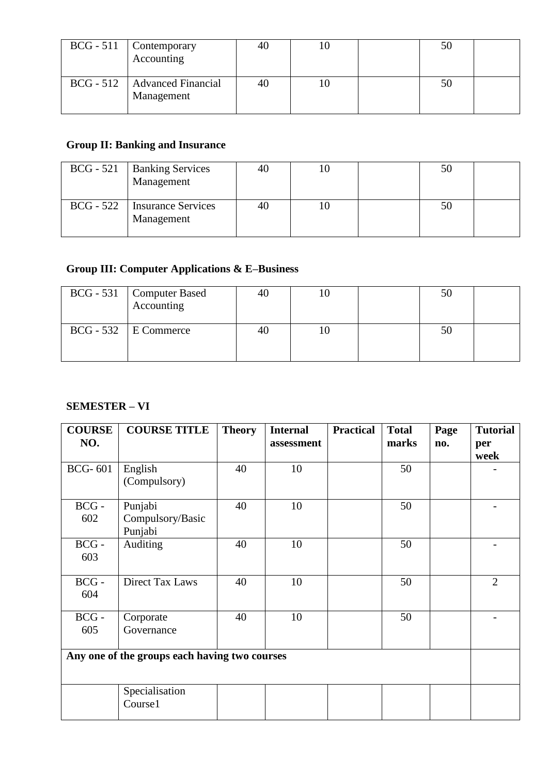| $BCG - 511$ Contemporary<br>Accounting       | 40 |  | 50 |  |
|----------------------------------------------|----|--|----|--|
| BCG - 512   Advanced Financial<br>Management | 40 |  | 50 |  |

# **Group II: Banking and Insurance**

| $BCG - 521$ | <b>Banking Services</b><br>Management        | 40 |  | 50 |  |
|-------------|----------------------------------------------|----|--|----|--|
|             | BCG - 522   Insurance Services<br>Management | 40 |  | 50 |  |

# **Group III: Computer Applications & E–Business**

| $\left[\begin{array}{cc} BCG - 531 \\ Acounting \end{array}\right]$ | 40 |  |  |
|---------------------------------------------------------------------|----|--|--|
| $BCG - 532$ E Commerce                                              | 40 |  |  |

# **SEMESTER – VI**

| <b>COURSE</b><br>NO. | <b>COURSE TITLE</b>                           | <b>Theory</b> | <b>Internal</b><br>assessment | <b>Practical</b> | <b>Total</b><br>marks | Page<br>no. | <b>Tutorial</b><br>per<br>week |
|----------------------|-----------------------------------------------|---------------|-------------------------------|------------------|-----------------------|-------------|--------------------------------|
| <b>BCG-601</b>       | English<br>(Compulsory)                       | 40            | 10                            |                  | 50                    |             |                                |
| $BCG -$<br>602       | Punjabi<br>Compulsory/Basic<br>Punjabi        | 40            | 10                            |                  | 50                    |             |                                |
| $BCG -$<br>603       | Auditing                                      | 40            | 10                            |                  | 50                    |             |                                |
| $BCG -$<br>604       | <b>Direct Tax Laws</b>                        | 40            | 10                            |                  | 50                    |             | $\overline{2}$                 |
| $BCG -$<br>605       | Corporate<br>Governance                       | 40            | 10                            |                  | 50                    |             |                                |
|                      | Any one of the groups each having two courses |               |                               |                  |                       |             |                                |
|                      | Specialisation<br>Course1                     |               |                               |                  |                       |             |                                |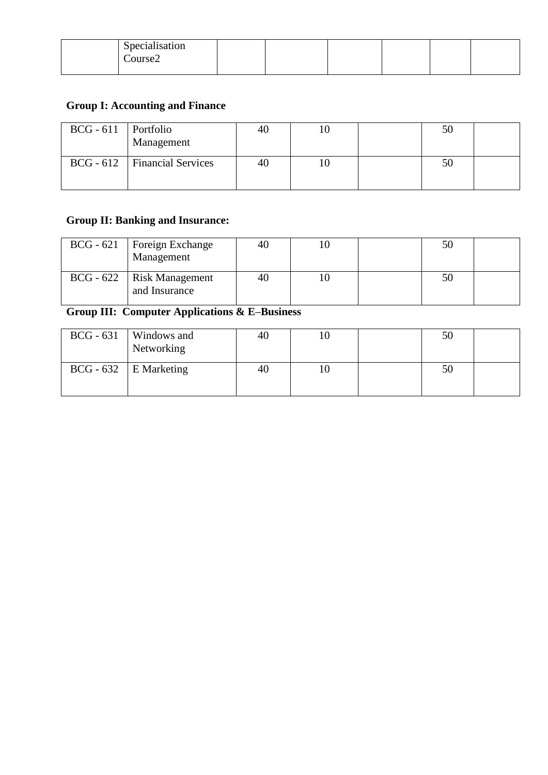| Specialisation |  |  |  |
|----------------|--|--|--|
|                |  |  |  |
| Course2        |  |  |  |
|                |  |  |  |
|                |  |  |  |

# **Group I: Accounting and Finance**

| $BCG - 611$ Portfolio | Management                     |  |  |  |
|-----------------------|--------------------------------|--|--|--|
|                       | BCG - 612   Financial Services |  |  |  |

# **Group II: Banking and Insurance:**

| $BCG - 621$   Foreign Exchange<br>Management   | 40 |  | 50 |  |
|------------------------------------------------|----|--|----|--|
| $BCG - 622$   Risk Management<br>and Insurance | 40 |  |    |  |

# **Group III: Computer Applications & E–Business**

| $BCG - 631$ Windows and<br>Networking | 40 |  | 50 |  |
|---------------------------------------|----|--|----|--|
| $BCG - 632$   E Marketing             | 40 |  | 50 |  |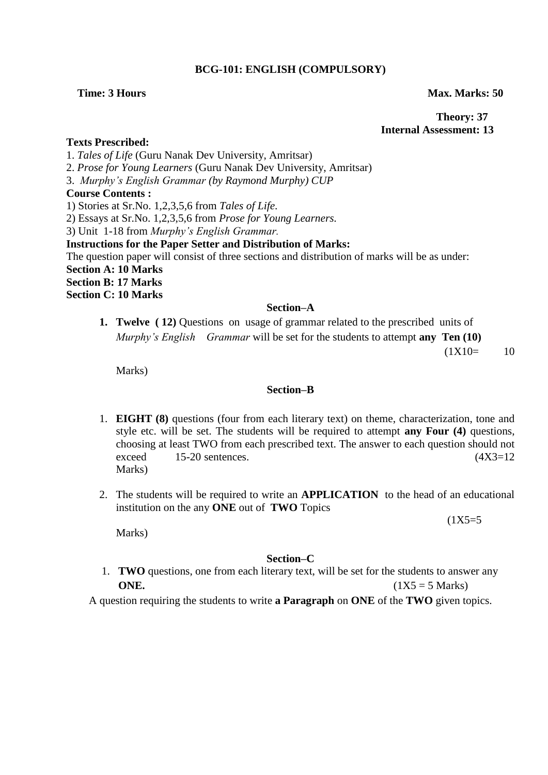# **BCG-101: ENGLISH (COMPULSORY)**

### **Time: 3 Hours Max. Marks: 50**

 **Theory: 37 Internal Assessment: 13**

# **Texts Prescribed:**

1. *Tales of Life* (Guru Nanak Dev University, Amritsar)

2. *Prose for Young Learners* (Guru Nanak Dev University, Amritsar)

3. *Murphy"s English Grammar (by Raymond Murphy) CUP*

## **Course Contents :**

1) Stories at Sr.No. 1,2,3,5,6 from *Tales of Life*.

2) Essays at Sr.No. 1,2,3,5,6 from *Prose for Young Learners.*

3) Unit 1-18 from *Murphy"s English Grammar.*

**Instructions for the Paper Setter and Distribution of Marks:**

The question paper will consist of three sections and distribution of marks will be as under: **Section A: 10 Marks Section B: 17 Marks Section C: 10 Marks**

# **Section–A**

**1. Twelve ( 12)** Questions on usage of grammar related to the prescribed units of *Murphy"s English Grammar* will be set for the students to attempt **any Ten (10)** 

 $(1X10= 10$ 

Marks)

# **Section–B**

- 1. **EIGHT (8)** questions (four from each literary text) on theme, characterization, tone and style etc. will be set. The students will be required to attempt **any Four (4)** questions, choosing at least TWO from each prescribed text. The answer to each question should not exceed  $15-20$  sentences.  $(4X3=12)$ Marks)
- 2. The students will be required to write an **APPLICATION** to the head of an educational institution on the any **ONE** out of **TWO** Topics

 $(1X5=5$ 

Marks)

### **Section–C**

1. **TWO** questions, one from each literary text, will be set for the students to answer any **ONE.**  $(1X5 = 5 \text{ Marks})$ 

A question requiring the students to write **a Paragraph** on **ONE** of the **TWO** given topics.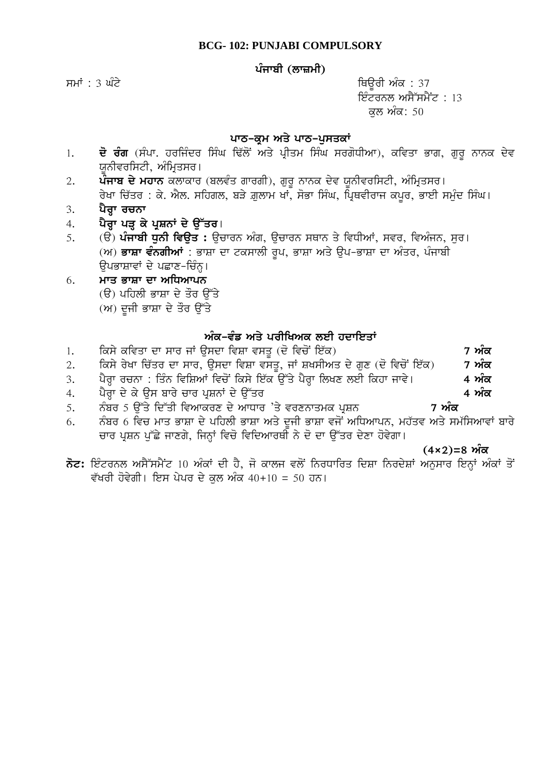# ਪੰਜਾਬੀ (ਲਾਜ਼ਮੀ)

ਸਮਾਂ : 3 ਘੰਟੇ ਵਿੱਚ ਸ਼ਾਹ ਕਰ ਤਿਆਰ ਦੀ ਸ਼ਾਹ ਕਰ ਤੇ ਬਾਰੇ ਬਾਰੇ ਬਾਹਰ ਦੀ ਸ਼ਾਹ ਕਰ ਤੇ ਸ਼ਾਹ ਕਰ ਤੇ ਸ਼ਾਹ ਕਰ ਤੇ ਸ਼ਾਹ ਕਰ ਤੇ ਸ ਇੰਟਰਨਲ ਅਸੈੱਸਮੈਂਟ :  $13$ ਕਲ ਅੰਕ: 50

# ਪਾਠ-ਕ੍ਰਮ ਅਤੇ ਪਾਠ-ਪੁਸਤਕਾਂ

- 1. **ਦੋ ਰੰਗ** (ਸੰਪਾ. ਹਰਜਿੰਦਰ ਸਿੰਘ ਢਿੱਲੋਂ ਅਤੇ ਪ੍ਰੀਤਮ ਸਿੰਘ ਸਰਗੋਧੀਆ), ਕਵਿਤਾ ਭਾਗ, ਗੁਰੂ ਨਾਨਕ ਦੇਵ ਯਨੀਵਰਸਿਟੀ, ਅੰਮਿਤਸਰ।
- 2. ਪੌੌਜਾਬ ਦੇ ਮਹਾਨ ਕਲਾਕਾਰ (ਬਲਵੰਤ ਗਾਰਗੀ), ਗੁਰੂ ਨਾਨਕ ਦੇਵ ਯੂਨੀਵਰਸਿਟੀ, ਅੰਮ੍ਰਿਤਸਰ। ਰੇਖਾ ਚਿੱਤਰ : ਕੇ. ਐਲ. ਸਹਿਗਲ, ਬੜੇ ਗ਼ਲਾਮ ਖਾਂ, ਸੋਭਾ ਸਿੰਘ, ਪ੍ਰਿਥਵੀਰਾਜ ਕਪਰ, ਭਾਈ ਸਮੁੰਦ ਸਿੰਘ।
- 3. ਪੈਰਾ ਰਚਨਾ
- 4. ਪੈਰਾ ਪੜ ਕੇ ਪੁਸ਼ਨਾਂ ਦੇ **ਉੱਤਰ**।
- 5. (ੳ) **ਪੰਜਾਬੀ ਧੁਨੀ ਵਿਊਤ :** ਉਚਾਰਨ ਅੰਗ, ਉਚਾਰਨ ਸਥਾਨ ਤੇ ਵਿਧੀਆਂ, ਸਵਰ, ਵਿਅੰਜਨ, ਸੁਰ। (ਅ) **ਭਾਸ਼ਾ ਵੰਨਗੀਆਂ** : ਭਾਸ਼ਾ ਦਾ ਟਕਸਾਲੀ ਰਪ, ਭਾਸ਼ਾ ਅਤੇ ੳਪ-ਭਾਸ਼ਾ ਦਾ ਅੰਤਰ, ਪੰਜਾਬੀ ਉਪਭਾਸ਼ਾਵਾਂ ਦੇ ਪਛਾਣ-ਚਿੰਨ੍ਹ।

# 6. **ਮਾਤ ਭਾਸ਼ਾ ਦਾ ਅਧਿਆਪਨ** (ੳ) ਪਹਿਲੀ ਭਾਸ਼ਾ ਦੇ ਤੌਰ ੳੱਤੇ  $(M)$  ਦੂਜੀ ਭਾਸ਼ਾ ਦੇ ਤੌਰ ਉੱਤੇ

# ਅੰਕ-ਵੰਡ ਅਤੇ ਪਰੀਖਿਅਕ ਲਈ ਹਦਾਇਤਾਂ

- 1. iksy kivqw dw swr jW ausdw ivSw vsqU (do ivcoN ie`k) **7 AMk**
- 2. ਕਿਸੇ ਰੇਖਾ ਚਿੱਤਰ ਦਾ ਸਾਰ, ਉਸਦਾ ਵਿਸ਼ਾ ਵਸਤੂ, ਜਾਂ ਸ਼ਖਸੀਅਤ ਦੇ ਗੁਣ (ਦੋ ਵਿਚੋਂ ਇੱਕ) **7 ਅੰਕ**
- 3. ਪੈਰਾ ਰਚਨਾ : ਤਿੰਨ ਵਿਸ਼ਿਆਂ ਵਿਚੋਂ ਕਿਸੇ ਇੱਕ ਉੱਤੇ ਪੈਰਾ ਲਿਖਣ ਲਈ ਕਿਹਾ ਜਾਵੇ। 4 **ਅੰਕ**
- 4. ਪੈਰਾ ਦੇ ਕੇ ਉਸ ਬਾਰੇ ਚਾਰ ਪੁਸ਼ਨਾਂ ਦੇ ਉੱਤਰ **ਵਿੱਚ ਕਰਨ ਵਿੱਚ ਕਿਹਾ ਕਿ ਅੰਕ**
- <u>5. ਨੰਬਰ 5 ਉੱਤੇ ਦਿੱਤੀ ਵਿਆਕਰਣ ਦੇ ਆਧਾਰ 'ਤੇ ਵਰਣਨਾਤਮਕ ਪੁਸ਼ਨ 7 **ਅੰਕ**</u>
- 6. ਨੰਬਰ 6 ਵਿਚ ਮਾਤ ਭਾਸ਼ਾ ਦੇ ਪਹਿਲੀ ਭਾਸ਼ਾ ਅਤੇ ਦੂਜੀ ਭਾਸ਼ਾ ਵਜੋਂ ਅਧਿਆਪਨ, ਮਹੱਤਵ ਅਤੇ ਸਮੱਸਿਆਵਾਂ ਬਾਰੇ ਚਾਰ ਪਸ਼ਨ ਪੱਛੇ ਜਾਣਗੇ, ਜਿਨਾਂ ਵਿਚੋ ਵਿਦਿਆਰਥੀ ਨੇ ਦੋ ਦਾ ਉੱਤਰ ਦੇਣਾ ਹੋਵੇਗਾ।

(4×2)=8 ਅੰਕ

 $\vec{\delta}$ ਟ: ਇੰਟਰਨਲ ਅਸੈੱਸਮੈਂਟ 10 ਅੰਕਾਂ ਦੀ ਹੈ, ਜੋ ਕਾਲਜ ਵਲੋਂ ਨਿਰਧਾਰਿਤ ਦਿਸ਼ਾ ਨਿਰਦੇਸ਼ਾਂ ਅਨੁਸਾਰ ਇਨ੍ਹਾਂ ਅੰਕਾਂ ਤੋਂ ਵੱਖਰੀ ਹੋਵੇਗੀ। ਇਸ ਪੇਪਰ ਦੇ ਕਲ ਅੰਕ 40+10 = 50 ਹਨ।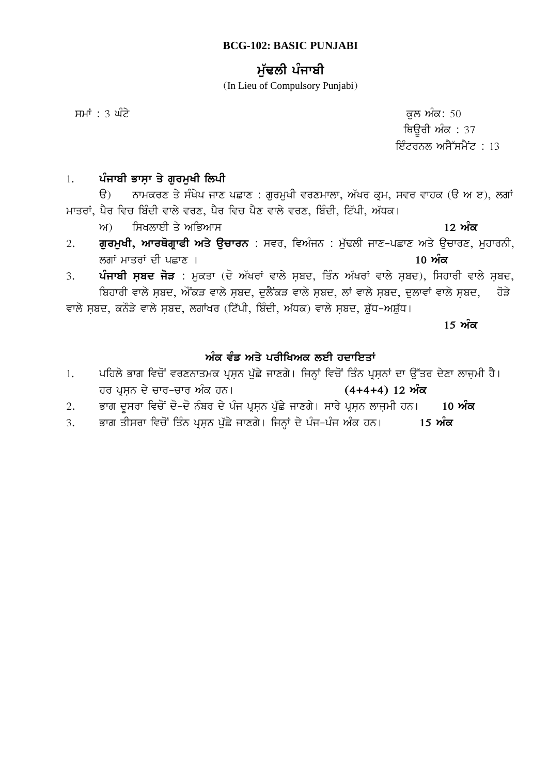# **BCG-102: BASIC PUNJABI**

# ਮੱਢਲੀ ਪੰਜਾਬੀ

(In Lieu of Compulsory Punjabi)

smW : 3 GMty kul AMk: 50 ਥਿਊਰੀ ਅੰਕ $: 37$ ਇੰਟਰਨਲ ਅਸੈੱਸਮੈਂਟ : 13

# 1. ਪੰਜਾਬੀ ਭਾਸਾ ਤੇ ਗਰਮਖੀ ਲਿਪੀ

 $\theta$ ) ਨਾਮਕਰਣ ਤੇ ਸੰਖੇਪ ਜਾਣ ਪਛਾਣ : ਗੁਰਮੁਖੀ ਵਰਣਮਾਲਾ, ਅੱਖਰ ਕੁਮ, ਸਵਰ ਵਾਹਕ (ੳ ਅ ੲ), ਲਗਾਂ <u>ਮਾਤਰਾਂ,</u> ਪੈਰ ਵਿਚ ਬਿੰਦੀ ਵਾਲੇ ਵਰਣ, ਪੈਰ ਵਿਚ ਪੈਣ ਵਾਲੇ ਵਰਣ, ਬਿੰਦੀ, ਟਿੱਪੀ, ਅੱਧਕ।

ਅ) ਸਿਖਲਾਈ ਤੇ ਅਭਿਆਸ

- 2. **ਗੁਰਮੁਖੀ, ਆਰਥੋਗ੍ਰਾਫੀ ਅਤੇ ਉਚਾਰਨ** : ਸਵਰ, ਵਿਅੰਜਨ : ਮੁੱਢਲੀ ਜਾਣ-ਪਛਾਣ ਅਤੇ ਉਚਾਰਣ, ਮੁਹਾਰਨੀ, lgW mwqrW dI pCwx [ **10 AMk**
- 3. ਪੰਜਾਬੀ ਸ਼ਬਦ ਜੋੜ : ਮੁਕਤਾ (ਦੋ ਅੱਖਰਾਂ ਵਾਲੇ ਸਬਦ, ਤਿੰਨ ਅੱਖਰਾਂ ਵਾਲੇ ਸ਼ਬਦ), ਸਿਹਾਰੀ ਵਾਲੇ ਸ਼ਬਦ, ਬਿਹਾਰੀ ਵਾਲੇ ਸਬਦ, ਔਂਕੜ ਵਾਲੇ ਸਬਦ, ਦਲੈਂਕੜ ਵਾਲੇ ਸਬਦ, ਲਾਂ ਵਾਲੇ ਸਬਦ, ਦਲਾਵਾਂ ਵਾਲੇ ਸਬਦ, ਹੋੜੇ

ਵਾਲੇ ਸਬਦ, ਕਨੌੜੇ ਵਾਲੇ ਸਬਦ, ਲਗਾਂਖਰ (ਟਿੱਪੀ, ਬਿੰਦੀ, ਅੱਧਕ) ਵਾਲੇ ਸਬਦ, ਸ਼ੱਧ-ਅਸ਼ੱਧ।

<u>15 ਅੰਕ</u>

# ਅੰਕ ਵੰਡ ਅਤੇ ਪਰੀਖਿਅਕ ਲਈ ਹਦਾਇ**ਤਾਂ**

- 1. ਪਹਿਲੇ ਭਾਗ ਵਿਚੋਂ ਵਰਣਨਾਤਮਕ ਪ੍ਰਸ਼ਨ ਪੁੱਛੇ ਜਾਣਗੇ। ਜਿਨ੍ਹਾਂ ਵਿਚੋਂ ਤਿੰਨ ਪ੍ਰਸ਼ਨਾਂ ਦਾ ਉੱਤਰ ਦੇਣਾ ਲਾਜ਼ਮੀ ਹੈ। hr pRsæn dy cwr-cwr AMk hn[ **(4+4+4) 12 AMk**
- 2. ਭਾਗ ਦੁਸਰਾ ਵਿਚੋਂ ਦੋ-ਦੋ ਨੰਬਰ ਦੇ ਪੰਜ ਪ੍ਰਸ਼ਨ ਪੁੱਛੇ ਜਾਣਗੇ। ਸਾਰੇ ਪ੍ਰਸ਼ਨ ਲਾਜ਼ਮੀ ਹਨ। 10 **ਅੰਕ**
- 3. ਭਾਗ ਤੀਸਰਾ ਵਿਚੋਂ ਤਿੰਨ ਪ੍ਰਸ਼ਨ ਪੁੱਛੇ ਜਾਣਗੇ। ਜਿਨ੍ਹਾਂ ਦੇ ਪੰਜ<sup>ੁ</sup>ਪੰਜ ਅੰਕ ਹਨ। 15 **ਅੰਕ**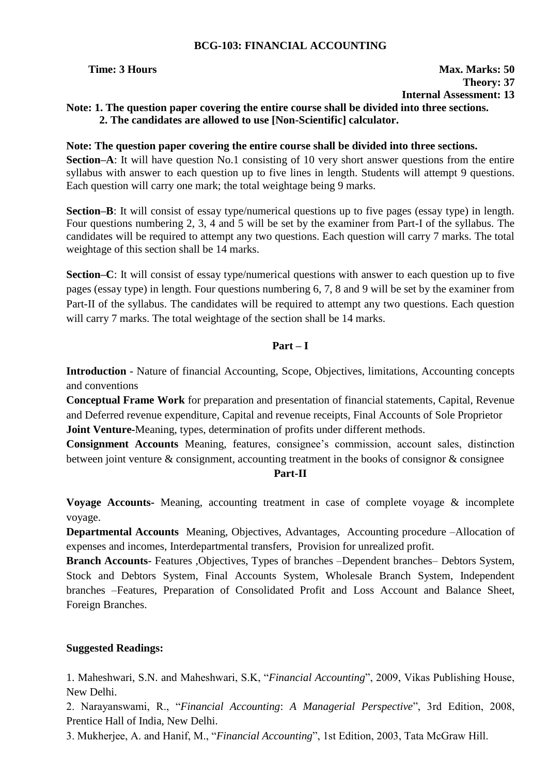# **BCG-103: FINANCIAL ACCOUNTING**

# **Time: 3 Hours Max. Marks: 50 Theory: 37**

**Internal Assessment: 13**

# **Note: 1. The question paper covering the entire course shall be divided into three sections. 2. The candidates are allowed to use [Non-Scientific] calculator.**

# **Note: The question paper covering the entire course shall be divided into three sections.**

**Section–A**: It will have question No.1 consisting of 10 very short answer questions from the entire syllabus with answer to each question up to five lines in length. Students will attempt 9 questions. Each question will carry one mark; the total weightage being 9 marks.

**Section–B**: It will consist of essay type/numerical questions up to five pages (essay type) in length. Four questions numbering 2, 3, 4 and 5 will be set by the examiner from Part-I of the syllabus. The candidates will be required to attempt any two questions. Each question will carry 7 marks. The total weightage of this section shall be 14 marks.

**Section–C**: It will consist of essay type/numerical questions with answer to each question up to five pages (essay type) in length. Four questions numbering 6, 7, 8 and 9 will be set by the examiner from Part-II of the syllabus. The candidates will be required to attempt any two questions. Each question will carry 7 marks. The total weightage of the section shall be 14 marks.

# **Part – I**

**Introduction** - Nature of financial Accounting, Scope, Objectives, limitations, Accounting concepts and conventions

**Conceptual Frame Work** for preparation and presentation of financial statements, Capital, Revenue and Deferred revenue expenditure, Capital and revenue receipts, Final Accounts of Sole Proprietor **Joint Venture-**Meaning, types, determination of profits under different methods.

**Consignment Accounts** Meaning, features, consignee's commission, account sales, distinction between joint venture & consignment, accounting treatment in the books of consignor & consignee

# **Part-II**

**Voyage Accounts-** Meaning, accounting treatment in case of complete voyage & incomplete voyage.

**Departmental Accounts** Meaning, Objectives, Advantages, Accounting procedure –Allocation of expenses and incomes, Interdepartmental transfers, Provision for unrealized profit.

**Branch Accounts**- Features ,Objectives, Types of branches –Dependent branches– Debtors System, Stock and Debtors System, Final Accounts System, Wholesale Branch System, Independent branches –Features, Preparation of Consolidated Profit and Loss Account and Balance Sheet, Foreign Branches.

# **Suggested Readings:**

1. Maheshwari, S.N. and Maheshwari, S.K, "*Financial Accounting*", 2009, Vikas Publishing House, New Delhi.

2. Narayanswami, R., "*Financial Accounting*: *A Managerial Perspective*", 3rd Edition, 2008, Prentice Hall of India, New Delhi.

3. Mukherjee, A. and Hanif, M., "*Financial Accounting*", 1st Edition, 2003, Tata McGraw Hill.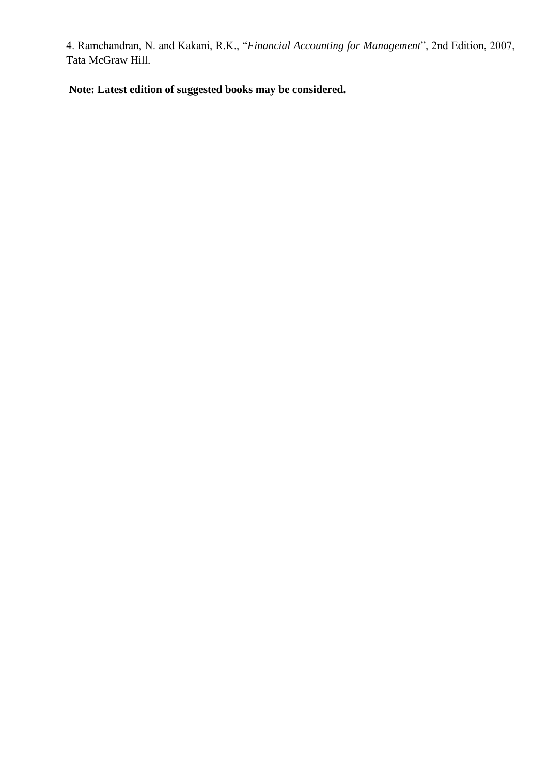4. Ramchandran, N. and Kakani, R.K., "*Financial Accounting for Management*", 2nd Edition, 2007, Tata McGraw Hill.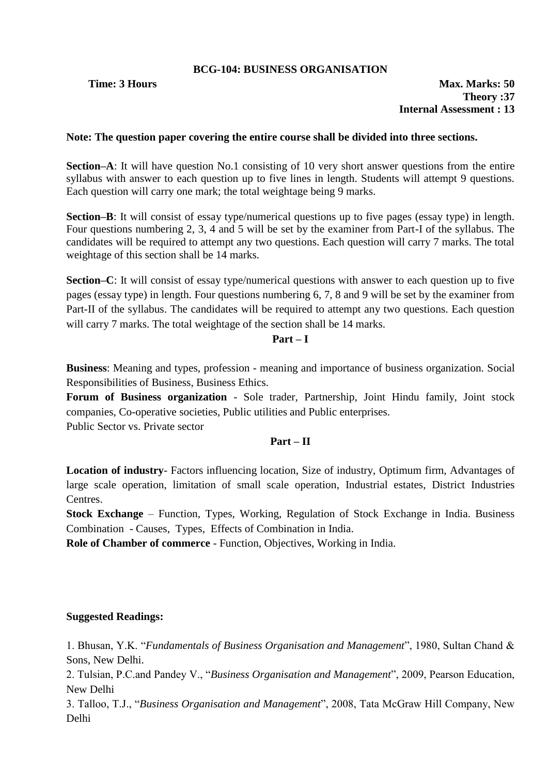# **BCG-104: BUSINESS ORGANISATION**

**Time: 3 Hours Max. Marks: 50 Theory :37 Internal Assessment : 13**

# **Note: The question paper covering the entire course shall be divided into three sections.**

**Section–A**: It will have question No.1 consisting of 10 very short answer questions from the entire syllabus with answer to each question up to five lines in length. Students will attempt 9 questions. Each question will carry one mark; the total weightage being 9 marks.

**Section–B**: It will consist of essay type/numerical questions up to five pages (essay type) in length. Four questions numbering 2, 3, 4 and 5 will be set by the examiner from Part-I of the syllabus. The candidates will be required to attempt any two questions. Each question will carry 7 marks. The total weightage of this section shall be 14 marks.

**Section–C**: It will consist of essay type/numerical questions with answer to each question up to five pages (essay type) in length. Four questions numbering 6, 7, 8 and 9 will be set by the examiner from Part-II of the syllabus. The candidates will be required to attempt any two questions. Each question will carry 7 marks. The total weightage of the section shall be 14 marks.

# **Part – I**

**Business**: Meaning and types, profession - meaning and importance of business organization. Social Responsibilities of Business, Business Ethics.

**Forum of Business organization** - Sole trader, Partnership, Joint Hindu family, Joint stock companies, Co-operative societies, Public utilities and Public enterprises.

Public Sector vs. Private sector

# **Part – II**

**Location of industry**- Factors influencing location, Size of industry, Optimum firm, Advantages of large scale operation, limitation of small scale operation, Industrial estates, District Industries Centres.

**Stock Exchange** – Function, Types, Working, Regulation of Stock Exchange in India. Business Combination - Causes, Types, Effects of Combination in India.

**Role of Chamber of commerce** - Function, Objectives, Working in India.

# **Suggested Readings:**

1. Bhusan, Y.K. "*Fundamentals of Business Organisation and Management*", 1980, Sultan Chand & Sons, New Delhi.

2. Tulsian, P.C.and Pandey V., "*Business Organisation and Management*", 2009, Pearson Education, New Delhi

3. Talloo, T.J., "*Business Organisation and Management*", 2008, Tata McGraw Hill Company, New Delhi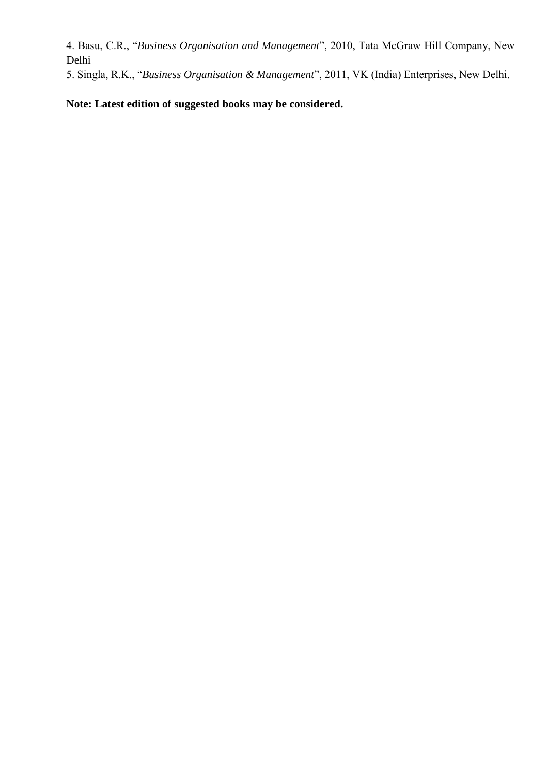4. Basu, C.R., "*Business Organisation and Management*", 2010, Tata McGraw Hill Company, New Delhi

5. Singla, R.K., "*Business Organisation & Management*", 2011, VK (India) Enterprises, New Delhi.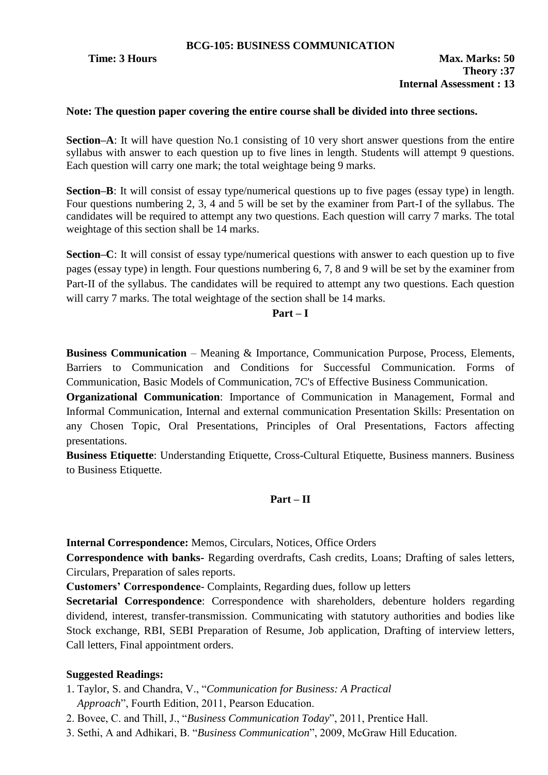# **Note: The question paper covering the entire course shall be divided into three sections.**

**Section–A**: It will have question No.1 consisting of 10 very short answer questions from the entire syllabus with answer to each question up to five lines in length. Students will attempt 9 questions. Each question will carry one mark; the total weightage being 9 marks.

**Section–B**: It will consist of essay type/numerical questions up to five pages (essay type) in length. Four questions numbering 2, 3, 4 and 5 will be set by the examiner from Part-I of the syllabus. The candidates will be required to attempt any two questions. Each question will carry 7 marks. The total weightage of this section shall be 14 marks.

**Section–C**: It will consist of essay type/numerical questions with answer to each question up to five pages (essay type) in length. Four questions numbering 6, 7, 8 and 9 will be set by the examiner from Part-II of the syllabus. The candidates will be required to attempt any two questions. Each question will carry 7 marks. The total weightage of the section shall be 14 marks.

# **Part – I**

**Business Communication** – Meaning & Importance, Communication Purpose, Process, Elements, Barriers to Communication and Conditions for Successful Communication. Forms of Communication, Basic Models of Communication, 7C's of Effective Business Communication.

**Organizational Communication**: Importance of Communication in Management, Formal and Informal Communication, Internal and external communication Presentation Skills: Presentation on any Chosen Topic, Oral Presentations, Principles of Oral Presentations, Factors affecting presentations.

**Business Etiquette**: Understanding Etiquette, Cross-Cultural Etiquette, Business manners. Business to Business Etiquette.

# **Part – II**

**Internal Correspondence:** Memos, Circulars, Notices, Office Orders

**Correspondence with banks-** Regarding overdrafts, Cash credits, Loans; Drafting of sales letters, Circulars, Preparation of sales reports.

**Customers' Correspondence**- Complaints, Regarding dues, follow up letters

**Secretarial Correspondence**: Correspondence with shareholders, debenture holders regarding dividend, interest, transfer-transmission. Communicating with statutory authorities and bodies like Stock exchange, RBI, SEBI Preparation of Resume, Job application, Drafting of interview letters, Call letters, Final appointment orders.

# **Suggested Readings:**

- 1. Taylor, S. and Chandra, V., "*Communication for Business: A Practical Approach*", Fourth Edition, 2011, Pearson Education.
- 2. Bovee, C. and Thill, J., "*Business Communication Today*", 2011, Prentice Hall.
- 3. Sethi, A and Adhikari, B. "*Business Communication*", 2009, McGraw Hill Education.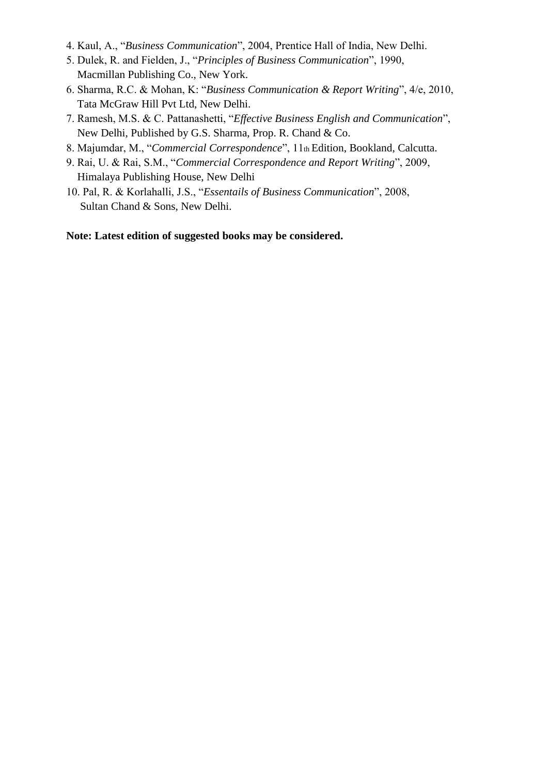- 4. Kaul, A., "*Business Communication*", 2004, Prentice Hall of India, New Delhi.
- 5. Dulek, R. and Fielden, J., "*Principles of Business Communication*", 1990, Macmillan Publishing Co., New York.
- 6. Sharma, R.C. & Mohan, K: "*Business Communication & Report Writing*", 4/e, 2010, Tata McGraw Hill Pvt Ltd, New Delhi.
- 7. Ramesh, M.S. & C. Pattanashetti, "*Effective Business English and Communication*", New Delhi, Published by G.S. Sharma, Prop. R. Chand & Co.
- 8. Majumdar, M., "*Commercial Correspondence*", 11th Edition, Bookland, Calcutta.
- 9. Rai, U. & Rai, S.M., "*Commercial Correspondence and Report Writing*", 2009, Himalaya Publishing House, New Delhi
- 10. Pal, R. & Korlahalli, J.S., "*Essentails of Business Communication*", 2008, Sultan Chand & Sons, New Delhi.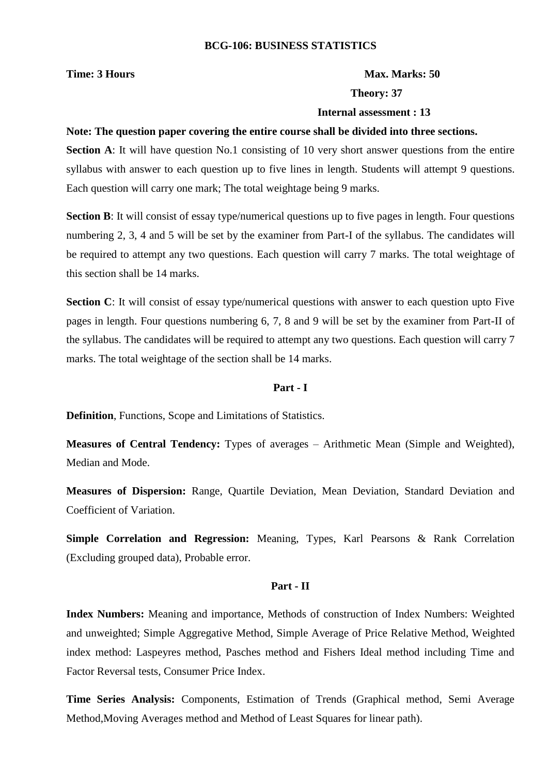### **Time: 3 Hours Max. Marks: 50**

### **Theory: 37**

### **Internal assessment : 13**

### **Note: The question paper covering the entire course shall be divided into three sections.**

**Section A**: It will have question No.1 consisting of 10 very short answer questions from the entire syllabus with answer to each question up to five lines in length. Students will attempt 9 questions. Each question will carry one mark; The total weightage being 9 marks.

**Section B**: It will consist of essay type/numerical questions up to five pages in length. Four questions numbering 2, 3, 4 and 5 will be set by the examiner from Part-I of the syllabus. The candidates will be required to attempt any two questions. Each question will carry 7 marks. The total weightage of this section shall be 14 marks.

**Section C**: It will consist of essay type/numerical questions with answer to each question upto Five pages in length. Four questions numbering 6, 7, 8 and 9 will be set by the examiner from Part-II of the syllabus. The candidates will be required to attempt any two questions. Each question will carry 7 marks. The total weightage of the section shall be 14 marks.

# **Part - I**

**Definition**, Functions, Scope and Limitations of Statistics.

**Measures of Central Tendency:** Types of averages – Arithmetic Mean (Simple and Weighted), Median and Mode.

**Measures of Dispersion:** Range, Quartile Deviation, Mean Deviation, Standard Deviation and Coefficient of Variation.

**Simple Correlation and Regression:** Meaning, Types, Karl Pearsons & Rank Correlation (Excluding grouped data), Probable error.

### **Part - II**

**Index Numbers:** Meaning and importance, Methods of construction of Index Numbers: Weighted and unweighted; Simple Aggregative Method, Simple Average of Price Relative Method, Weighted index method: Laspeyres method, Pasches method and Fishers Ideal method including Time and Factor Reversal tests, Consumer Price Index.

**Time Series Analysis:** Components, Estimation of Trends (Graphical method, Semi Average Method,Moving Averages method and Method of Least Squares for linear path).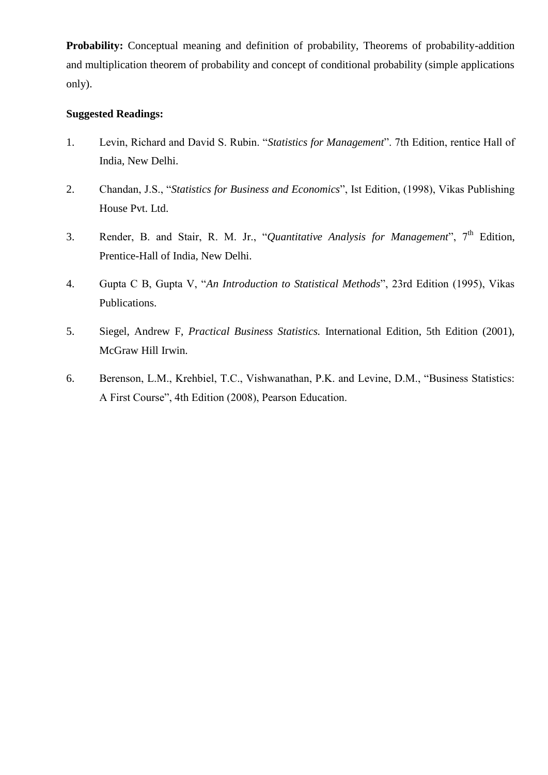**Probability:** Conceptual meaning and definition of probability, Theorems of probability-addition and multiplication theorem of probability and concept of conditional probability (simple applications only).

# **Suggested Readings:**

- 1. Levin, Richard and David S. Rubin. "*Statistics for Management*". 7th Edition, rentice Hall of India, New Delhi.
- 2. Chandan, J.S., "*Statistics for Business and Economics*", Ist Edition, (1998), Vikas Publishing House Pvt. Ltd.
- 3. Render, B. and Stair, R. M. Jr., "*Quantitative Analysis for Management*", 7th Edition, Prentice-Hall of India, New Delhi.
- 4. Gupta C B, Gupta V, "*An Introduction to Statistical Methods*", 23rd Edition (1995), Vikas Publications.
- 5. Siegel, Andrew F, *Practical Business Statistics.* International Edition, 5th Edition (2001), McGraw Hill Irwin.
- 6. Berenson, L.M., Krehbiel, T.C., Vishwanathan, P.K. and Levine, D.M., "Business Statistics: A First Course", 4th Edition (2008), Pearson Education.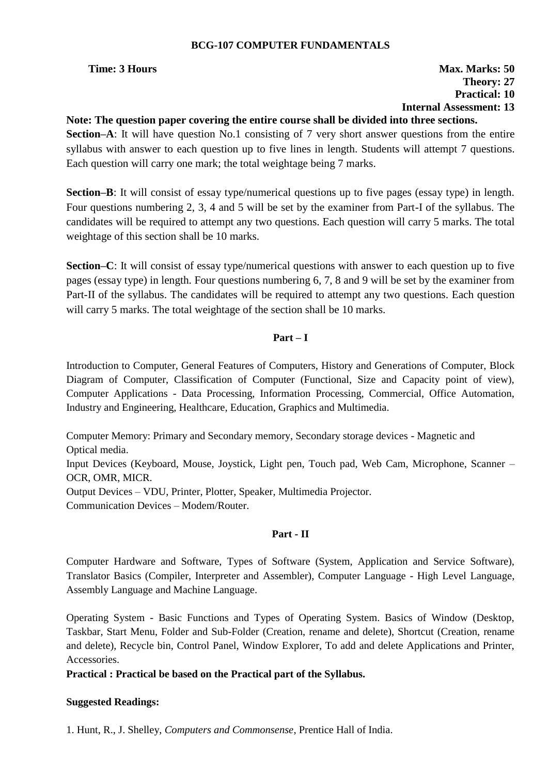# **BCG-107 COMPUTER FUNDAMENTALS**

# **Time: 3 Hours Max. Marks: 50 Theory: 27 Practical: 10 Internal Assessment: 13**

# **Note: The question paper covering the entire course shall be divided into three sections.**

**Section–A**: It will have question No.1 consisting of 7 very short answer questions from the entire syllabus with answer to each question up to five lines in length. Students will attempt 7 questions. Each question will carry one mark; the total weightage being 7 marks.

**Section–B**: It will consist of essay type/numerical questions up to five pages (essay type) in length. Four questions numbering 2, 3, 4 and 5 will be set by the examiner from Part-I of the syllabus. The candidates will be required to attempt any two questions. Each question will carry 5 marks. The total weightage of this section shall be 10 marks.

**Section–C**: It will consist of essay type/numerical questions with answer to each question up to five pages (essay type) in length. Four questions numbering 6, 7, 8 and 9 will be set by the examiner from Part-II of the syllabus. The candidates will be required to attempt any two questions. Each question will carry 5 marks. The total weightage of the section shall be 10 marks.

## **Part – I**

Introduction to Computer, General Features of Computers, History and Generations of Computer, Block Diagram of Computer, Classification of Computer (Functional, Size and Capacity point of view), Computer Applications - Data Processing, Information Processing, Commercial, Office Automation, Industry and Engineering, Healthcare, Education, Graphics and Multimedia.

Computer Memory: Primary and Secondary memory, Secondary storage devices - Magnetic and Optical media.

Input Devices (Keyboard, Mouse, Joystick, Light pen, Touch pad, Web Cam, Microphone, Scanner – OCR, OMR, MICR.

Output Devices – VDU, Printer, Plotter, Speaker, Multimedia Projector.

Communication Devices – Modem/Router.

# **Part - II**

Computer Hardware and Software, Types of Software (System, Application and Service Software), Translator Basics (Compiler, Interpreter and Assembler), Computer Language - High Level Language, Assembly Language and Machine Language.

Operating System - Basic Functions and Types of Operating System. Basics of Window (Desktop, Taskbar, Start Menu, Folder and Sub-Folder (Creation, rename and delete), Shortcut (Creation, rename and delete), Recycle bin, Control Panel, Window Explorer, To add and delete Applications and Printer, Accessories.

# **Practical : Practical be based on the Practical part of the Syllabus.**

# **Suggested Readings:**

1. Hunt, R., J. Shelley, *Computers and Commonsense*, Prentice Hall of India.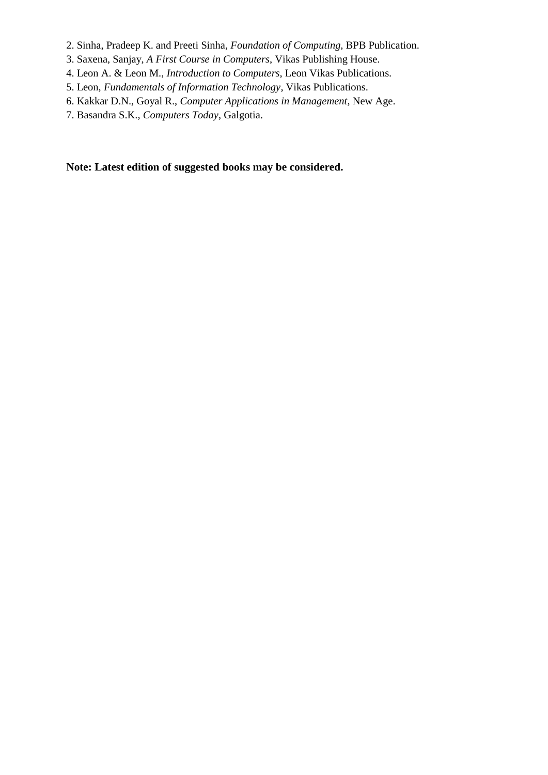- 2. Sinha, Pradeep K. and Preeti Sinha, *Foundation of Computing*, BPB Publication.
- 3. Saxena, Sanjay, *A First Course in Computers*, Vikas Publishing House.
- 4. Leon A. & Leon M., *Introduction to Computers*, Leon Vikas Publications.
- 5. Leon, *Fundamentals of Information Technology*, Vikas Publications.
- 6. Kakkar D.N., Goyal R., *Computer Applications in Management*, New Age.
- 7. Basandra S.K., *Computers Today*, Galgotia.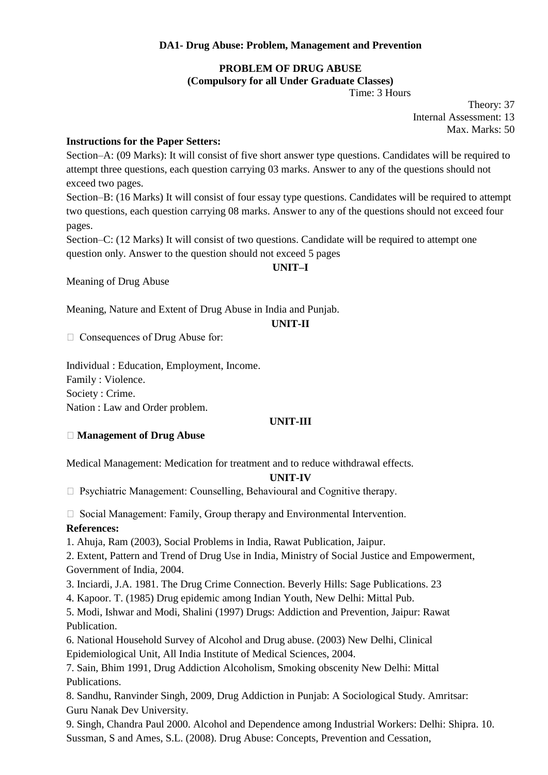# **DA1- Drug Abuse: Problem, Management and Prevention**

# **PROBLEM OF DRUG ABUSE (Compulsory for all Under Graduate Classes)**

Time: 3 Hours

Theory: 37 Internal Assessment: 13 Max. Marks: 50

# **Instructions for the Paper Setters:**

Section–A: (09 Marks): It will consist of five short answer type questions. Candidates will be required to attempt three questions, each question carrying 03 marks. Answer to any of the questions should not exceed two pages.

Section–B: (16 Marks) It will consist of four essay type questions. Candidates will be required to attempt two questions, each question carrying 08 marks. Answer to any of the questions should not exceed four pages.

Section–C: (12 Marks) It will consist of two questions. Candidate will be required to attempt one question only. Answer to the question should not exceed 5 pages

## **UNIT–I**

Meaning of Drug Abuse

Meaning, Nature and Extent of Drug Abuse in India and Punjab.

### **UNIT-II**

□ Consequences of Drug Abuse for:

Individual : Education, Employment, Income. Family : Violence. Society : Crime. Nation : Law and Order problem.

# **UNIT-III**

### **Management of Drug Abuse**

Medical Management: Medication for treatment and to reduce withdrawal effects.

### **UNIT-IV**

 $\Box$  Psychiatric Management: Counselling, Behavioural and Cognitive therapy.

 $\Box$  Social Management: Family, Group therapy and Environmental Intervention. **References:** 

1. Ahuja, Ram (2003), Social Problems in India, Rawat Publication, Jaipur.

2. Extent, Pattern and Trend of Drug Use in India, Ministry of Social Justice and Empowerment, Government of India, 2004.

3. Inciardi, J.A. 1981. The Drug Crime Connection. Beverly Hills: Sage Publications. 23

4. Kapoor. T. (1985) Drug epidemic among Indian Youth, New Delhi: Mittal Pub.

5. Modi, Ishwar and Modi, Shalini (1997) Drugs: Addiction and Prevention, Jaipur: Rawat Publication.

6. National Household Survey of Alcohol and Drug abuse. (2003) New Delhi, Clinical Epidemiological Unit, All India Institute of Medical Sciences, 2004.

7. Sain, Bhim 1991, Drug Addiction Alcoholism, Smoking obscenity New Delhi: Mittal Publications.

8. Sandhu, Ranvinder Singh, 2009, Drug Addiction in Punjab: A Sociological Study. Amritsar: Guru Nanak Dev University.

9. Singh, Chandra Paul 2000. Alcohol and Dependence among Industrial Workers: Delhi: Shipra. 10. Sussman, S and Ames, S.L. (2008). Drug Abuse: Concepts, Prevention and Cessation,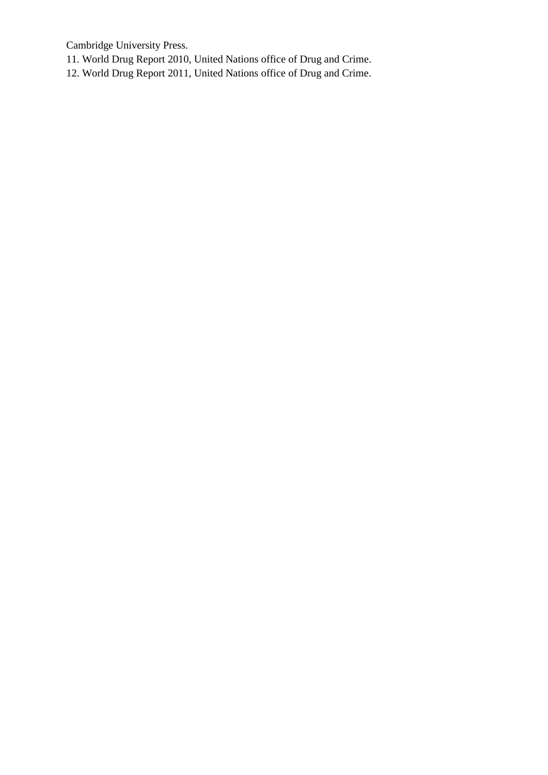Cambridge University Press.

11. World Drug Report 2010, United Nations office of Drug and Crime.

12. World Drug Report 2011, United Nations office of Drug and Crime.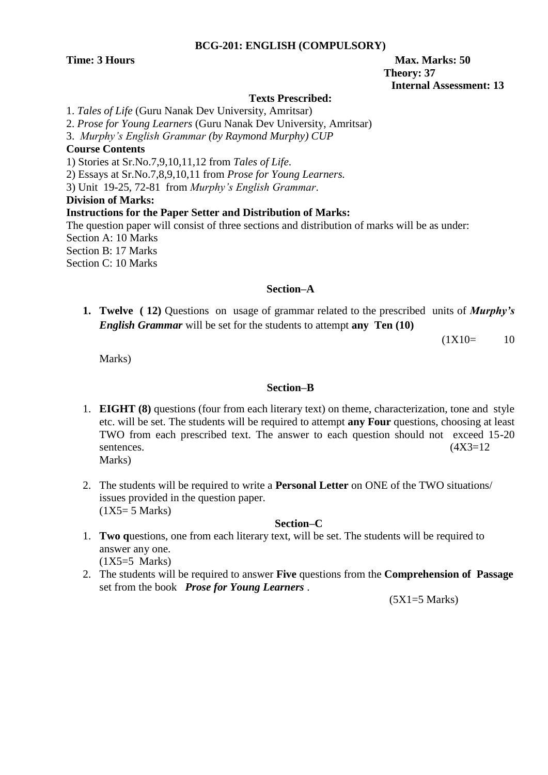### **BCG-201: ENGLISH (COMPULSORY)**

# **Time: 3 Hours Max.** Marks: 50  **Theory: 37 Internal Assessment: 13**

# **Texts Prescribed:**

1. *Tales of Life* (Guru Nanak Dev University, Amritsar)

2. *Prose for Young Learners* (Guru Nanak Dev University, Amritsar)

3. *Murphy"s English Grammar (by Raymond Murphy) CUP*

# **Course Contents**

1) Stories at Sr.No.7,9,10,11,12 from *Tales of Life*.

2) Essays at Sr.No.7,8,9,10,11 from *Prose for Young Learners.*

3) Unit 19-25, 72-81 from *Murphy"s English Grammar*.

# **Division of Marks:**

**Instructions for the Paper Setter and Distribution of Marks:**

The question paper will consist of three sections and distribution of marks will be as under: Section A: 10 Marks Section B: 17 Marks Section C: 10 Marks

# **Section–A**

**1. Twelve ( 12)** Questions on usage of grammar related to the prescribed units of *Murphy's English Grammar* will be set for the students to attempt **any Ten (10)**

 $(1X10=$  10

Marks)

# **Section–B**

- 1. **EIGHT (8)** questions (four from each literary text) on theme, characterization, tone and style etc. will be set. The students will be required to attempt **any Four** questions, choosing at least TWO from each prescribed text. The answer to each question should not exceed 15-20 sentences.  $(4X3=12)$ Marks)
- 2. The students will be required to write a **Personal Letter** on ONE of the TWO situations/ issues provided in the question paper.  $(1X5=5$  Marks)

# **Section–C**

- 1. **Two q**uestions, one from each literary text, will be set. The students will be required to answer any one. (1X5=5 Marks)
- 2. The students will be required to answer **Five** questions from the **Comprehension of Passage** set from the book *Prose for Young Learners* .

 $(5X1=5$  Marks)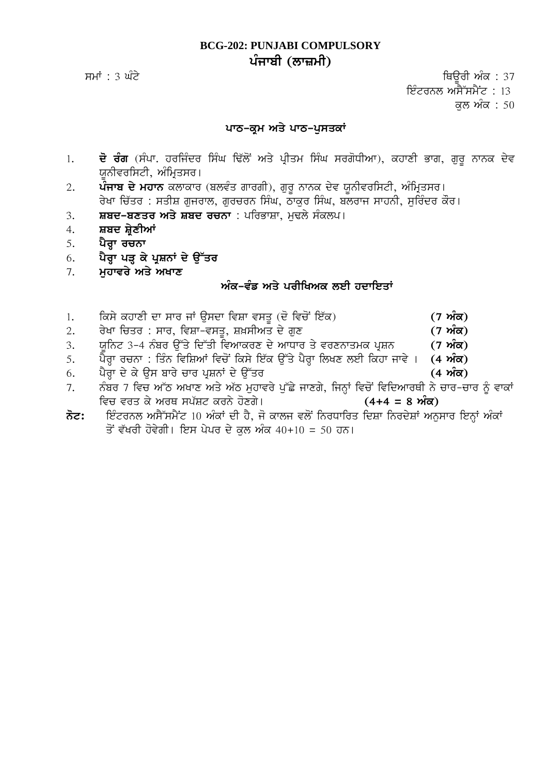# **BCG-202: PUNJABI COMPULSORY** ਪੰਜਾਬੀ (ਲਾ**ਜ਼ਮੀ**)

smW : 3 GMty iQaUrI AMk : 37 ਇੰਟਰਨਲ ਅਸੈੱਸਮੈਂਟ : 13 ਕਲ ਅੰਕ : 50

# ਪਾਠ-ਕਮ ਅਤੇ ਪਾਠ-ਪਸਤਕਾਂ

- 1. **ਦੋ ਰੰਗ** (ਸੰਪਾ. ਹਰਜਿੰਦਰ ਸਿੰਘ ਢਿੱਲੋਂ ਅਤੇ ਪ੍ਰੀਤਮ ਸਿੰਘ ਸਰਗੋਧੀਆ), ਕਹਾਣੀ ਭਾਗ, ਗੁਰੂ ਨਾਨਕ ਦੇਵ ਯੂਨੀਵਰਸਿਟੀ, ਅੰਮ੍ਰਿਤਸਰ।
- 2. **ਪੰਜਾਬ ਦੇ ਮਹਾਨ** ਕਲਾਕਾਰ (ਬਲਵੰਤ ਗਾਰਗੀ), ਗੁਰੂ ਨਾਨਕ ਦੇਵ ਯੂਨੀਵਰਸਿਟੀ, ਅੰਮ੍ਰਿਤਸਰ। ਰੇਖਾ ਚਿੱਤਰ : ਸਤੀਸ਼ ਗੁਜਰਾਲ, ਗੁਰਚਰਨ ਸਿੰਘ, ਠਾਕਰ ਸਿੰਘ, ਬਲਰਾਜ ਸਾਹਨੀ, ਸੁਰਿੰਦਰ ਕੌਰ।
- 3. **ਸ਼ਬਦ-ਬਣਤਰ ਅਤੇ ਸ਼ਬਦ ਰਚਨਾ** : ਪਰਿਭਾਸ਼ਾ, ਮਢਲੇ ਸੰਕਲਪ।
- 4. **ਸ਼ਬਦ ਸ਼ੇਣੀਆਂ**
- 5. ਪੈਰਾ ਰਚਨਾ
- 6. ਪੈਰਾ ਪੜ ਕੇ ਪੁਸ਼ਨਾਂ ਦੇ **ੳੱਤਰ**
- 7. **ਮਹਾਵਰੇ ਅਤੇ ਅਖਾਣ**

# ਅੰਕ-ਵੰਡ ਅਤੇ ਪਰੀਖਿਅਕ ਲਈ ਹਦਾਇਤਾ<u>ਂ</u>

- 1. iksy khwxI dw swr jW ausdw ivSw vsqU (do ivcoN ie`k) **(7 AMk)**
- $2.$  ਰੇਖਾ ਚਿਤਰ : ਸਾਰ, ਵਿਸ਼ਾ-ਵਸਤ, ਸ਼ਖ਼ਸੀਅਤ ਦੇ ਗਣ **(7 ਅੰਕ)**
- 3. ਯਨਿਟ 3-4 ਨੰਬਰ ਉੱਤੇ ਦਿੱਤੀ ਵਿਆਕਰਣ ਦੇ ਆਧਾਰ ਤੇ ਵਰਣਨਾਤਮਕ ਪੁਸ਼ਨ **(7 ਅੰਕ)**
- 5. ਪੈਰ੍ਹਾ ਰਚਨਾ : ਤਿੰਨ ਵਿਸ਼ਿਆਂ ਵਿਚੋਂ ਕਿਸੇ ਇੱਕ ਉੱਤੇ ਪੈਰ੍ਹਾ ਲਿਖਣ ਲਈ ਕਿਹਾ ਜਾਵੇ । (4 **ਅੰਕ)**
- 6. ਪੈਰਾ ਦੇ ਕੇ ਉਸ ਬਾਰੇ ਚਾਰ ਪੁਸ਼ਨਾਂ ਦੇ ਉੱਤਰ **ਵਿੱਚ ਕਰਨ ਵਿੱਚ ਕਿਸੇ ਕਰਨ (4 ਅੰਕ)**
- 7. ਨੰਬਰ 7 ਵਿਚ ਆੱਠ ਅਖਾਣ ਅਤੇ ਅੱਠ ਮੁਹਾਵਰੇ ਪੁੱਛੇ ਜਾਣਗੇ, ਜਿਨ੍ਹਾਂ ਵਿਚੋਂ ਵਿਦਿਆਰਥੀ ਨੇ ਚਾਰ-ਚਾਰ ਨੂੰ ਵਾਕਾਂ ivc vrq ky ArQ sp`St krny hoxgy[ **(4+4 = 8 AMk)**
- **not:** ieMtrnl AsY~smYNt 10 AMkW dI hY, jo kwlj vloN inrDwirq idSw inrdySW Anuswr ienHW AMkW ਤੋਂ ਵੱਖਰੀ ਹੋਵੇਗੀ। ਇਸ ਪੇਪਰ ਦੇ ਕਲ ਅੰਕ 40+10 = 50 ਹਨ।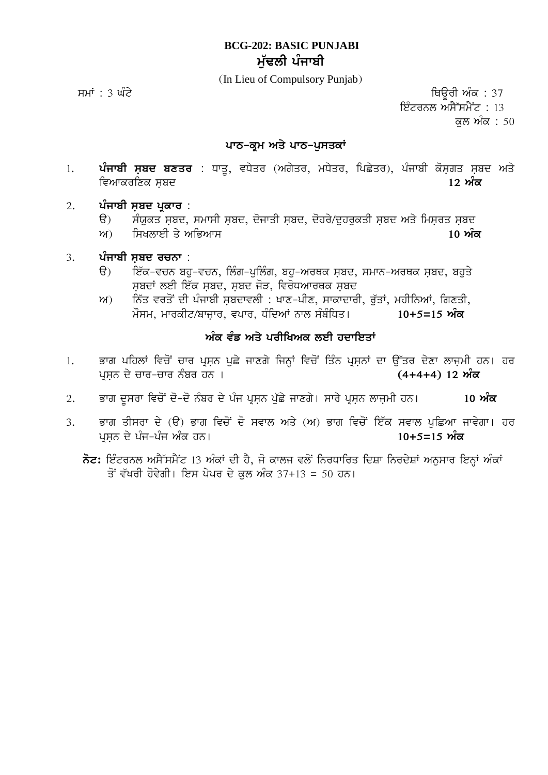# **BCG-202: BASIC PUNJABI ਮੱਢਲੀ ਪੰਜਾਬੀ**

(In Lieu of Compulsory Punjab)

ਸਮਾਂ : 3 ਘੰਟੇ ਵਿੱਚ ਸ਼ਾਹਿ ਕਰਨਾ ਹੈ ਕਿ ਇਹ ਸ਼ਾਹਿ ਦੀ ਸ਼ਾਹਿ ਦੀ ਸ਼ਾਹਿ ਤਾਂ ਇਸ ਦੀ ਸ਼ਾਹਿ ਤਾਂ ਬਾਹਰ ਸ਼ਾਹਿ ਤਾਂ ਬਾਹਰ ਸ਼ਾਹਿ ਦ ਇੰਟਰਨਲ ਅਸੈੱਸਮੈਂਟ : 13 ਕਲ ਅੰਕ $: 50$ 

# ਪਾਠ-ਕ੍ਰਮ ਅਤੇ ਪਾਠ-ਪੁਸਤਕਾ<u>ਂ</u>

- 1. **ਪੰਜਾਬੀ ਸ਼ਬਦ ਬਣਤਰ** : ਧਾਤੂ, ਵਧੇਤਰ (ਅਗੇਤਰ, ਮਧੇਤਰ, ਪਿਛੇਤਰ), ਪੰਜਾਬੀ ਕੋਸਗਤ ਸ਼ਬਦ ਅਤੇ ਵਿਆਕਰਣਿਕ ਸਬਦ **ਦਿਆਰਥੀ ਦੇ ਸ਼ਹਿਰ ਨਾਲ ਵਿੱਚ ਸ਼ਹਿਰ ਨਾਲ ਵਿੱਚ ਸ਼ਹਿਰ ਨਾਲ ਵਿੱਚ ਸ਼ਹਿਰ ਨਾਲ ਵਿੱਚ ਸ਼ਹਿਰ ਨਾਲ ਵਿੱਚ ਸ਼ਹਿਰ ਨਾਲ ਵਿ**
- 2. ਪੰਜਾਬੀ ਸ਼ਬਦ ਪ੍ਰਕਾਰ :
	- $\Theta$  ਸੰਯੁਕਤ ਸ਼ਬਦ, ਸਮਾਸੀ ਸ਼ਬਦ, ਦੋਜਾਤੀ ਸ਼ਬਦ, ਦੋਹਰੇ/ਦੁਹਰਕਤੀ ਸ਼ਬਦ ਅਤੇ ਮਿਸਰਤ ਸ਼ਬਦ
	- ਅ) ਸਿਖਲਾਈ ਤੇ ਅਭਿਆਸ
- 3. ਪੰਜਾਬੀ ਸਬਦ ਰਚਨਾ :
	- ਉ) ਇੱਕ-ਵਚਨ ਬਹੁ-ਵਚਨ, ਲਿੰਗ-ਪੁਲਿੰਗ, ਬਹੁ-ਅਰਥਕ ਸੂਬਦ, ਸਮਾਨ-ਅਰਥਕ ਸੂਬਦ, ਬਹੁਤੇ ਸਬਦਾਂ ਲਈ ਇੱਕ ਸਬਦ, ਸਬਦ ਜੋੜ, ਵਿਰੋਧਆਰਥਕ ਸਬਦ
	- $m$ ) ਨਿੱਤ ਵਰਤੋਂ ਦੀ ਪੰਜਾਬੀ ਸਬਦਾਵਲੀ : ਖਾਣ-ਪੀਣ, ਸਾਕਾਦਾਰੀ, ਰੱਤਾਂ, ਮਹੀਨਿਆਂ, ਗਿਣਤੀ, ਮੌਸਮ, ਮਾਰਕੀਟ/ਬਾਜਾਰ, ਵਪਾਰ, ਧੰਦਿਆਂ ਨਾਲ ਸੰਬੰਧਿਤ। 10+5=15 **ਅੰਕ**

# ਅੰਕ ਵੰਡ ਅਤੇ ਪਰੀਖਿਅਕ ਲਈ ਹਦਾਇਤਾ<u>ਂ</u>

- 1. ਭਾਗ ਪਹਿਲਾਂ ਵਿਚੋਂ ਚਾਰ ਪ੍ਰਸ਼ਨ ਪੁਛੇ ਜਾਣਗੇ ਜਿਨ੍ਹਾਂ ਵਿਚੋਂ ਤਿੰਨ ਪ੍ਰਸ਼ਨਾਂ ਦਾ ਉੱਤਰ ਦੇਣਾ ਲਾਜ਼ਮੀ ਹਨ। ਹਰ pRsæn dy cwr-cwr nMbr hn [ **(4+4+4) 12 AMk**
- 2. ਭਾਗ ਦਸਰਾ ਵਿਚੋਂ ਦੋ-ਦੋ ਨੰਬਰ ਦੇ ਪੰਜ ਪੁਸਨ ਪੱਛੇ ਜਾਣਗੇ। ਸਾਰੇ ਪੁਸਨ ਲਾਜਮੀ ਹਨ। 10 **ਅੰਕ**
- 3. ਭਾਗ ਤੀਸਰਾ ਦੇ (ੳ) ਭਾਗ ਵਿਚੋਂ ਦੋ ਸਵਾਲ ਅਤੇ (ਅ) ਭਾਗ ਵਿਚੋਂ ਇੱਕ ਸਵਾਲ ਪਛਿਆ ਜਾਵੇਗਾ। ਹਰ pRsæn dy pMj-pMj AMk hn[ **10+5=15 AMk**
	- $\vec{\delta}$ ਟ: ਇੰਟਰਨਲ ਅਸੈੱਸਮੈਂਟ 13 ਅੰਕਾਂ ਦੀ ਹੈ, ਜੋ ਕਾਲਜ ਵਲੋਂ ਨਿਰਧਾਰਿਤ ਦਿਸ਼ਾ ਨਿਰਦੇਸ਼ਾਂ ਅਨਸਾਰ ਇਨ੍ਹਾਂ ਅੰਕਾਂ ਤੋਂ ਵੱਖਰੀ ਹੋਵੇਗੀ। ਇਸ ਪੇਪਰ ਦੇ ਕਲ ਅੰਕ 37+13 = 50 ਹਨ।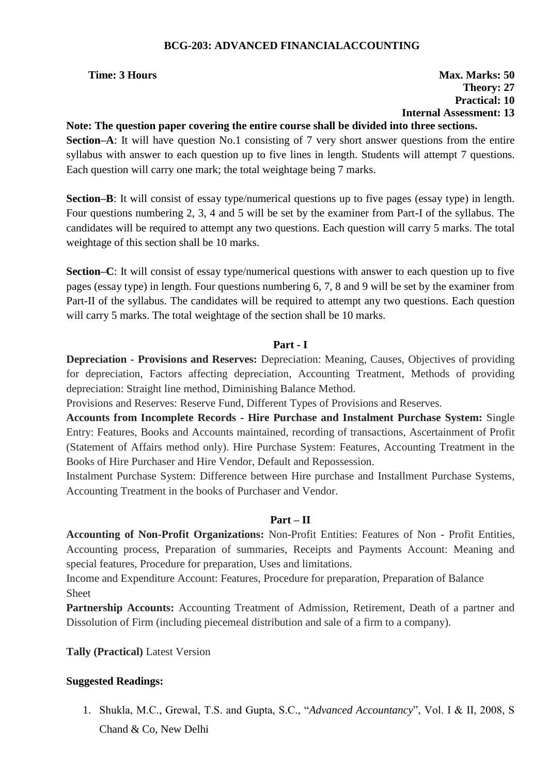# **BCG-203: ADVANCED FINANCIALACCOUNTING**

# **Time: 3 Hours Max. Marks: 50 Theory: 27 Practical: 10 Internal Assessment: 13**

# **Note: The question paper covering the entire course shall be divided into three sections.**

**Section–A**: It will have question No.1 consisting of 7 very short answer questions from the entire syllabus with answer to each question up to five lines in length. Students will attempt 7 questions. Each question will carry one mark; the total weightage being 7 marks.

**Section–B**: It will consist of essay type/numerical questions up to five pages (essay type) in length. Four questions numbering 2, 3, 4 and 5 will be set by the examiner from Part-I of the syllabus. The candidates will be required to attempt any two questions. Each question will carry 5 marks. The total weightage of this section shall be 10 marks.

**Section–C**: It will consist of essay type/numerical questions with answer to each question up to five pages (essay type) in length. Four questions numbering 6, 7, 8 and 9 will be set by the examiner from Part-II of the syllabus. The candidates will be required to attempt any two questions. Each question will carry 5 marks. The total weightage of the section shall be 10 marks.

## **Part - I**

**Depreciation - Provisions and Reserves:** Depreciation: Meaning, Causes, Objectives of providing for depreciation, Factors affecting depreciation, Accounting Treatment, Methods of providing depreciation: Straight line method, Diminishing Balance Method.

Provisions and Reserves: Reserve Fund, Different Types of Provisions and Reserves.

**Accounts from Incomplete Records - Hire Purchase and Instalment Purchase System:** Single Entry: Features, Books and Accounts maintained, recording of transactions, Ascertainment of Profit (Statement of Affairs method only). Hire Purchase System: Features, Accounting Treatment in the Books of Hire Purchaser and Hire Vendor, Default and Repossession.

Instalment Purchase System: Difference between Hire purchase and Installment Purchase Systems, Accounting Treatment in the books of Purchaser and Vendor.

# **Part – II**

**Accounting of Non-Profit Organizations:** Non-Profit Entities: Features of Non - Profit Entities, Accounting process, Preparation of summaries, Receipts and Payments Account: Meaning and special features, Procedure for preparation, Uses and limitations.

Income and Expenditure Account: Features, Procedure for preparation, Preparation of Balance Sheet

**Partnership Accounts:** Accounting Treatment of Admission, Retirement, Death of a partner and Dissolution of Firm (including piecemeal distribution and sale of a firm to a company).

**Tally (Practical)** Latest Version

# **Suggested Readings:**

1. Shukla, M.C., Grewal, T.S. and Gupta, S.C., "*Advanced Accountancy*", Vol. I & II, 2008, S Chand & Co, New Delhi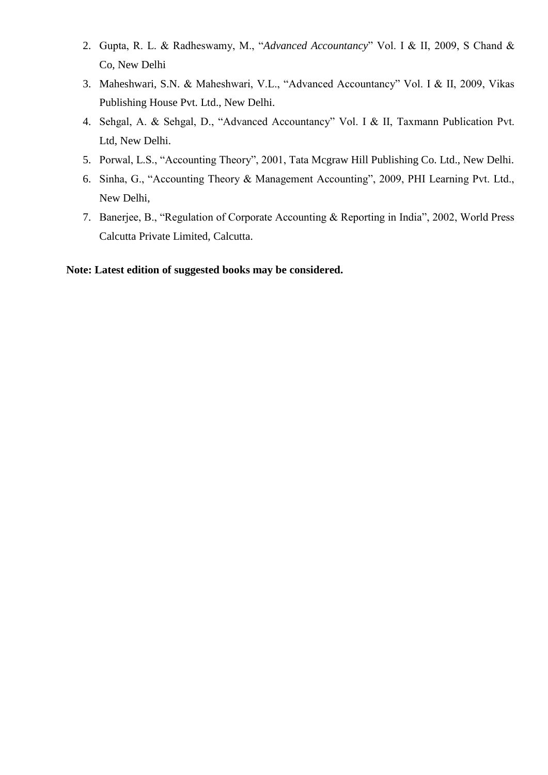- 2. Gupta, R. L. & Radheswamy, M., "*Advanced Accountancy*" Vol. I & II, 2009, S Chand & Co, New Delhi
- 3. Maheshwari, S.N. & Maheshwari, V.L., "Advanced Accountancy" Vol. I & II, 2009, Vikas Publishing House Pvt. Ltd., New Delhi.
- 4. Sehgal, A. & Sehgal, D., "Advanced Accountancy" Vol. I & II, Taxmann Publication Pvt. Ltd, New Delhi.
- 5. Porwal, L.S., "Accounting Theory", 2001, Tata Mcgraw Hill Publishing Co. Ltd., New Delhi.
- 6. Sinha, G., "Accounting Theory & Management Accounting", 2009, PHI Learning Pvt. Ltd., New Delhi,
- 7. Banerjee, B., "Regulation of Corporate Accounting & Reporting in India", 2002, World Press Calcutta Private Limited, Calcutta.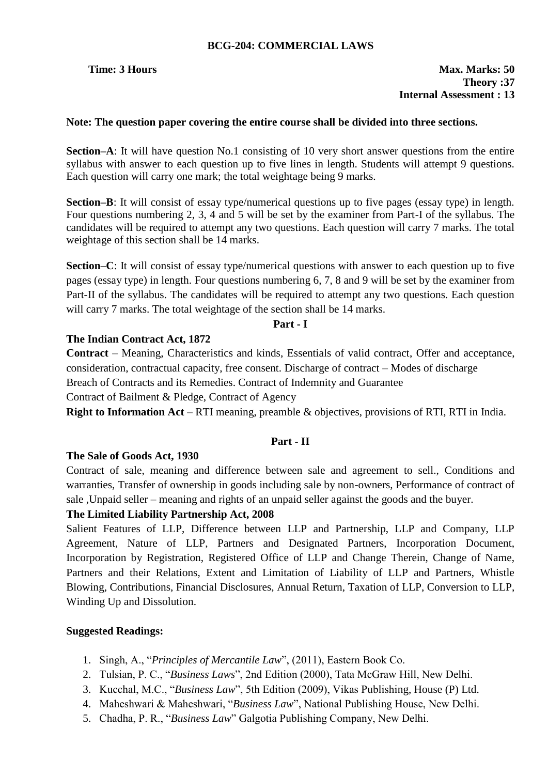# **BCG-204: COMMERCIAL LAWS**

# **Note: The question paper covering the entire course shall be divided into three sections.**

**Section–A**: It will have question No.1 consisting of 10 very short answer questions from the entire syllabus with answer to each question up to five lines in length. Students will attempt 9 questions. Each question will carry one mark; the total weightage being 9 marks.

**Section–B**: It will consist of essay type/numerical questions up to five pages (essay type) in length. Four questions numbering 2, 3, 4 and 5 will be set by the examiner from Part-I of the syllabus. The candidates will be required to attempt any two questions. Each question will carry 7 marks. The total weightage of this section shall be 14 marks.

**Section–C**: It will consist of essay type/numerical questions with answer to each question up to five pages (essay type) in length. Four questions numbering 6, 7, 8 and 9 will be set by the examiner from Part-II of the syllabus. The candidates will be required to attempt any two questions. Each question will carry 7 marks. The total weightage of the section shall be 14 marks.

# **Part - I**

# **The Indian Contract Act, 1872**

**Contract** – Meaning, Characteristics and kinds, Essentials of valid contract, Offer and acceptance, consideration, contractual capacity, free consent. Discharge of contract – Modes of discharge

Breach of Contracts and its Remedies. Contract of Indemnity and Guarantee

Contract of Bailment & Pledge, Contract of Agency

**Right to Information Act** – RTI meaning, preamble & objectives, provisions of RTI, RTI in India.

# **Part - II**

# **The Sale of Goods Act, 1930**

Contract of sale, meaning and difference between sale and agreement to sell., Conditions and warranties, Transfer of ownership in goods including sale by non-owners, Performance of contract of sale ,Unpaid seller – meaning and rights of an unpaid seller against the goods and the buyer.

# **The Limited Liability Partnership Act, 2008**

Salient Features of LLP, Difference between LLP and Partnership, LLP and Company, LLP Agreement, Nature of LLP, Partners and Designated Partners, Incorporation Document, Incorporation by Registration, Registered Office of LLP and Change Therein, Change of Name, Partners and their Relations, Extent and Limitation of Liability of LLP and Partners, Whistle Blowing, Contributions, Financial Disclosures, Annual Return, Taxation of LLP, Conversion to LLP, Winding Up and Dissolution.

# **Suggested Readings:**

- 1. Singh, A., "*Principles of Mercantile Law*", (2011), Eastern Book Co.
- 2. Tulsian, P. C., "*Business Laws*", 2nd Edition (2000), Tata McGraw Hill, New Delhi.
- 3. Kucchal, M.C., "*Business Law*", 5th Edition (2009), Vikas Publishing, House (P) Ltd.
- 4. Maheshwari & Maheshwari, "*Business Law*", National Publishing House, New Delhi.
- 5. Chadha, P. R., "*Business Law*" Galgotia Publishing Company, New Delhi.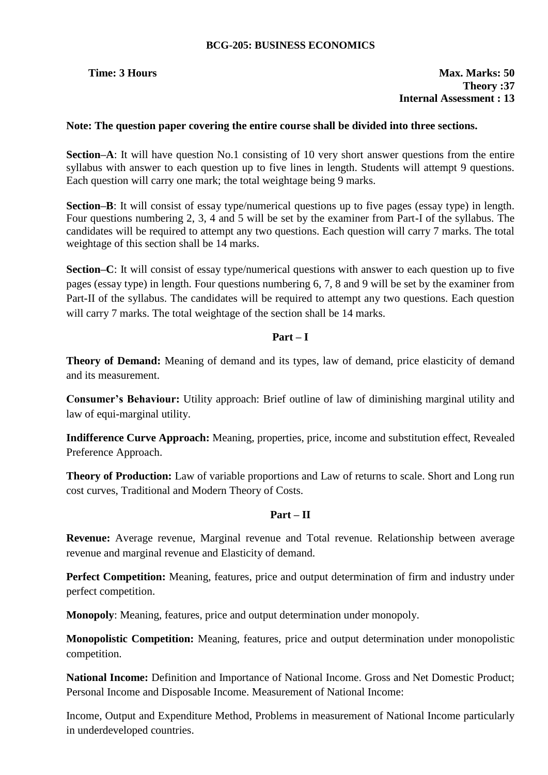# **BCG-205: BUSINESS ECONOMICS**

# **Time: 3 Hours Max. Marks: 50 Theory :37 Internal Assessment : 13**

# **Note: The question paper covering the entire course shall be divided into three sections.**

**Section–A**: It will have question No.1 consisting of 10 very short answer questions from the entire syllabus with answer to each question up to five lines in length. Students will attempt 9 questions. Each question will carry one mark; the total weightage being 9 marks.

**Section–B**: It will consist of essay type/numerical questions up to five pages (essay type) in length. Four questions numbering 2, 3, 4 and 5 will be set by the examiner from Part-I of the syllabus. The candidates will be required to attempt any two questions. Each question will carry 7 marks. The total weightage of this section shall be 14 marks.

**Section–C**: It will consist of essay type/numerical questions with answer to each question up to five pages (essay type) in length. Four questions numbering 6, 7, 8 and 9 will be set by the examiner from Part-II of the syllabus. The candidates will be required to attempt any two questions. Each question will carry 7 marks. The total weightage of the section shall be 14 marks.

# **Part – I**

**Theory of Demand:** Meaning of demand and its types, law of demand, price elasticity of demand and its measurement.

**Consumer's Behaviour:** Utility approach: Brief outline of law of diminishing marginal utility and law of equi-marginal utility.

**Indifference Curve Approach:** Meaning, properties, price, income and substitution effect, Revealed Preference Approach.

**Theory of Production:** Law of variable proportions and Law of returns to scale. Short and Long run cost curves, Traditional and Modern Theory of Costs.

# **Part – II**

**Revenue:** Average revenue, Marginal revenue and Total revenue. Relationship between average revenue and marginal revenue and Elasticity of demand.

**Perfect Competition:** Meaning, features, price and output determination of firm and industry under perfect competition.

**Monopoly**: Meaning, features, price and output determination under monopoly.

**Monopolistic Competition:** Meaning, features, price and output determination under monopolistic competition.

**National Income:** Definition and Importance of National Income. Gross and Net Domestic Product; Personal Income and Disposable Income. Measurement of National Income:

Income, Output and Expenditure Method, Problems in measurement of National Income particularly in underdeveloped countries.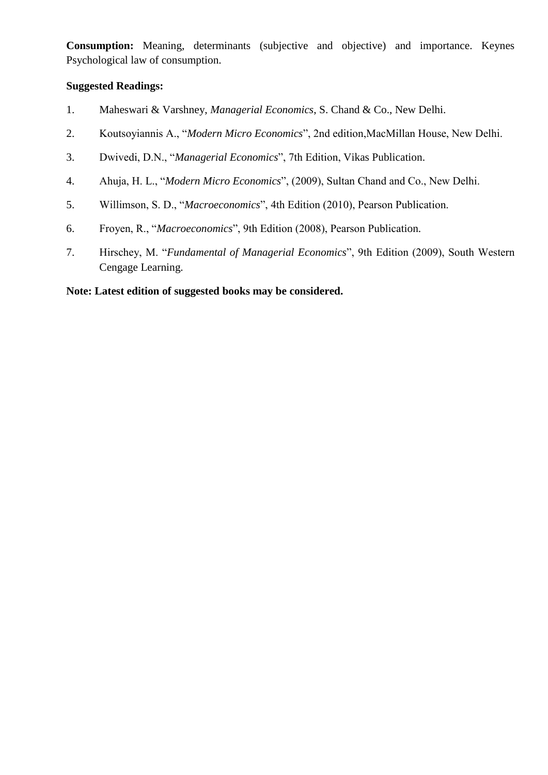**Consumption:** Meaning, determinants (subjective and objective) and importance. Keynes Psychological law of consumption.

# **Suggested Readings:**

- 1. Maheswari & Varshney, *Managerial Economics*, S. Chand & Co., New Delhi.
- 2. Koutsoyiannis A., "*Modern Micro Economics*", 2nd edition,MacMillan House, New Delhi.
- 3. Dwivedi, D.N., "*Managerial Economics*", 7th Edition, Vikas Publication.
- 4. Ahuja, H. L., "*Modern Micro Economics*", (2009), Sultan Chand and Co., New Delhi.
- 5. Willimson, S. D., "*Macroeconomics*", 4th Edition (2010), Pearson Publication.
- 6. Froyen, R., "*Macroeconomics*", 9th Edition (2008), Pearson Publication.
- 7. Hirschey, M. "*Fundamental of Managerial Economics*", 9th Edition (2009), South Western Cengage Learning.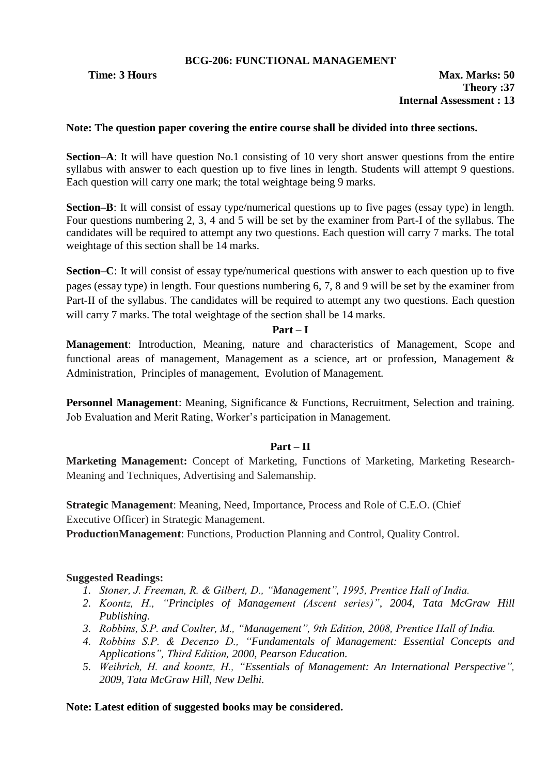# **BCG-206: FUNCTIONAL MANAGEMENT**

# **Note: The question paper covering the entire course shall be divided into three sections.**

**Section–A**: It will have question No.1 consisting of 10 very short answer questions from the entire syllabus with answer to each question up to five lines in length. Students will attempt 9 questions. Each question will carry one mark; the total weightage being 9 marks.

**Section–B**: It will consist of essay type/numerical questions up to five pages (essay type) in length. Four questions numbering 2, 3, 4 and 5 will be set by the examiner from Part-I of the syllabus. The candidates will be required to attempt any two questions. Each question will carry 7 marks. The total weightage of this section shall be 14 marks.

**Section–C**: It will consist of essay type/numerical questions with answer to each question up to five pages (essay type) in length. Four questions numbering 6, 7, 8 and 9 will be set by the examiner from Part-II of the syllabus. The candidates will be required to attempt any two questions. Each question will carry 7 marks. The total weightage of the section shall be 14 marks.

# **Part – I**

**Management**: Introduction, Meaning, nature and characteristics of Management, Scope and functional areas of management, Management as a science, art or profession, Management & Administration, Principles of management, Evolution of Management.

**Personnel Management:** Meaning, Significance & Functions, Recruitment, Selection and training. Job Evaluation and Merit Rating, Worker"s participation in Management.

# **Part – II**

**Marketing Management:** Concept of Marketing, Functions of Marketing, Marketing Research-Meaning and Techniques, Advertising and Salemanship.

**Strategic Management**: Meaning, Need, Importance, Process and Role of C.E.O. (Chief Executive Officer) in Strategic Management.

**ProductionManagement**: Functions, Production Planning and Control, Quality Control.

# **Suggested Readings:**

- *1. Stoner, J. Freeman, R. & Gilbert, D., "Management", 1995, Prentice Hall of India.*
- *2. Koontz, H., "Principles of Management (Ascent series)", 2004, Tata McGraw Hill Publishing.*
- *3. Robbins, S.P. and Coulter, M., "Management", 9th Edition, 2008, Prentice Hall of India.*
- *4. Robbins S.P. & Decenzo D., "Fundamentals of Management: Essential Concepts and Applications", Third Edition, 2000, Pearson Education.*
- *5. Weihrich, H. and koontz, H., "Essentials of Management: An International Perspective", 2009, Tata McGraw Hill, New Delhi.*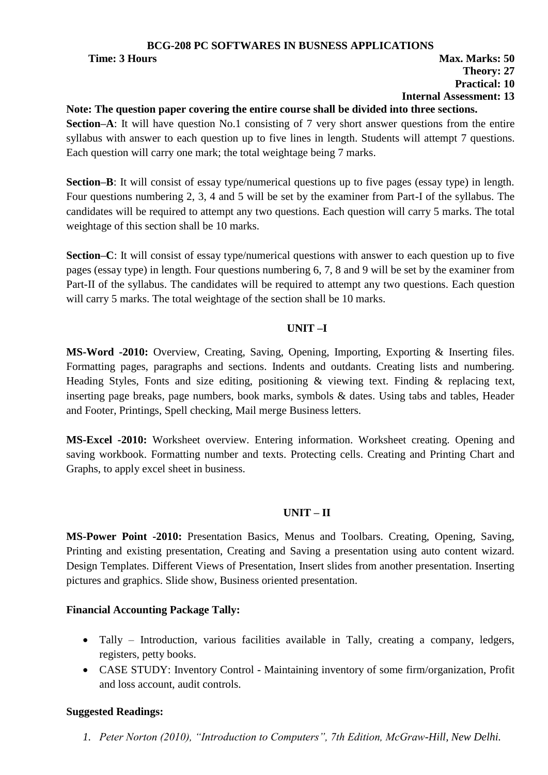# **BCG-208 PC SOFTWARES IN BUSNESS APPLICATIONS**

# **Time: 3 Hours Max. Marks: 50 Theory: 27 Practical: 10**

# **Internal Assessment: 13**

**Note: The question paper covering the entire course shall be divided into three sections. Section–A**: It will have question No.1 consisting of 7 very short answer questions from the entire syllabus with answer to each question up to five lines in length. Students will attempt 7 questions. Each question will carry one mark; the total weightage being 7 marks.

**Section–B**: It will consist of essay type/numerical questions up to five pages (essay type) in length. Four questions numbering 2, 3, 4 and 5 will be set by the examiner from Part-I of the syllabus. The candidates will be required to attempt any two questions. Each question will carry 5 marks. The total weightage of this section shall be 10 marks.

**Section–C**: It will consist of essay type/numerical questions with answer to each question up to five pages (essay type) in length. Four questions numbering 6, 7, 8 and 9 will be set by the examiner from Part-II of the syllabus. The candidates will be required to attempt any two questions. Each question will carry 5 marks. The total weightage of the section shall be 10 marks.

# **UNIT –I**

**MS-Word -2010:** Overview, Creating, Saving, Opening, Importing, Exporting & Inserting files. Formatting pages, paragraphs and sections. Indents and outdants. Creating lists and numbering. Heading Styles, Fonts and size editing, positioning & viewing text. Finding & replacing text, inserting page breaks, page numbers, book marks, symbols & dates. Using tabs and tables, Header and Footer, Printings, Spell checking, Mail merge Business letters.

**MS-Excel -2010:** Worksheet overview. Entering information. Worksheet creating. Opening and saving workbook. Formatting number and texts. Protecting cells. Creating and Printing Chart and Graphs, to apply excel sheet in business.

# **UNIT – II**

**MS-Power Point -2010:** Presentation Basics, Menus and Toolbars. Creating, Opening, Saving, Printing and existing presentation, Creating and Saving a presentation using auto content wizard. Design Templates. Different Views of Presentation, Insert slides from another presentation. Inserting pictures and graphics. Slide show, Business oriented presentation.

# **Financial Accounting Package Tally:**

- Tally Introduction, various facilities available in Tally, creating a company, ledgers, registers, petty books.
- CASE STUDY: Inventory Control Maintaining inventory of some firm/organization, Profit and loss account, audit controls.

# **Suggested Readings:**

*1. Peter Norton (2010), "Introduction to Computers", 7th Edition, McGraw-Hill, New Delhi.*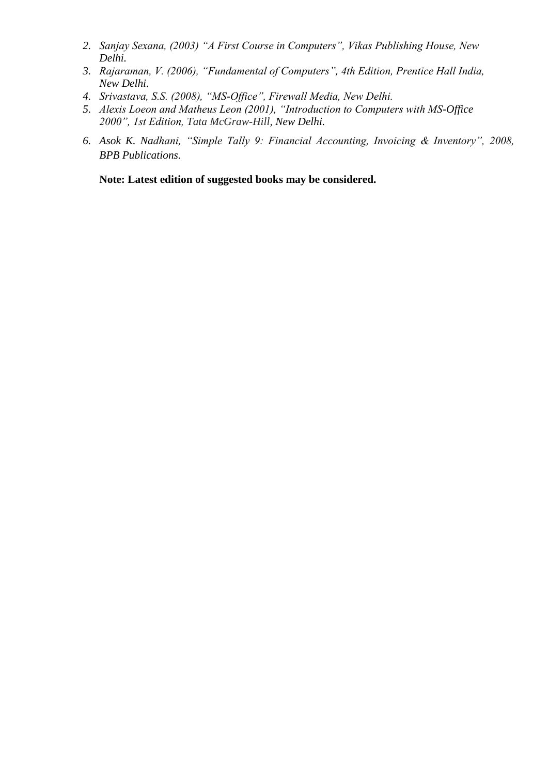- *2. Sanjay Sexana, (2003) "A First Course in Computers", Vikas Publishing House, New Delhi.*
- *3. Rajaraman, V. (2006), "Fundamental of Computers", 4th Edition, Prentice Hall India, New Delhi.*
- *4. Srivastava, S.S. (2008), "MS-Office", Firewall Media, New Delhi.*
- *5. Alexis Loeon and Matheus Leon (2001), "Introduction to Computers with MS-Office 2000", 1st Edition, Tata McGraw-Hill, New Delhi.*
- *6. Asok K. Nadhani, "Simple Tally 9: Financial Accounting, Invoicing & Inventory", 2008, BPB Publications.*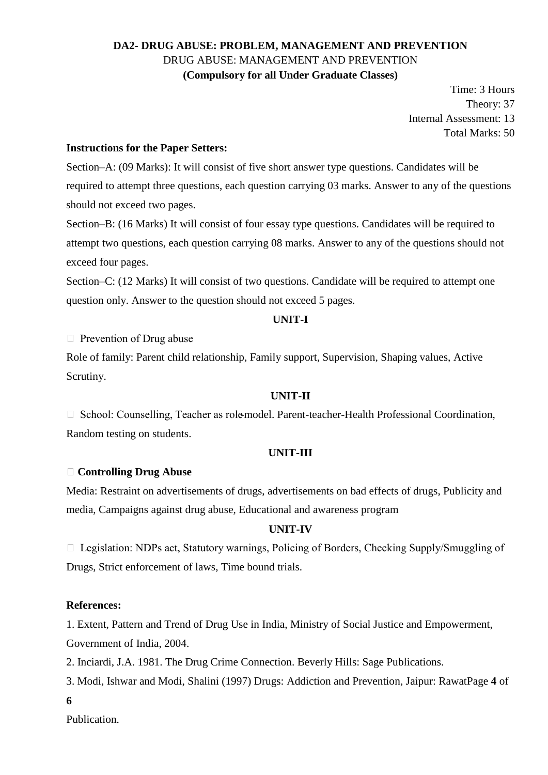# **DA2- DRUG ABUSE: PROBLEM, MANAGEMENT AND PREVENTION** DRUG ABUSE: MANAGEMENT AND PREVENTION **(Compulsory for all Under Graduate Classes)**

Time: 3 Hours Theory: 37 Internal Assessment: 13 Total Marks: 50

# **Instructions for the Paper Setters:**

Section–A: (09 Marks): It will consist of five short answer type questions. Candidates will be required to attempt three questions, each question carrying 03 marks. Answer to any of the questions should not exceed two pages.

Section–B: (16 Marks) It will consist of four essay type questions. Candidates will be required to attempt two questions, each question carrying 08 marks. Answer to any of the questions should not exceed four pages.

Section–C: (12 Marks) It will consist of two questions. Candidate will be required to attempt one question only. Answer to the question should not exceed 5 pages.

## **UNIT-I**

 $\Box$  Prevention of Drug abuse

Role of family: Parent child relationship, Family support, Supervision, Shaping values, Active Scrutiny.

# **UNIT-II**

 $\Box$  School: Counselling, Teacher as role-model. Parent-teacher-Health Professional Coordination, Random testing on students.

# **UNIT-III**

# **Controlling Drug Abuse**

Media: Restraint on advertisements of drugs, advertisements on bad effects of drugs, Publicity and media, Campaigns against drug abuse, Educational and awareness program

### **UNIT-IV**

□ Legislation: NDPs act, Statutory warnings, Policing of Borders, Checking Supply/Smuggling of Drugs, Strict enforcement of laws, Time bound trials.

### **References:**

1. Extent, Pattern and Trend of Drug Use in India, Ministry of Social Justice and Empowerment, Government of India, 2004.

2. Inciardi, J.A. 1981. The Drug Crime Connection. Beverly Hills: Sage Publications.

3. Modi, Ishwar and Modi, Shalini (1997) Drugs: Addiction and Prevention, Jaipur: RawatPage **4** of

**6** 

Publication.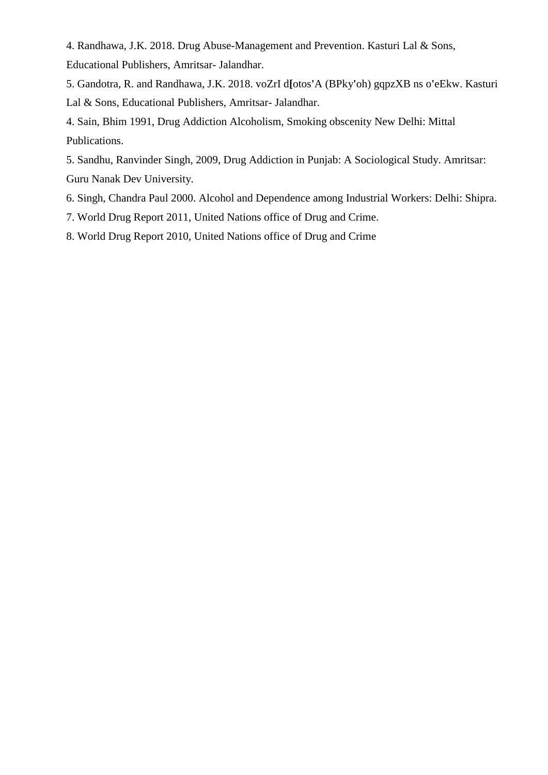4. Randhawa, J.K. 2018. Drug Abuse-Management and Prevention. Kasturi Lal & Sons, Educational Publishers, Amritsar- Jalandhar.

5. Gandotra, R. and Randhawa, J.K. 2018. voZrI d**[**otos**'**A (BPky**'**oh) gqpzXB ns o**'**eEkw. Kasturi Lal & Sons, Educational Publishers, Amritsar- Jalandhar.

4. Sain, Bhim 1991, Drug Addiction Alcoholism, Smoking obscenity New Delhi: Mittal Publications.

5. Sandhu, Ranvinder Singh, 2009, Drug Addiction in Punjab: A Sociological Study. Amritsar: Guru Nanak Dev University.

6. Singh, Chandra Paul 2000. Alcohol and Dependence among Industrial Workers: Delhi: Shipra.

7. World Drug Report 2011, United Nations office of Drug and Crime.

8. World Drug Report 2010, United Nations office of Drug and Crime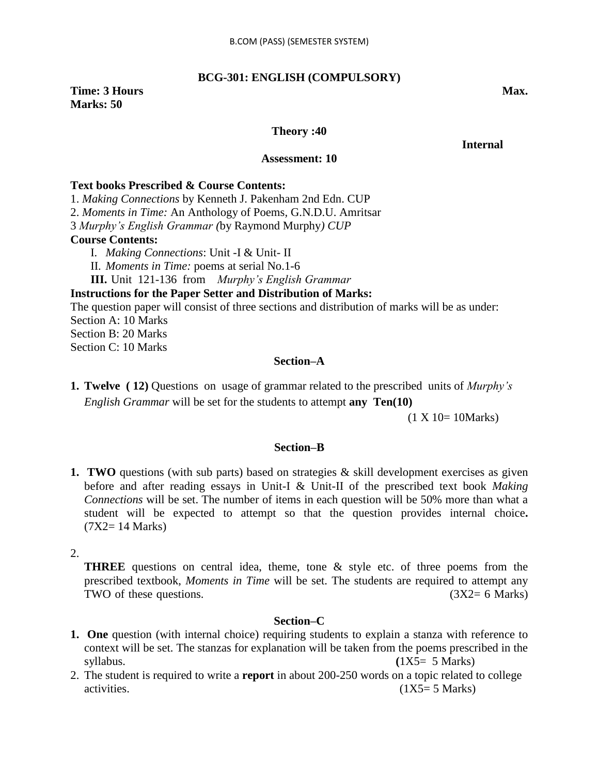### **BCG-301: ENGLISH (COMPULSORY)**

### **Time: 3 Hours Max. Max. Max. Marks: 50**

### **Theory :40**

 **Internal** 

### **Assessment: 10**

### **Text books Prescribed & Course Contents:**

1. *Making Connections* by Kenneth J. Pakenham 2nd Edn. CUP

2. *Moments in Time:* An Anthology of Poems*,* G.N.D.U. Amritsar

3 *Murphy"s English Grammar (*by Raymond Murphy*) CUP*

### **Course Contents:**

- I. *Making Connections*: Unit -I & Unit- II
- II. *Moments in Time:* poems at serial No.1-6

**III.** Unit 121-136 from *Murphy"s English Grammar*

### **Instructions for the Paper Setter and Distribution of Marks:**

The question paper will consist of three sections and distribution of marks will be as under:

Section A: 10 Marks

Section B: 20 Marks

Section C: 10 Marks

### **Section–A**

**1. Twelve ( 12)** Questions on usage of grammar related to the prescribed units of *Murphy"s English Grammar* will be set for the students to attempt **any Ten(10)** 

(1 X 10= 10Marks)

### **Section–B**

**1. TWO** questions (with sub parts) based on strategies & skill development exercises as given before and after reading essays in Unit-I & Unit-II of the prescribed text book *Making Connections* will be set. The number of items in each question will be 50% more than what a student will be expected to attempt so that the question provides internal choice**.**  (7X2= 14 Marks)

2.

**THREE** questions on central idea, theme, tone & style etc. of three poems from the prescribed textbook, *Moments in Time* will be set. The students are required to attempt any TWO of these questions.  $(3X2 = 6 \text{ Marks})$ 

### **Section–C**

- **1. One** question (with internal choice) requiring students to explain a stanza with reference to context will be set. The stanzas for explanation will be taken from the poems prescribed in the  $syllabus.$  (1X5= 5 Marks)
- 2. The student is required to write a **report** in about 200-250 words on a topic related to college activities.  $(1X5=5 \text{ Marks})$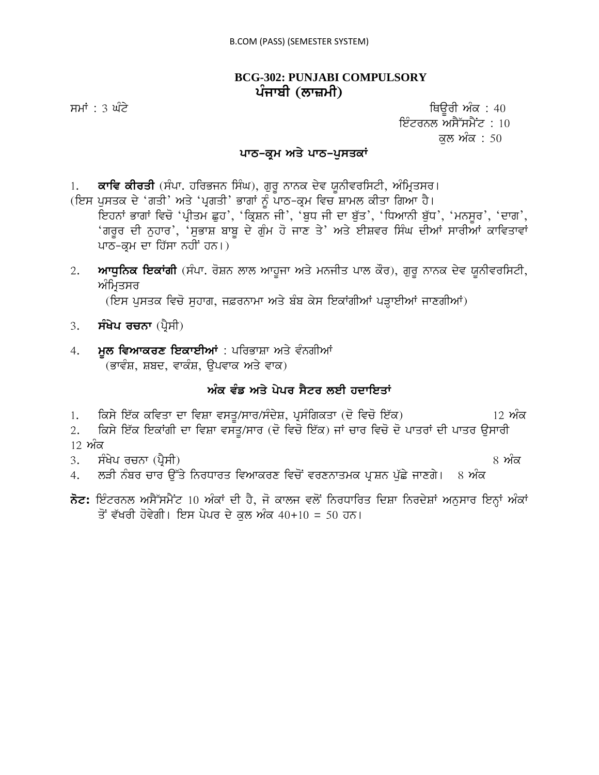### **BCG-302: PUNJABI COMPULSORY** ਪੰਜਾਬੀ (ਲਾਜ਼ਮੀ)

ਸਮਾਂ : 3 ਘੰਟੇ ਪਰਿਆ ਤੇ ਕਿਉਰੀ ਅੰਕ : 40 ਇੰਟਰਨਲ ਅਸੈੱਸਮੈਂਟ : 10 ਕਲ ਅੰਕ : 50

### ਪਾਠ-ਕ੍ਰਮ ਅਤੇ ਪਾਠ-ਪੁਸਤਕਾ<u>ਂ</u>

1. **ਕਾਵਿ ਕੀਰਤੀ** (ਸੰਪਾ. ਹਰਿਭਜਨ ਸਿੰਘ), ਗੁਰੁ ਨਾਨਕ ਦੇਵ ਯੂਨੀਵਰਸਿਟੀ, ਅੰਮ੍ਰਿਤਸਰ।

(ਇਸ ਪੁਸਤਕ ਦੇ 'ਗਤੀ' ਅਤੇ 'ਪ੍ਰਗਤੀ' ਭਾਗਾਂ ਨੂੰ ਪਾਠ-ਕ੍ਰਮ ਵਿਚ ਸ਼ਾਮਲ ਕੀਤਾ ਗਿਆ ਹੈ। ਇਹਨਾਂ ਭਾਗਾਂ ਵਿਚੋ 'ਪ੍ਰੀਤਮ ਛੁਹ', 'ਕ੍ਰਿਸ਼ਨ ਜੀ', 'ਬੁਧ ਜੀ ਦਾ ਬੁੱਤ', 'ਧਿਆਨੀ ਬੁੱਧ', 'ਮਨਸੁਰ', 'ਦਾਗ', 'ਗਰੂਰ ਦੀ ਨੁਹਾਰ', 'ਸੁਭਾਸ਼ ਬਾਬੂ ਦੇ ਗੁੰਮ ਹੋ ਜਾਣ ਤੇ' ਅਤੇ ਈਸ਼ਵਰ ਸਿੰਘ ਦੀਆਂ ਸਾਰੀਅਾਂ ਕਾਵਿਤਾਵਾਂ ਪਾਠ-ਕ੍ਰਮ ਦਾ ਹਿੱਸਾ ਨਹੀਂ ਹਨ।)

2. ਅਾਧੁਨਿਕ ਇਕਾਂਗੀ (ਸੰਪਾ. ਰੋਸ਼ਨ ਲਾਲ ਆਹੁਜਾ ਅਤੇ ਮਨਜੀਤ ਪਾਲ ਕੌਰ), ਗੁਰੂ ਨਾਨਕ ਦੇਵ ਯੂਨੀਵਰਸਿਟੀ, ਅੰਮ੍ਰਿਤਸਰ

(ਇਸ ਪੁਸਤਕ ਵਿਚੋਂ ਸੁਹਾਗ, ਜਫ਼ਰਨਾਮਾ ਅਤੇ ਬੰਬ ਕੇਸ ਇਕਾਂਗੀਆਂ ਪੜ੍ਹਾਈਆਂ ਜਾਣਗੀਆਂ)

- 3. **ਸੰਖੇਪ ਰਚਨਾ** (ਪ੍ਰੈਸੀ)
- 4. **ਮੁਲ ਵਿਆਕਰਣ ਇਕਾਈਆਂ** : ਪਰਿਭਾਸ਼ਾ ਅਤੇ ਵੰਨਗੀਆਂ (ਭਾਵੰਸ਼, ਸ਼ਬਦ, ਵਾਕੰਸ਼, ਉਪਵਾਕ ਅਤੇ ਵਾਕ)

### <u>ਅੰਕ ਵੰਡ ਅਤੇ ਪੇਪਰ ਸੈਟਰ ਲਈ ਹਦਾਇਤਾਂ</u>

1. iksy ie`k kivqw dw ivSw vsqU/swr/sMdyS, pRsMigkqw (do ivco ie`k) 12 AMk

2. ਕਿਸੇ ਇੱਕ ਇਕਾਂਗੀ ਦਾ ਵਿਸ਼ਾ ਵਸਤ/ਸਾਰ (ਦੋ ਵਿਚੋ ਇੱਕ) ਜਾਂ ਚਾਰ ਵਿਚੋ ਦੋ ਪਾਤਰਾਂ ਦੀ ਪਾਤਰ ਉਸਾਰੀ <u>12 ਅੰਕ</u>

3. sMKyp rcnw (pRYsI) 8 AMk

- 4. ਲੜੀ ਨੰਬਰ ਚਾਰ ਉੱਤੇ ਨਿਰਧਾਰਤ ਵਿਆਕਰਣ ਵਿਚੋਂ ਵਰਣਨਾਤਮਕ ਪ੍ਰਸ਼ਨ ਪੁੱਛੇ ਜਾਣਗੇ। 8 ਅੰਕ
- $\overline{\delta}$ ਟ: ਇੰਟਰਨਲ ਅਸੈੱਸਮੈਂਟ 10 ਅੰਕਾਂ ਦੀ ਹੈ, ਜੋ ਕਾਲਜ ਵਲੋਂ ਨਿਰਧਾਰਿਤ ਦਿਸ਼ਾ ਨਿਰਦੇਸ਼ਾਂ ਅਨੁਸਾਰ ਇਨ੍ਹਾਂ ਅੰਕਾਂ ਤੋਂ ਵੱਖਰੀ ਹੋਵੇਗੀ। ਇਸ ਪੇਪਰ ਦੇ ਕਲ ਅੰਕ 40+10 = 50 ਹਨ।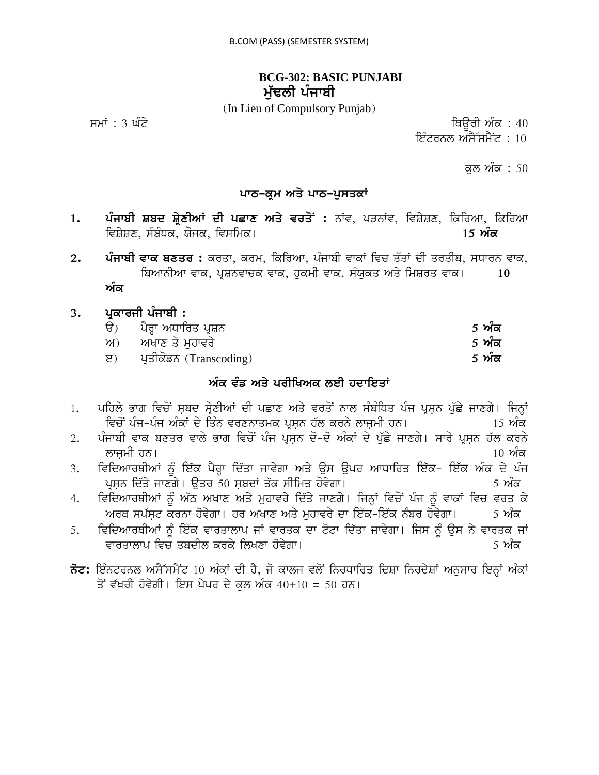### **BCG-302: BASIC PUNJABI** ਮੱਢਲੀ ਪੰਜਾਬੀ

(In Lieu of Compulsory Punjab)

ਸਮਾਂ : 3 ਘੰਟੇ ਪਰਿਆ ਤੇ ਕਿਉਰੀ ਅੰਕ : 40

ਇੰਟਰਨਲ ਅਸੈੱਸਮੈਂਟ :  $10$ 

ਕਲ ਅੰਕ : 50

### ਪਾਠ–ਕ੍ਰਮ ਅਤੇ ਪਾਠ–ਪੁਸਤਕਾਂ

- 1. ਪੰਜਾਬੀ ਸ਼ਬਦ ਸ਼੍ਰੇਣੀਆਂ ਦੀ ਪਛਾਣ ਅਤੇ ਵਰਤੋਂ: ਨਾਂਵ, ਪੜਨਾਂਵ, ਵਿਸ਼ੇਸ਼ਣ, ਕਿਰਿਆ, ਕਿਰਿਆ ivSySx, sMbMDk, Xojk, ivsimk[ **15 AMk**
- 2. ਪੰਜਾਬੀ ਵਾਕ ਬਣਤਰ : ਕਰਤਾ, ਕਰਮ, ਕਿਰਿਆ, ਪੰਜਾਬੀ ਵਾਕਾਂ ਵਿਚ ਤੱਤਾਂ ਦੀ ਤਰਤੀਬ, ਸਧਾਰਨ ਵਾਕ, ਬਿਆਨੀਆ ਵਾਕ, ਪੁਸ਼ਨਵਾਚਕ ਵਾਕ, ਹੁਕਮੀ ਵਾਕ, ਸੰਯੁਕਤ ਅਤੇ ਮਿਸ਼ਰਤ ਵਾਕ। 10 ਅੰਕ

### 3. ਪੁਕਾਰਜੀ ਪੰਜਾਬੀ **:**

| $\Theta$ | ਪੈਰ੍ਹਾ ਅਧਾਰਿਤ ਪ੍ਰਸ਼ਨ       | <u>5 ਅੰਕ</u> |
|----------|----------------------------|--------------|
|          | ਅ) ਅਖਾਣ ਤੇ ਮਹਾਵਰੇ          | <u>5 ਅੰਕ</u> |
|          | ੲ) ਪ੍ਰਤੀਕੋਡਨ (Transcoding) | <u>5 ਅੰਕ</u> |

### ਅੰਕ ਵੰਡ ਅਤੇ ਪਰੀਖਿਅਕ ਲਈ ਹਦਾਇਤਾ<u>ਂ</u>

- <u>।. ਪਹਿਲੇ ਭਾਗ ਵਿਚੋਂ ਸਬਦ ਸ੍ਰੇਣੀਆਂ ਦੀ ਪਛਾਣ ਅਤੇ ਵਰਤੋਂ ਨਾਲ ਸੰਬੰਧਿਤ ਪੰਜ ਪੁਸਨ ਪੱਛੇ ਜਾਣਗੇ। ਜਿਨ੍ਹਾਂ</u> ਵਿਚੋਂ ਪੰਜ-ਪੰਜ ਅੰਕਾਂ ਦੇ ਤਿੰਨ ਵਰਣਨਾਤਮਕ ਪੁਸ਼ਨ ਹੱਲ ਕਰਨੇ ਲਾਜ਼ਮੀ ਹਨ। ।5 ਅੰਕ
- 2. ਪੰਜਾਬੀ ਵਾਕ ਬਣਤਰ ਵਾਲੇ ਭਾਗ ਵਿਚੋਂ ਪੰਜ ਪੁਸਨ ਦੋ-ਦੋ ਅੰਕਾਂ ਦੇ ਪੱਛੇ ਜਾਣਗੇ। ਸਾਰੇ ਪੁਸਨ ਹੱਲ ਕਰਨੇ lwjæmI hn[ 10 AMk
- 3. ਵਿਦਿਆਰਥੀਆਂ ਨੂੰ ਇੱਕ ਪੈਰ੍ਹਾ ਦਿੱਤਾ ਜਾਵੇਗਾ ਅਤੇ ਉਸ ਉਪਰ ਆਧਾਰਿਤ ਇੱਕ- ਇੱਕ ਅੰਕ ਦੇ ਪੰਜ pRsæn id`qy jwxgy[ auqr 50 sæbdW q`k sIimq hovygw[ 5 AMk
- 4. ਵਿਦਿਆਰਥੀਆਂ ਨੂੰ ਅੱਠ ਅਖਾਣ ਅਤੇ ਮੁਹਾਵਰੇ ਦਿੱਤੇ ਜਾਣਗੇ। ਜਿਨ੍ਹਾਂ ਵਿਚੋਂ ਪੰਜ ਨੂੰ ਵਾਕਾਂ ਵਿਚ ਵਰਤ ਕੇ ਅਰਥ ਸਪੱਸਟ ਕਰਨਾ ਹੋਵੇਗਾ। ਹਰ ਅਖਾਣ ਅਤੇ ਮਹਾਵਰੇ ਦਾ ਇੱਕ-ਇੱਕ ਨੰਬਰ ਹੋਵੇਗਾ। 5 ਅੰਕ
- 5. ਵਿਦਿਆਰਥੀਆਂ ਨੂੰ ਇੱਕ ਵਾਰਤਾਲਾਪ ਜਾਂ ਵਾਰਤਕ ਦਾ ਟੋਟਾ ਦਿੱਤਾ ਜਾਵੇਗਾ। ਜਿਸ ਨੂੰ ਉਸ ਨੇ ਵਾਰਤਕ ਜਾਂ vwrqwlwp ivc qbdIl krky ilKxw hovygw[ 5 AMk
- $\vec{\delta}$ ਟ: ਇੰਨਟਰਨਲ ਅਸੈੱਸਮੈਂਟ 10 ਅੰਕਾਂ ਦੀ ਹੈ, ਜੋ ਕਾਲਜ ਵਲੋਂ ਨਿਰਧਾਰਿਤ ਦਿਸ਼ਾ ਨਿਰਦੇਸ਼ਾਂ ਅਨੁਸਾਰ ਇਨ੍ਹਾਂ ਅੰਕਾਂ ਤੋਂ ਵੱਖਰੀ ਹੋਵੇਗੀ। ਇਸ ਪੇਪਰ ਦੇ ਕਲ ਅੰਕ 40+10 = 50 ਹਨ।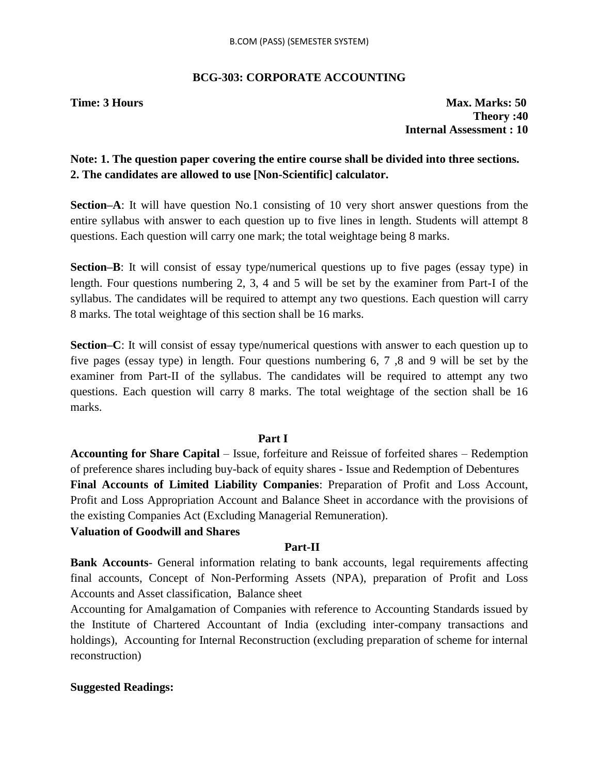### **BCG-303: CORPORATE ACCOUNTING**

**Time: 3 Hours Max. Marks: 50 Theory :40 Internal Assessment : 10**

### **Note: 1. The question paper covering the entire course shall be divided into three sections. 2. The candidates are allowed to use [Non-Scientific] calculator.**

**Section–A**: It will have question No.1 consisting of 10 very short answer questions from the entire syllabus with answer to each question up to five lines in length. Students will attempt 8 questions. Each question will carry one mark; the total weightage being 8 marks.

**Section–B**: It will consist of essay type/numerical questions up to five pages (essay type) in length. Four questions numbering 2, 3, 4 and 5 will be set by the examiner from Part-I of the syllabus. The candidates will be required to attempt any two questions. Each question will carry 8 marks. The total weightage of this section shall be 16 marks.

**Section–C**: It will consist of essay type/numerical questions with answer to each question up to five pages (essay type) in length. Four questions numbering 6, 7 ,8 and 9 will be set by the examiner from Part-II of the syllabus. The candidates will be required to attempt any two questions. Each question will carry 8 marks. The total weightage of the section shall be 16 marks.

### **Part I**

**Accounting for Share Capital** – Issue, forfeiture and Reissue of forfeited shares – Redemption of preference shares including buy-back of equity shares - Issue and Redemption of Debentures **Final Accounts of Limited Liability Companies**: Preparation of Profit and Loss Account, Profit and Loss Appropriation Account and Balance Sheet in accordance with the provisions of the existing Companies Act (Excluding Managerial Remuneration).

### **Valuation of Goodwill and Shares**

### **Part-II**

**Bank Accounts**- General information relating to bank accounts, legal requirements affecting final accounts, Concept of Non-Performing Assets (NPA), preparation of Profit and Loss Accounts and Asset classification, Balance sheet

Accounting for Amalgamation of Companies with reference to Accounting Standards issued by the Institute of Chartered Accountant of India (excluding inter-company transactions and holdings), Accounting for Internal Reconstruction (excluding preparation of scheme for internal reconstruction)

### **Suggested Readings:**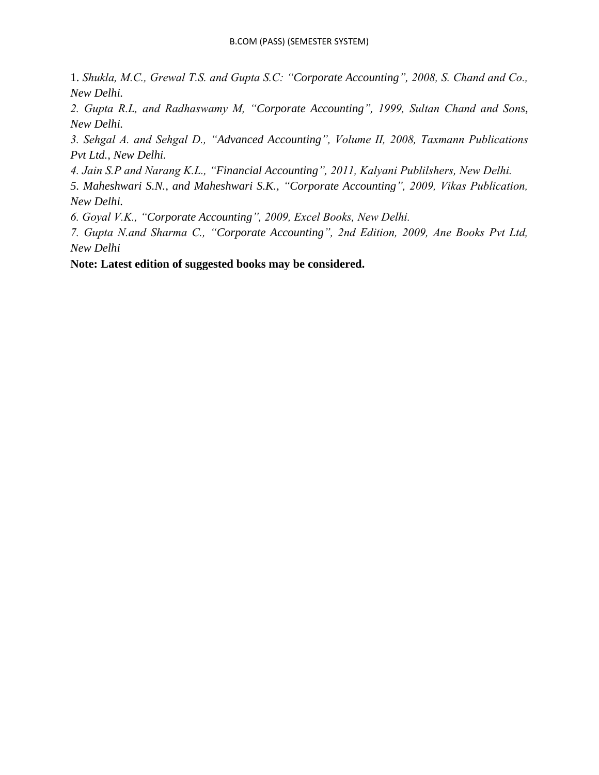1. *Shukla, M.C., Grewal T.S. and Gupta S.C: "Corporate Accounting", 2008, S. Chand and Co., New Delhi.*

*2. Gupta R.L, and Radhaswamy M, "Corporate Accounting", 1999, Sultan Chand and Sons, New Delhi.*

*3. Sehgal A. and Sehgal D., "Advanced Accounting", Volume II, 2008, Taxmann Publications Pvt Ltd., New Delhi.*

*4. Jain S.P and Narang K.L., "Financial Accounting", 2011, Kalyani Publilshers, New Delhi.*

*5. Maheshwari S.N., and Maheshwari S.K., "Corporate Accounting", 2009, Vikas Publication, New Delhi.*

*6. Goyal V.K., "Corporate Accounting", 2009, Excel Books, New Delhi.*

*7. Gupta N.and Sharma C., "Corporate Accounting", 2nd Edition, 2009, Ane Books Pvt Ltd, New Delhi*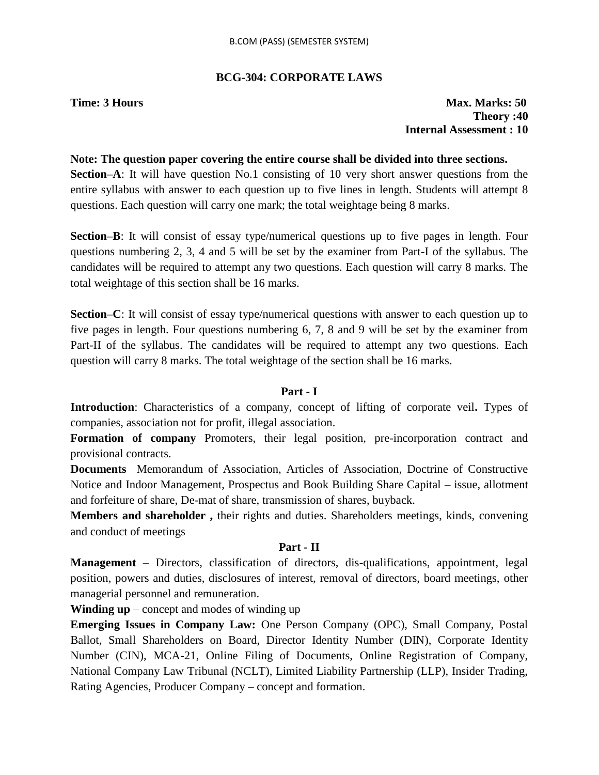### **BCG-304: CORPORATE LAWS**

**Time: 3 Hours Max. Marks: 50 Theory :40 Internal Assessment : 10**

### **Note: The question paper covering the entire course shall be divided into three sections.**

**Section–A**: It will have question No.1 consisting of 10 very short answer questions from the entire syllabus with answer to each question up to five lines in length. Students will attempt 8 questions. Each question will carry one mark; the total weightage being 8 marks.

**Section–B**: It will consist of essay type/numerical questions up to five pages in length. Four questions numbering 2, 3, 4 and 5 will be set by the examiner from Part-I of the syllabus. The candidates will be required to attempt any two questions. Each question will carry 8 marks. The total weightage of this section shall be 16 marks.

**Section–C**: It will consist of essay type/numerical questions with answer to each question up to five pages in length. Four questions numbering 6, 7, 8 and 9 will be set by the examiner from Part-II of the syllabus. The candidates will be required to attempt any two questions. Each question will carry 8 marks. The total weightage of the section shall be 16 marks.

### **Part - I**

**Introduction**: Characteristics of a company, concept of lifting of corporate veil**.** Types of companies, association not for profit, illegal association.

**Formation of company** Promoters, their legal position, pre-incorporation contract and provisional contracts.

**Documents** Memorandum of Association, Articles of Association, Doctrine of Constructive Notice and Indoor Management, Prospectus and Book Building Share Capital – issue, allotment and forfeiture of share, De-mat of share, transmission of shares, buyback.

**Members and shareholder ,** their rights and duties. Shareholders meetings, kinds, convening and conduct of meetings

### **Part - II**

**Management** – Directors, classification of directors, dis-qualifications, appointment, legal position, powers and duties, disclosures of interest, removal of directors, board meetings, other managerial personnel and remuneration.

**Winding up** – concept and modes of winding up

**Emerging Issues in Company Law:** One Person Company (OPC), Small Company, Postal Ballot, Small Shareholders on Board, Director Identity Number (DIN), Corporate Identity Number (CIN), MCA-21, Online Filing of Documents, Online Registration of Company, National Company Law Tribunal (NCLT), Limited Liability Partnership (LLP), Insider Trading, Rating Agencies, Producer Company – concept and formation.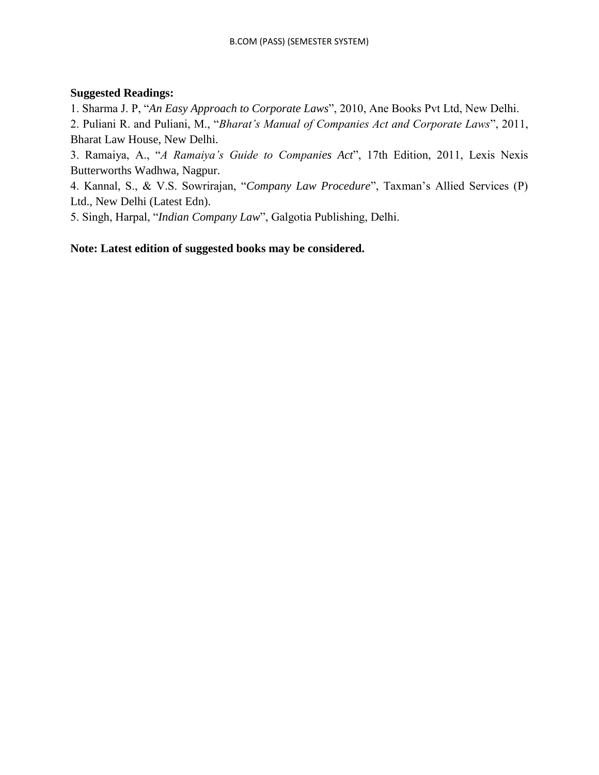### **Suggested Readings:**

1. Sharma J. P, "*An Easy Approach to Corporate Laws*", 2010, Ane Books Pvt Ltd, New Delhi.

2. Puliani R. and Puliani, M., "*Bharat"s Manual of Companies Act and Corporate Laws*", 2011, Bharat Law House, New Delhi.

3. Ramaiya, A., "*A Ramaiya"s Guide to Companies Act*", 17th Edition, 2011, Lexis Nexis Butterworths Wadhwa, Nagpur.

4. Kannal, S., & V.S. Sowrirajan, "*Company Law Procedure*", Taxman"s Allied Services (P) Ltd., New Delhi (Latest Edn).

5. Singh, Harpal, "*Indian Company Law*", Galgotia Publishing, Delhi.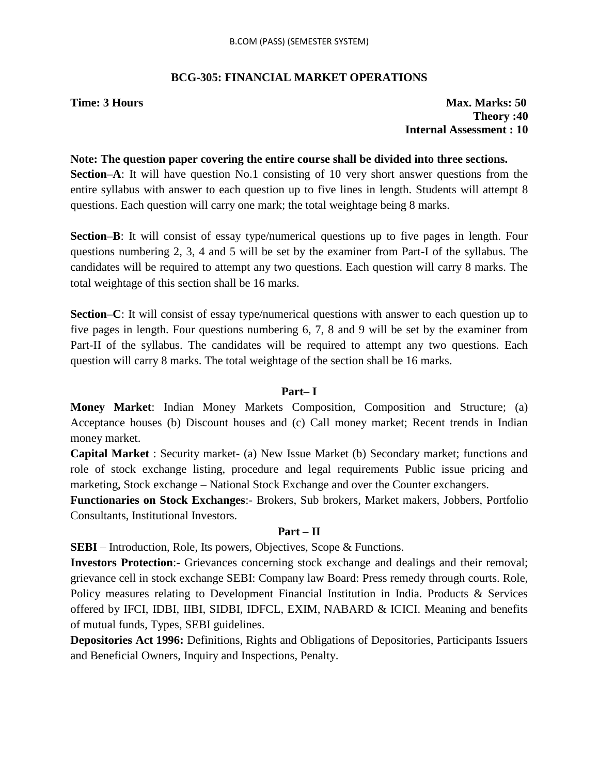### **BCG-305: FINANCIAL MARKET OPERATIONS**

**Time: 3 Hours Max. Marks: 50 Theory :40 Internal Assessment : 10**

## **Note: The question paper covering the entire course shall be divided into three sections.**

**Section–A**: It will have question No.1 consisting of 10 very short answer questions from the entire syllabus with answer to each question up to five lines in length. Students will attempt 8 questions. Each question will carry one mark; the total weightage being 8 marks.

**Section–B**: It will consist of essay type/numerical questions up to five pages in length. Four questions numbering 2, 3, 4 and 5 will be set by the examiner from Part-I of the syllabus. The candidates will be required to attempt any two questions. Each question will carry 8 marks. The total weightage of this section shall be 16 marks.

**Section–C**: It will consist of essay type/numerical questions with answer to each question up to five pages in length. Four questions numbering 6, 7, 8 and 9 will be set by the examiner from Part-II of the syllabus. The candidates will be required to attempt any two questions. Each question will carry 8 marks. The total weightage of the section shall be 16 marks.

### **Part– I**

**Money Market**: Indian Money Markets Composition, Composition and Structure; (a) Acceptance houses (b) Discount houses and (c) Call money market; Recent trends in Indian money market.

**Capital Market** : Security market- (a) New Issue Market (b) Secondary market; functions and role of stock exchange listing, procedure and legal requirements Public issue pricing and marketing, Stock exchange – National Stock Exchange and over the Counter exchangers.

**Functionaries on Stock Exchanges**:- Brokers, Sub brokers, Market makers, Jobbers, Portfolio Consultants, Institutional Investors.

### **Part – II**

**SEBI** – Introduction, Role, Its powers, Objectives, Scope & Functions.

**Investors Protection**:- Grievances concerning stock exchange and dealings and their removal; grievance cell in stock exchange SEBI: Company law Board: Press remedy through courts. Role, Policy measures relating to Development Financial Institution in India. Products & Services offered by IFCI, IDBI, IIBI, SIDBI, IDFCL, EXIM, NABARD & ICICI. Meaning and benefits of mutual funds, Types, SEBI guidelines.

**Depositories Act 1996:** Definitions, Rights and Obligations of Depositories, Participants Issuers and Beneficial Owners, Inquiry and Inspections, Penalty.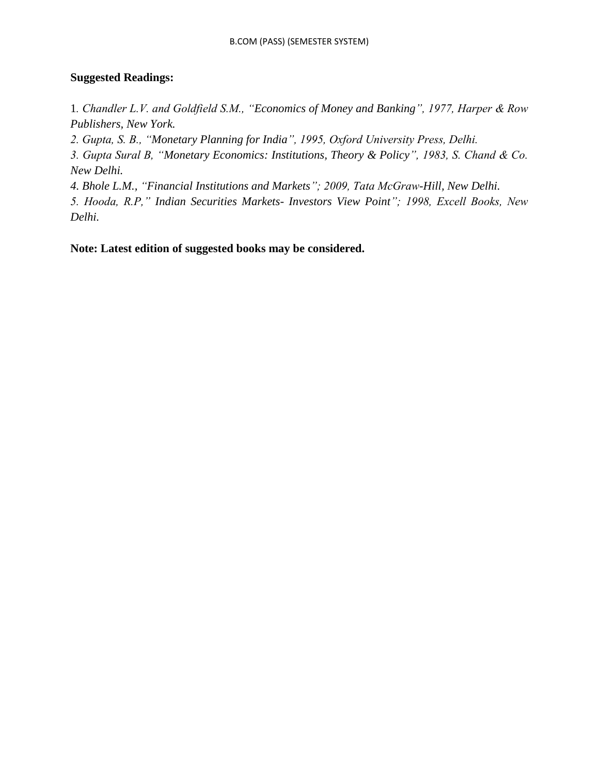### **Suggested Readings:**

1*. Chandler L.V. and Goldfield S.M., "Economics of Money and Banking", 1977, Harper & Row Publishers, New York.*

*2. Gupta, S. B., "Monetary Planning for India", 1995, Oxford University Press, Delhi.*

*3. Gupta Sural B, "Monetary Economics: Institutions, Theory & Policy", 1983, S. Chand & Co. New Delhi.*

*4. Bhole L.M., "Financial Institutions and Markets"; 2009, Tata McGraw-Hill, New Delhi.*

*5. Hooda, R.P," Indian Securities Markets- Investors View Point"; 1998, Excell Books, New Delhi.*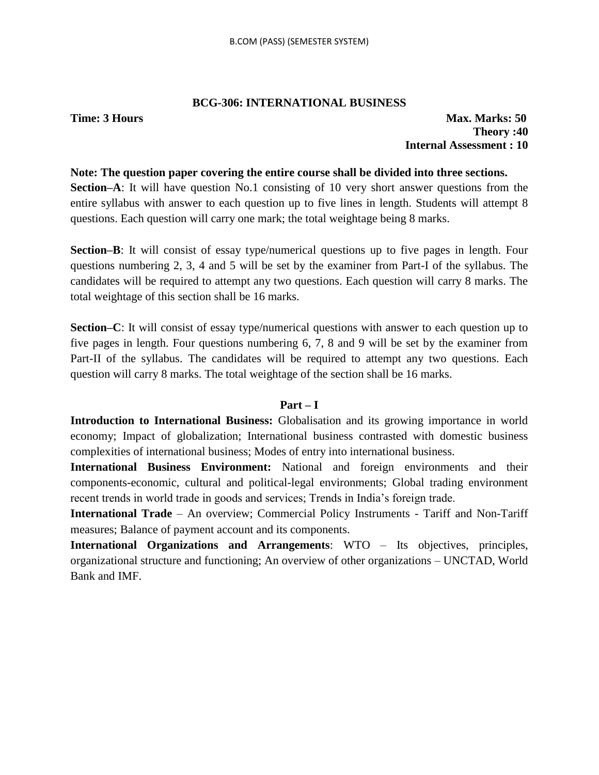### **BCG-306: INTERNATIONAL BUSINESS**

### **Time: 3 Hours Max. Marks: 50 Theory :40 Internal Assessment : 10**

### **Note: The question paper covering the entire course shall be divided into three sections.**

**Section–A**: It will have question No.1 consisting of 10 very short answer questions from the entire syllabus with answer to each question up to five lines in length. Students will attempt 8 questions. Each question will carry one mark; the total weightage being 8 marks.

**Section–B**: It will consist of essay type/numerical questions up to five pages in length. Four questions numbering 2, 3, 4 and 5 will be set by the examiner from Part-I of the syllabus. The candidates will be required to attempt any two questions. Each question will carry 8 marks. The total weightage of this section shall be 16 marks.

**Section–C**: It will consist of essay type/numerical questions with answer to each question up to five pages in length. Four questions numbering 6, 7, 8 and 9 will be set by the examiner from Part-II of the syllabus. The candidates will be required to attempt any two questions. Each question will carry 8 marks. The total weightage of the section shall be 16 marks.

### **Part – I**

**Introduction to International Business:** Globalisation and its growing importance in world economy; Impact of globalization; International business contrasted with domestic business complexities of international business; Modes of entry into international business.

**International Business Environment:** National and foreign environments and their components-economic, cultural and political-legal environments; Global trading environment recent trends in world trade in goods and services; Trends in India"s foreign trade.

**International Trade** – An overview; Commercial Policy Instruments - Tariff and Non-Tariff measures; Balance of payment account and its components.

**International Organizations and Arrangements**: WTO – Its objectives, principles, organizational structure and functioning; An overview of other organizations – UNCTAD, World Bank and IMF.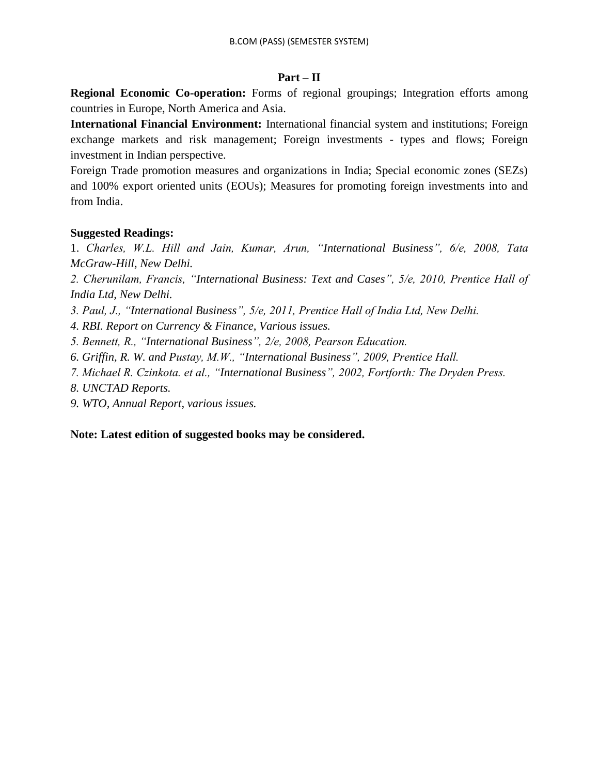### **Part – II**

**Regional Economic Co-operation:** Forms of regional groupings; Integration efforts among countries in Europe, North America and Asia.

**International Financial Environment:** International financial system and institutions; Foreign exchange markets and risk management; Foreign investments - types and flows; Foreign investment in Indian perspective.

Foreign Trade promotion measures and organizations in India; Special economic zones (SEZs) and 100% export oriented units (EOUs); Measures for promoting foreign investments into and from India.

### **Suggested Readings:**

1. *Charles, W.L. Hill and Jain, Kumar, Arun, "International Business", 6/e, 2008, Tata McGraw-Hill, New Delhi.*

*2. Cherunilam, Francis, "International Business: Text and Cases", 5/e, 2010, Prentice Hall of India Ltd, New Delhi.*

- *3. Paul, J., "International Business", 5/e, 2011, Prentice Hall of India Ltd, New Delhi.*
- *4. RBI. Report on Currency & Finance, Various issues.*

*5. Bennett, R., "International Business", 2/e, 2008, Pearson Education.*

*6. Griffin, R. W. and Pustay, M.W., "International Business", 2009, Prentice Hall.*

*7. Michael R. Czinkota. et al., "International Business", 2002, Fortforth: The Dryden Press.*

*8. UNCTAD Reports.*

*9. WTO, Annual Report, various issues.*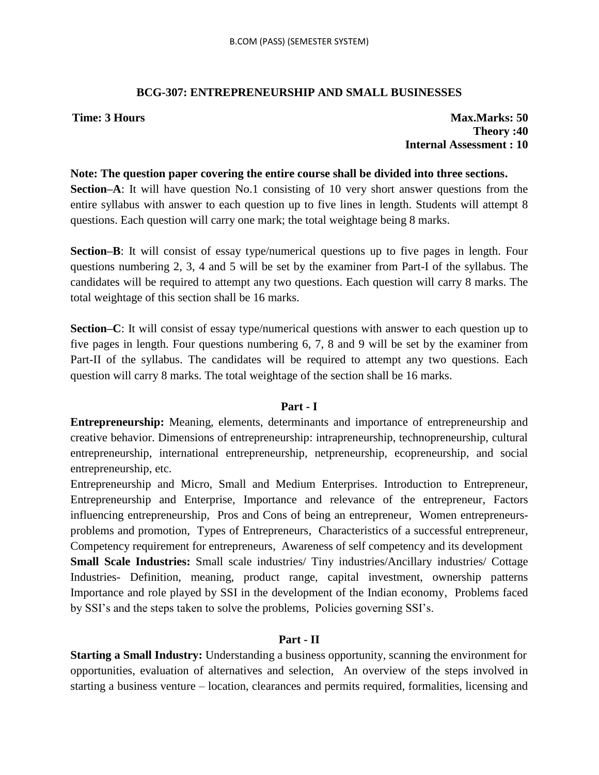### **BCG-307: ENTREPRENEURSHIP AND SMALL BUSINESSES**

**Time: 3 Hours Max.Marks: 50**  Max.Marks: 50 **Theory :40 Internal Assessment : 10**

### **Note: The question paper covering the entire course shall be divided into three sections.**

**Section–A**: It will have question No.1 consisting of 10 very short answer questions from the entire syllabus with answer to each question up to five lines in length. Students will attempt 8 questions. Each question will carry one mark; the total weightage being 8 marks.

**Section–B**: It will consist of essay type/numerical questions up to five pages in length. Four questions numbering 2, 3, 4 and 5 will be set by the examiner from Part-I of the syllabus. The candidates will be required to attempt any two questions. Each question will carry 8 marks. The total weightage of this section shall be 16 marks.

**Section–C**: It will consist of essay type/numerical questions with answer to each question up to five pages in length. Four questions numbering 6, 7, 8 and 9 will be set by the examiner from Part-II of the syllabus. The candidates will be required to attempt any two questions. Each question will carry 8 marks. The total weightage of the section shall be 16 marks.

### **Part - I**

**Entrepreneurship:** Meaning, elements, determinants and importance of entrepreneurship and creative behavior. Dimensions of entrepreneurship: intrapreneurship, technopreneurship, cultural entrepreneurship, international entrepreneurship, netpreneurship, ecopreneurship, and social entrepreneurship, etc.

Entrepreneurship and Micro, Small and Medium Enterprises. Introduction to Entrepreneur, Entrepreneurship and Enterprise, Importance and relevance of the entrepreneur, Factors influencing entrepreneurship, Pros and Cons of being an entrepreneur, Women entrepreneursproblems and promotion, Types of Entrepreneurs, Characteristics of a successful entrepreneur, Competency requirement for entrepreneurs, Awareness of self competency and its development **Small Scale Industries:** Small scale industries/ Tiny industries/Ancillary industries/ Cottage Industries- Definition, meaning, product range, capital investment, ownership patterns Importance and role played by SSI in the development of the Indian economy, Problems faced by SSI"s and the steps taken to solve the problems, Policies governing SSI"s.

### **Part - II**

**Starting a Small Industry:** Understanding a business opportunity, scanning the environment for opportunities, evaluation of alternatives and selection, An overview of the steps involved in starting a business venture – location, clearances and permits required, formalities, licensing and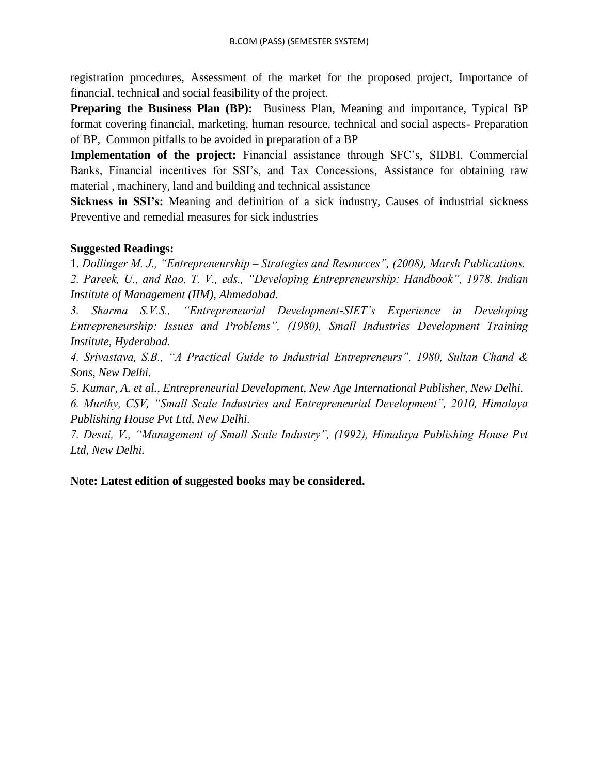registration procedures, Assessment of the market for the proposed project, Importance of financial, technical and social feasibility of the project.

**Preparing the Business Plan (BP):** Business Plan, Meaning and importance, Typical BP format covering financial, marketing, human resource, technical and social aspects- Preparation of BP, Common pitfalls to be avoided in preparation of a BP

**Implementation of the project:** Financial assistance through SFC"s, SIDBI, Commercial Banks, Financial incentives for SSI"s, and Tax Concessions, Assistance for obtaining raw material , machinery, land and building and technical assistance

**Sickness in SSI's:** Meaning and definition of a sick industry, Causes of industrial sickness Preventive and remedial measures for sick industries

### **Suggested Readings:**

1. *Dollinger M. J., "Entrepreneurship – Strategies and Resources", (2008), Marsh Publications.*

*2. Pareek, U., and Rao, T. V., eds., "Developing Entrepreneurship: Handbook", 1978, Indian Institute of Management (IIM), Ahmedabad.*

*3. Sharma S.V.S., "Entrepreneurial Development-SIET"s Experience in Developing Entrepreneurship: Issues and Problems", (1980), Small Industries Development Training Institute, Hyderabad.*

*4. Srivastava, S.B., "A Practical Guide to Industrial Entrepreneurs", 1980, Sultan Chand & Sons, New Delhi.*

*5. Kumar, A. et al., Entrepreneurial Development, New Age International Publisher, New Delhi.*

*6. Murthy, CSV, "Small Scale Industries and Entrepreneurial Development", 2010, Himalaya Publishing House Pvt Ltd, New Delhi.*

*7. Desai, V., "Management of Small Scale Industry", (1992), Himalaya Publishing House Pvt Ltd, New Delhi.*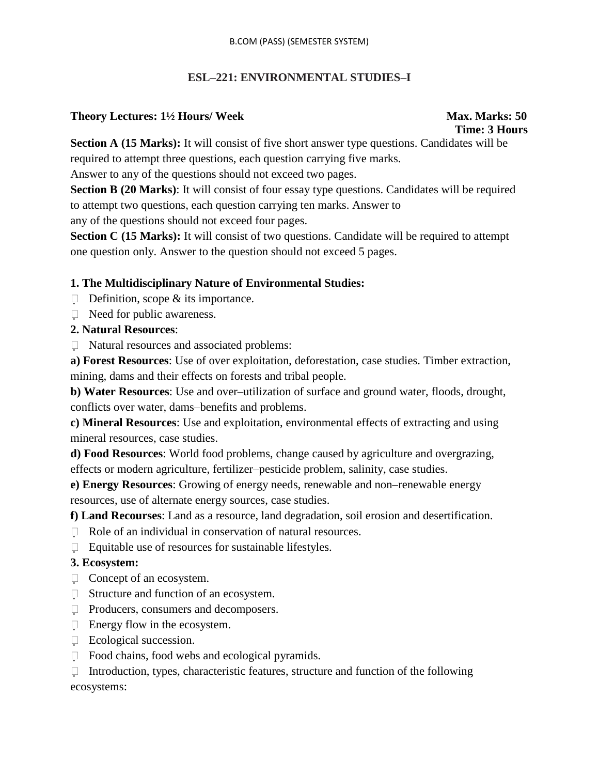### **ESL–221: ENVIRONMENTAL STUDIES–I**

### **Theory Lectures: 1½ Hours/ Week Max. Marks: 50**

# **Time: 3 Hours**

**Section A (15 Marks):** It will consist of five short answer type questions. Candidates will be required to attempt three questions, each question carrying five marks.

Answer to any of the questions should not exceed two pages.

**Section B (20 Marks):** It will consist of four essay type questions. Candidates will be required to attempt two questions, each question carrying ten marks. Answer to any of the questions should not exceed four pages.

**Section C (15 Marks):** It will consist of two questions. Candidate will be required to attempt one question only. Answer to the question should not exceed 5 pages.

### **1. The Multidisciplinary Nature of Environmental Studies:**

- $\Box$  Definition, scope & its importance.
- $\Box$  Need for public awareness.

### **2. Natural Resources**:

Natural resources and associated problems:

**a) Forest Resources**: Use of over exploitation, deforestation, case studies. Timber extraction, mining, dams and their effects on forests and tribal people.

**b) Water Resources**: Use and over–utilization of surface and ground water, floods, drought, conflicts over water, dams–benefits and problems.

**c) Mineral Resources**: Use and exploitation, environmental effects of extracting and using mineral resources, case studies.

**d) Food Resources**: World food problems, change caused by agriculture and overgrazing, effects or modern agriculture, fertilizer–pesticide problem, salinity, case studies.

**e) Energy Resources**: Growing of energy needs, renewable and non–renewable energy resources, use of alternate energy sources, case studies.

**f) Land Recourses**: Land as a resource, land degradation, soil erosion and desertification.

- $\Box$  Role of an individual in conservation of natural resources.
- $\Box$  Equitable use of resources for sustainable lifestyles.

### **3. Ecosystem:**

- □ Concept of an ecosystem.
- □ Structure and function of an ecosystem.
- □ Producers, consumers and decomposers.
- $\Box$  Energy flow in the ecosystem.
- Ecological succession.
- $\Box$  Food chains, food webs and ecological pyramids.

 $\Box$  Introduction, types, characteristic features, structure and function of the following ecosystems: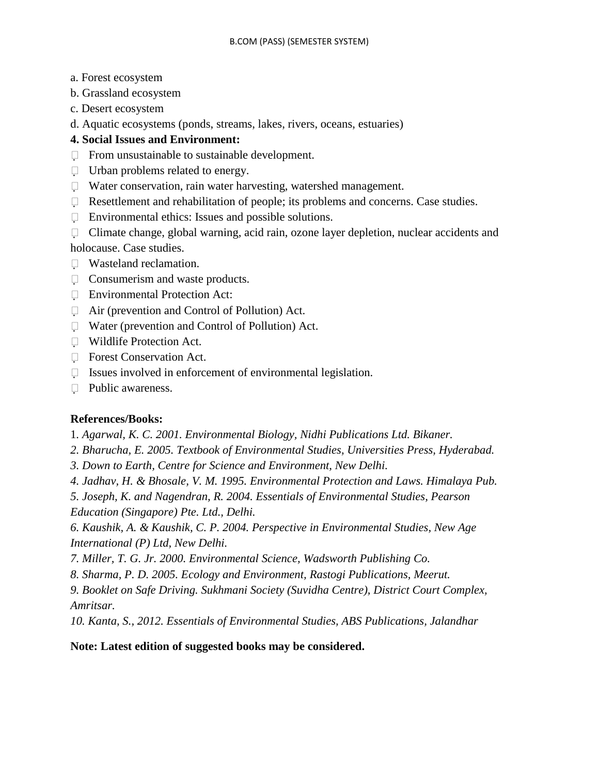- a. Forest ecosystem
- b. Grassland ecosystem
- c. Desert ecosystem
- d. Aquatic ecosystems (ponds, streams, lakes, rivers, oceans, estuaries)

### **4. Social Issues and Environment:**

- $\Box$  From unsustainable to sustainable development.
- Urban problems related to energy.
- Water conservation, rain water harvesting, watershed management.
- $\Box$  Resettlement and rehabilitation of people; its problems and concerns. Case studies.
- $\Box$  Environmental ethics: Issues and possible solutions.
- $\Box$  Climate change, global warning, acid rain, ozone layer depletion, nuclear accidents and holocause. Case studies.
- Wasteland reclamation.
- □ Consumerism and waste products.
- Environmental Protection Act:
- Air (prevention and Control of Pollution) Act.
- Water (prevention and Control of Pollution) Act.
- Wildlife Protection Act.
- **Forest Conservation Act.**
- $\Box$  Issues involved in enforcement of environmental legislation.
- $\Box$  Public awareness.

### **References/Books:**

1*. Agarwal, K. C. 2001. Environmental Biology, Nidhi Publications Ltd. Bikaner.*

- *2. Bharucha, E. 2005. Textbook of Environmental Studies, Universities Press, Hyderabad.*
- *3. Down to Earth, Centre for Science and Environment, New Delhi.*
- *4. Jadhav, H. & Bhosale, V. M. 1995. Environmental Protection and Laws. Himalaya Pub.*
- *5. Joseph, K. and Nagendran, R. 2004. Essentials of Environmental Studies, Pearson Education (Singapore) Pte. Ltd., Delhi.*

*6. Kaushik, A. & Kaushik, C. P. 2004. Perspective in Environmental Studies, New Age International (P) Ltd, New Delhi.*

*7. Miller, T. G. Jr. 2000. Environmental Science, Wadsworth Publishing Co.*

*8. Sharma, P. D. 2005. Ecology and Environment, Rastogi Publications, Meerut.*

*9. Booklet on Safe Driving. Sukhmani Society (Suvidha Centre), District Court Complex, Amritsar.*

*10. Kanta, S., 2012. Essentials of Environmental Studies, ABS Publications, Jalandhar*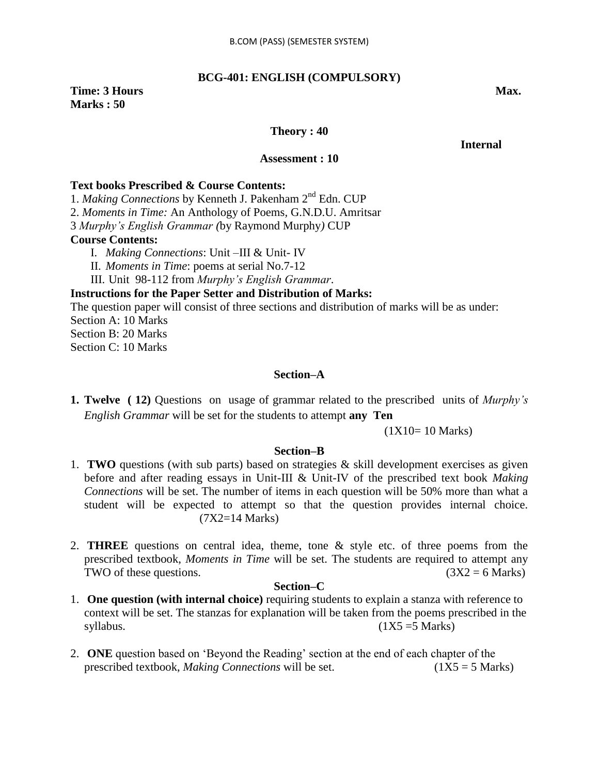### **BCG-401: ENGLISH (COMPULSORY)**

### **Time: 3 Hours Max. Max. Marks : 50**

### **Theory : 40**

### *<u>Internal</u>*

### **Assessment : 10**

### **Text books Prescribed & Course Contents:**

1. *Making Connections* by Kenneth J. Pakenham 2nd Edn. CUP

2. *Moments in Time:* An Anthology of Poems*,* G.N.D.U. Amritsar

3 *Murphy"s English Grammar (*by Raymond Murphy*)* CUP

### **Course Contents:**

- I. *Making Connections*: Unit –III & Unit- IV
- II. *Moments in Time*: poems at serial No.7-12
- III. Unit 98-112 from *Murphy"s English Grammar*.

### **Instructions for the Paper Setter and Distribution of Marks:**

The question paper will consist of three sections and distribution of marks will be as under:

Section A: 10 Marks

Section B: 20 Marks

Section C: 10 Marks

### **Section–A**

**1. Twelve ( 12)** Questions on usage of grammar related to the prescribed units of *Murphy"s English Grammar* will be set for the students to attempt **any Ten** 

### (1X10= 10 Marks)

### **Section–B**

- 1. **TWO** questions (with sub parts) based on strategies & skill development exercises as given before and after reading essays in Unit-III & Unit-IV of the prescribed text book *Making Connections* will be set. The number of items in each question will be 50% more than what a student will be expected to attempt so that the question provides internal choice. (7X2=14 Marks)
- 2. **THREE** questions on central idea, theme, tone & style etc. of three poems from the prescribed textbook, *Moments in Time* will be set. The students are required to attempt any TWO of these questions. ( $3X2 = 6$  Marks)

### **Section–C**

- 1. **One question (with internal choice)** requiring students to explain a stanza with reference to context will be set. The stanzas for explanation will be taken from the poems prescribed in the  $syllabus.$  (1X5 =5 Marks)
- 2. **ONE** question based on "Beyond the Reading" section at the end of each chapter of the prescribed textbook, *Making Connections* will be set. (1X5 = 5 Marks)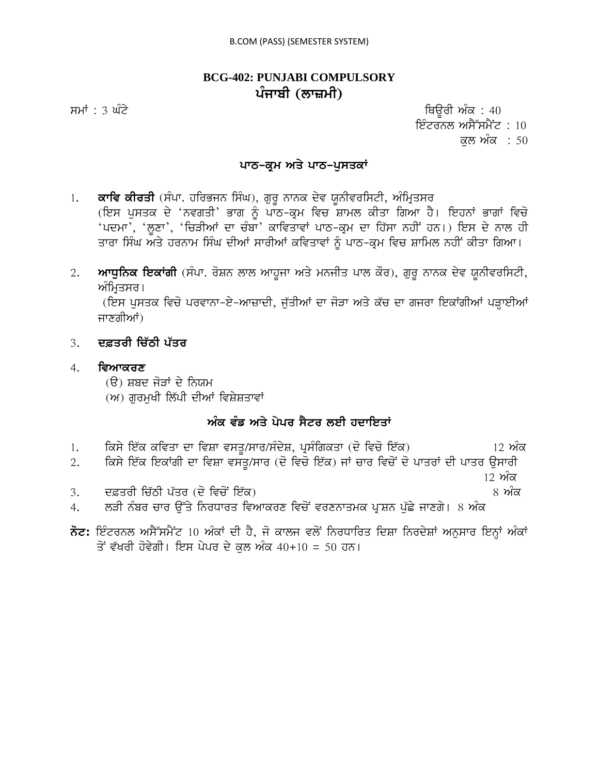### **BCG-402: PUNJABI COMPULSORY** ਪੰਜਾਬੀ (ਲਾਜ਼ਮੀ)

ਸਮਾਂ : 3 ਘੰਟੇ ਪਰਿਆ ਤੇ ਕਿਉਰੀ ਅੰਕ : 40 ਇੰਟਰਨਲ ਅਸੈੱਸਮੈਂਟ : 10 ਕਲ ਅੰਕ **:** 50

### ਪਾਠ-ਕ੍ਰਮ ਅਤੇ ਪਾਠ-ਪੁਸਤਕਾ<u>ਂ</u>

1. **ਕਾਵਿ ਕੀਰਤੀ** (ਸੰਪਾ. ਹਰਿਭਜਨ ਸਿੰਘ), ਗੁਰੁ ਨਾਨਕ ਦੇਵ ਯੂਨੀਵਰਸਿਟੀ, ਅੰਮ੍ਰਿਤਸਰ (ਇਸ ਪੁਸਤਕ ਦੇ 'ਨਵਗਤੀ' ਭਾਗ ਨੂੰ ਪਾੱਠ-ਕ੍ਰਮ ਵਿਚ ਸ਼ਾਮਲ ਕੀਤਾ ਗਿਆ ਹੈ। ਇਹਨਾਂ ਭਾਗਾਂ ਵਿਚੋ 'ਪਦਮਾ', 'ਲੁਣਾ', 'ਚਿੜੀਆਂ ਦਾ ਚੰਬਾ' ਕਾਵਿਤਾਵਾਂ ਪਾਠ-ਕ੍ਰਮ ਦਾ ਹਿੱਸਾ ਨਹੀਂ ਹਨ।) ਇਸ ਦੇ ਨਾਲ ਹੀ ਤਾਰਾ ਸਿੰਘ ਅਤੇ ਹਰਨਾਮ ਸਿੰਘ ਦੀਆਂ ਸਾਰੀਆਂ ਕਵਿਤਾਵਾਂ ਨੂੰ ਪਾਠ-ਕੂਮ ਵਿਚ ਸ਼ਾਮਿਲ ਨਹੀਂ ਕੀਤਾ ਗਿਆ।

2. ਅਾਧੁਨਿਕ ਇਕਾਂਗੀ (ਸੰਪਾ. ਰੋਸ਼ਨ ਲਾਲ ਆਹੁਜਾ ਅਤੇ ਮਨਜੀਤ ਪਾਲ ਕੌਰ), ਗੁਰੁ ਨਾਨਕ ਦੇਵ ਯੁਨੀਵਰਸਿਟੀ, ਅੰਮ੍ਰਿਤਸਰ।

(ਇਸ ਪੁਸਤਕ ਵਿਚੋ ਪਰਵਾਨਾ-ਏ-ਆਜ਼ਾਦੀ, ਜੁੱਤੀਆਂ ਦਾ ਜੋੜਾ ਅਤੇ ਕੱਚ ਦਾ ਗਜਰਾ ਇਕਾਂਗੀਆਂ ਪੜ੍ਹਾਈਆਂ ਜਾਣਗੀਆਂ)

- 3. **ਦਫ਼ਤਰੀ ਚਿੱਠੀ ਪੱਤਰ**
- 4. **ਵਿਆਕਰਣ**

(ੳ) ਸ਼ਬਦ ਜੋੜਾਂ ਦੇ ਨਿਯਮ

(ਅ) ਗਰਮਖੀ ਲਿੱਪੀ ਦੀਆਂ ਵਿਸ਼ੇਸ਼ਤਾਵਾਂ

### ਅੰਕ ਵੰਡ ਅਤੇ ਪੇਪਰ ਸੈਟਰ ਲਈ ਹਦਾਇਤਾ<u>ਂ</u>

- 1. iksy ie`k kivqw dw ivSw vsqU/swr/sMdyS, pRsMigkqw (do ivco ie`k) 12 AMk 2. ਕਿਸੇ ਇੱਕ ਇਕਾਂਗੀ ਦਾ ਵਿਸ਼ਾ ਵਸਤੂ/ਸਾਰ (ਦੋ ਵਿਚੋ ਇੱਕ) ਜਾਂ ਚਾਰ ਵਿਚੋਂ ਦੋ ਪਾਤਰਾਂ ਦੀ ਪਾਤਰ ਉਸਾਰੀ  $12$  ਅੱਕ 3. d&qrI ic`TI p`qr (do ivcoN ie`k) 8 AMk
- 4. ਲੜੀ ਨੰਬਰ ਚਾਰ ਉੱਤੇ ਨਿਰਧਾਰਤ ਵਿਆਕਰਣ ਵਿਚੋਂ ਵਰਣਨਾਤਮਕ ਪ੍ਰਸ਼ਨ ਪੁੱਛੇ ਜਾਣਗੇ। 8 ਅੰਕ
- $\vec{\delta}$ ਟ: ਇੰਟਰਨਲ ਅਸੈੱਸਮੈਂਟ 10 ਅੰਕਾਂ ਦੀ ਹੈ, ਜੋ ਕਾਲਜ ਵਲੋਂ ਨਿਰਧਾਰਿਤ ਦਿਸ਼ਾ ਨਿਰਦੇਸ਼ਾਂ ਅਨੁਸਾਰ ਇਨ੍ਹਾਂ ਅੰਕਾਂ ਤੋਂ ਵੱਖਰੀ ਹੋਵੇਗੀ। ਇਸ ਪੇਪਰ ਦੇ ਕੁਲ ਅੰਕ 40+10 = 50 ਹਨ।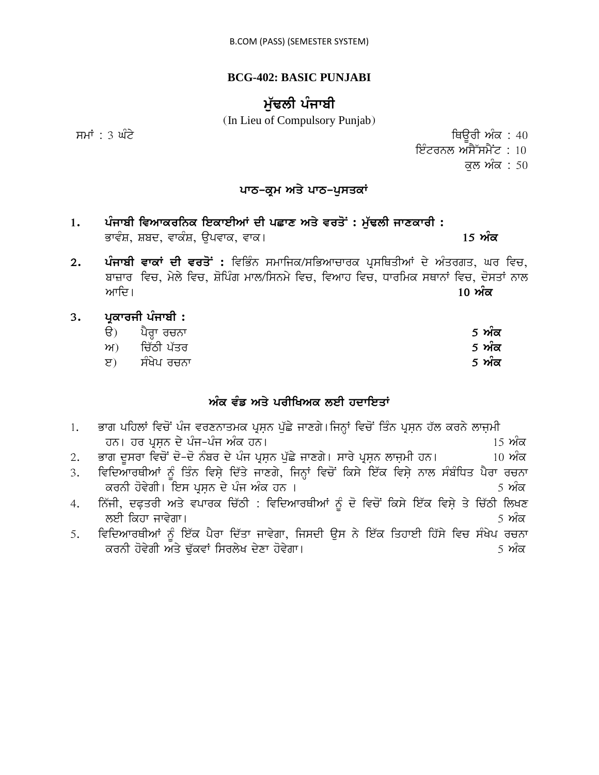### **BCG-402: BASIC PUNJABI**

# ਮੱਢਲੀ ਪੰਜਾਬੀ

(In Lieu of Compulsory Punjab)

ਸਮਾਂ : 3 ਘੰਟੇ ਪਰਿਆ ਤੇ ਕਿਉਰੀ ਅੰਕ : 40

ਇੰਟਰਨਲ ਅਸੈੱਸਮੈਂਟ :  $10$ 

ਕਲ ਅੰਕ $: 50$ 

### **ਪਾਠ-ਕ੍ਰਮ ਅਤੇ ਪਾਠ-ਪੁਸਤਕਾਂ**

- 1. ਪੰਜਾਬੀ ਵਿਆਕਰਨਿਕ ਇਕਾਈਆਂ ਦੀ ਪਛਾਣ ਅਤੇ ਵਰਤੋਂ : ਮੁੱਢਲੀ ਜਾਣਕਾਰੀ : BwvMS, Sbd, vwkMS, aupvwk, vwk[ **15 AMk**
- 2. ਪੰਜਾਬੀ ਵਾਕਾਂ ਦੀ ਵਰਤੋਂ : ਵਿਭਿੰਨ ਸਮਾਜਿਕ/ਸਭਿਆਚਾਰਕ ਪ੍ਰਸਥਿਤੀਆਂ ਦੇ ਅੰਤਰਗਤ, ਘਰ ਵਿਚ, bwzwr ivc, myly ivc, SoipMg mwl/isnmy ivc, ivAwh ivc, Dwrimk sQwnW ivc, dosqW nwl Awid[ **10 AMk**
- 3. ਪ੍ਰਕਾਰਜੀ ਪੰਜਾਬੀ **:** 
	- ਚੈ) ਪੈਰ੍ਹਾ ਰਚਨਾ<br>ਅ) ਚਿੱਠੀ ਪੱਤਰ ਅ) ਦਿੱਠੀ ਪੱਤਰ **ਤਿਆਰ ਵਿੱਚ ਵਿੱਚ ਵਿੱਚ ਸ਼ਹਿਰ ਤੋਂ ਅੰਕ**
	- e) ਸੰਖੇਪ ਰਚਨਾ **5 ਅੰਕ**

## ਅੰਕ ਵੰਡ ਅਤੇ ਪਰੀਖਿਅਕ ਲਈ ਹਦਾਇਤਾ<u>ਂ</u>

|                  | ਭਾਗ ਪਹਿਲਾਂ ਵਿਚੋਂ ਪੰਜ ਵਰਣਨਾਤਮਕ ਪ੍ਰਸ਼ਨ ਪੁੱਛੇ ਜਾਣਗੇ।ਜਿਨ੍ਹਾਂ ਵਿਚੋਂ ਤਿੰਨ ਪ੍ਰਸ਼ਨ ਹੱਲ ਕਰਨੇ ਲਾਜ਼ਮੀ |                                                       |
|------------------|--------------------------------------------------------------------------------------------|-------------------------------------------------------|
|                  | ਹਨ। ਹਰ ਪੁਸ਼ਨ ਦੇ ਪੰਜ-ਪੰਜ ਅੰਕ ਹਨ।                                                            | $15 \n m\overline{\alpha}$                            |
| 2.               | ਭਾਗ ਦੂਸਰਾ ਵਿਚੋਂ ਦੋ-ਦੋ ਨੰਬਰ ਦੇ ਪੰਜ ਪ੍ਰਸ਼ਨ ਪੁੱਛੇ ਜਾਣਗੇ। ਸਾਰੇ ਪ੍ਰਸ਼ਨ ਲਾਜ਼ਮੀ ਹਨ।               | $10 \nvert \nvert \nvert \nvert \nvert \nvert \nvert$ |
| 3.               | ਵਿਦਿਆਰਥੀਆਂ ਨੂੰ ਤਿੰਨ ਵਿਸ਼ੇ ਦਿੱਤੇ ਜਾਣਗੇ, ਜਿਨ੍ਹਾਂ ਵਿਚੋਂ ਕਿਸੇ ਇੱਕ ਵਿਸ਼ੇ ਨਾਲ ਸੰਬੰਧਿਤ ਪੈਰਾ ਰਚਨਾ  |                                                       |
|                  | ਕਰਨੀ ਹੋਵੇਗੀ। ਇਸ ਪ੍ਰਸ਼ਨ ਦੇ ਪੰਜ ਅੰਕ ਹਨ ।                                                     | <u>5 ਅੰਕ</u>                                          |
| $\overline{4}$ . | ਨਿੱਜੀ, ਦਫ਼ਤਰੀ ਅਤੇ ਵਪਾਰਕ ਚਿੱਠੀ : ਵਿਦਿਆਰਥੀਆਂ ਨੂੰ ਦੋ ਵਿਚੋਂ ਕਿਸੇ ਇੱਕ ਵਿਸ਼ੇ ਤੇ ਚਿੱਠੀ ਲਿਖਣ       |                                                       |
|                  | ਲਈ ਕਿਹਾ ਜਾਵੇਗਾ।                                                                            | <u>5 ਅੰਕ</u>                                          |
| 5.               | ਵਿਦਿਆਰਥੀਆਂ ਨੂੰ ਇੱਕ ਪੈਰਾ ਦਿੱਤਾ ਜਾਵੇਗਾ, ਜਿਸਦੀ ਉਸ ਨੇ ਇੱਕ ਤਿਹਾਈ ਹਿੱਸੇ ਵਿਚ ਸੰਖੇਪ ਰਚਨਾ           |                                                       |
|                  | ਕਰਨੀ ਹੋਵੇਗੀ ਅਤੇ ਢੁੱਕਵਾਂ ਸਿਰਲੇਖ ਦੇਣਾ ਹੋਵੇਗਾ।                                                | 5 ਅੰਕ                                                 |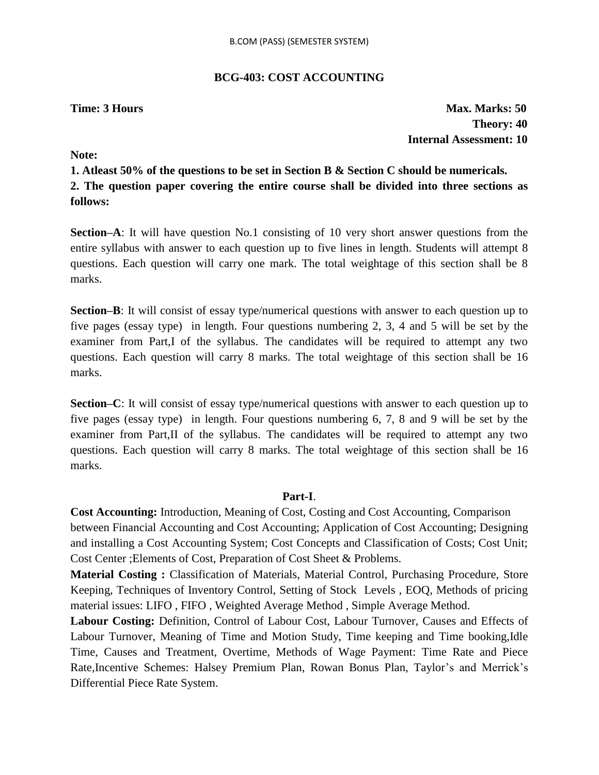### **BCG-403: COST ACCOUNTING**

**Time: 3 Hours Max. Marks: 50 Theory: 40 Internal Assessment: 10**

**Note:**

**1. Atleast 50% of the questions to be set in Section B & Section C should be numericals. 2. The question paper covering the entire course shall be divided into three sections as follows:**

**Section–A**: It will have question No.1 consisting of 10 very short answer questions from the entire syllabus with answer to each question up to five lines in length. Students will attempt 8 questions. Each question will carry one mark. The total weightage of this section shall be 8 marks.

**Section–B**: It will consist of essay type/numerical questions with answer to each question up to five pages (essay type) in length. Four questions numbering 2, 3, 4 and 5 will be set by the examiner from Part,I of the syllabus. The candidates will be required to attempt any two questions. Each question will carry 8 marks. The total weightage of this section shall be 16 marks.

**Section–C**: It will consist of essay type/numerical questions with answer to each question up to five pages (essay type) in length. Four questions numbering 6, 7, 8 and 9 will be set by the examiner from Part,II of the syllabus. The candidates will be required to attempt any two questions. Each question will carry 8 marks. The total weightage of this section shall be 16 marks.

### **Part-I**.

**Cost Accounting:** Introduction, Meaning of Cost, Costing and Cost Accounting, Comparison between Financial Accounting and Cost Accounting; Application of Cost Accounting; Designing and installing a Cost Accounting System; Cost Concepts and Classification of Costs; Cost Unit; Cost Center ;Elements of Cost, Preparation of Cost Sheet & Problems.

**Material Costing :** Classification of Materials, Material Control, Purchasing Procedure, Store Keeping, Techniques of Inventory Control, Setting of Stock Levels , EOQ, Methods of pricing material issues: LIFO , FIFO , Weighted Average Method , Simple Average Method.

**Labour Costing:** Definition, Control of Labour Cost, Labour Turnover, Causes and Effects of Labour Turnover, Meaning of Time and Motion Study, Time keeping and Time booking,Idle Time, Causes and Treatment, Overtime, Methods of Wage Payment: Time Rate and Piece Rate, Incentive Schemes: Halsey Premium Plan, Rowan Bonus Plan, Taylor's and Merrick's Differential Piece Rate System.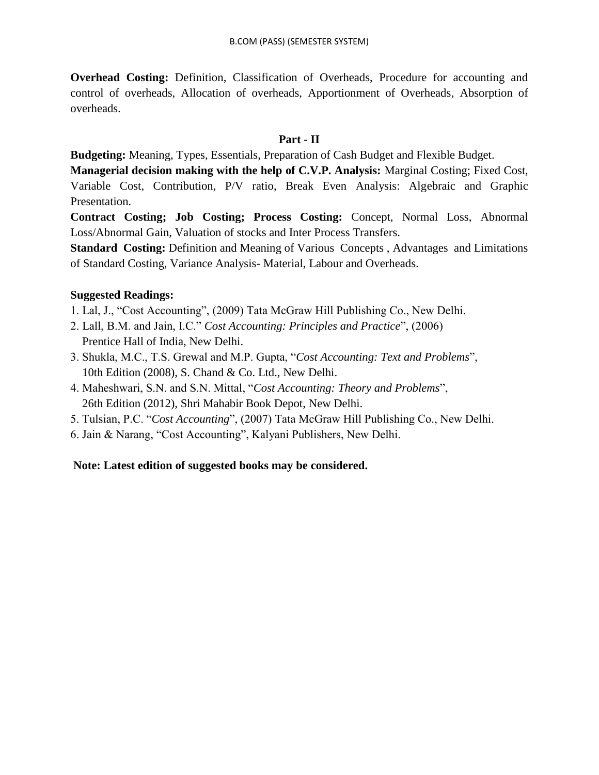**Overhead Costing:** Definition, Classification of Overheads, Procedure for accounting and control of overheads, Allocation of overheads, Apportionment of Overheads, Absorption of overheads.

### **Part - II**

**Budgeting:** Meaning, Types, Essentials, Preparation of Cash Budget and Flexible Budget.

**Managerial decision making with the help of C.V.P. Analysis:** Marginal Costing; Fixed Cost, Variable Cost, Contribution, P/V ratio, Break Even Analysis: Algebraic and Graphic Presentation.

**Contract Costing; Job Costing; Process Costing:** Concept, Normal Loss, Abnormal Loss/Abnormal Gain, Valuation of stocks and Inter Process Transfers.

**Standard Costing:** Definition and Meaning of Various Concepts, Advantages and Limitations of Standard Costing, Variance Analysis- Material, Labour and Overheads.

### **Suggested Readings:**

- 1. Lal, J., "Cost Accounting", (2009) Tata McGraw Hill Publishing Co., New Delhi.
- 2. Lall, B.M. and Jain, I.C." *Cost Accounting: Principles and Practice*", (2006) Prentice Hall of India, New Delhi.
- 3. Shukla, M.C., T.S. Grewal and M.P. Gupta, "*Cost Accounting: Text and Problems*", 10th Edition (2008), S. Chand & Co. Ltd., New Delhi.
- 4. Maheshwari, S.N. and S.N. Mittal, "*Cost Accounting: Theory and Problems*", 26th Edition (2012), Shri Mahabir Book Depot, New Delhi.
- 5. Tulsian, P.C. "*Cost Accounting*", (2007) Tata McGraw Hill Publishing Co., New Delhi.
- 6. Jain & Narang, "Cost Accounting", Kalyani Publishers, New Delhi.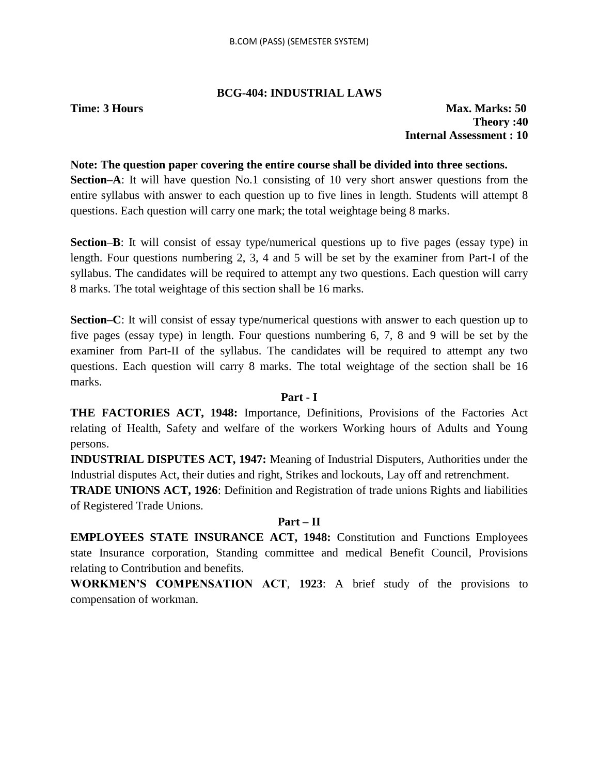### **BCG-404: INDUSTRIAL LAWS**

**Time: 3 Hours Max. Marks: 50 Theory :40 Internal Assessment : 10**

### **Note: The question paper covering the entire course shall be divided into three sections.**

**Section–A**: It will have question No.1 consisting of 10 very short answer questions from the entire syllabus with answer to each question up to five lines in length. Students will attempt 8 questions. Each question will carry one mark; the total weightage being 8 marks.

**Section–B**: It will consist of essay type/numerical questions up to five pages (essay type) in length. Four questions numbering 2, 3, 4 and 5 will be set by the examiner from Part-I of the syllabus. The candidates will be required to attempt any two questions. Each question will carry 8 marks. The total weightage of this section shall be 16 marks.

**Section–C**: It will consist of essay type/numerical questions with answer to each question up to five pages (essay type) in length. Four questions numbering 6, 7, 8 and 9 will be set by the examiner from Part-II of the syllabus. The candidates will be required to attempt any two questions. Each question will carry 8 marks. The total weightage of the section shall be 16 marks.

### **Part - I**

**THE FACTORIES ACT, 1948:** Importance, Definitions, Provisions of the Factories Act relating of Health, Safety and welfare of the workers Working hours of Adults and Young persons.

**INDUSTRIAL DISPUTES ACT, 1947:** Meaning of Industrial Disputers, Authorities under the Industrial disputes Act, their duties and right, Strikes and lockouts, Lay off and retrenchment.

**TRADE UNIONS ACT, 1926**: Definition and Registration of trade unions Rights and liabilities of Registered Trade Unions.

### **Part – II**

**EMPLOYEES STATE INSURANCE ACT, 1948:** Constitution and Functions Employees state Insurance corporation, Standing committee and medical Benefit Council, Provisions relating to Contribution and benefits.

**WORKMEN'S COMPENSATION ACT**, **1923**: A brief study of the provisions to compensation of workman.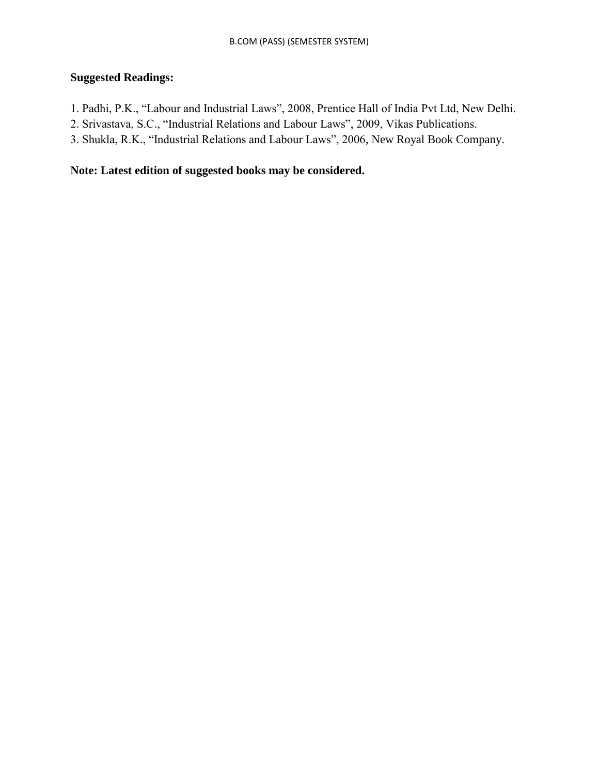### **Suggested Readings:**

- 1. Padhi, P.K., "Labour and Industrial Laws", 2008, Prentice Hall of India Pvt Ltd, New Delhi.
- 2. Srivastava, S.C., "Industrial Relations and Labour Laws", 2009, Vikas Publications.
- 3. Shukla, R.K., "Industrial Relations and Labour Laws", 2006, New Royal Book Company.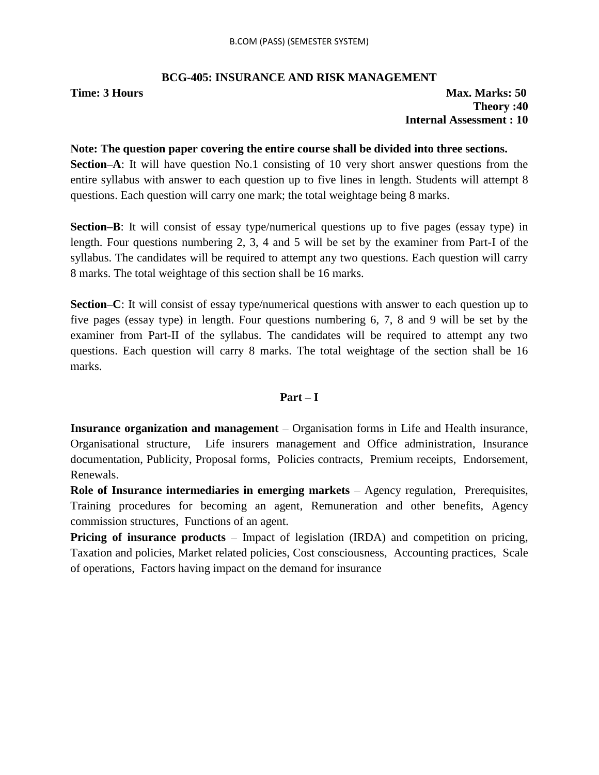### **BCG-405: INSURANCE AND RISK MANAGEMENT**

### **Time: 3 Hours Max. Marks: 50 Theory :40 Internal Assessment : 10**

### **Note: The question paper covering the entire course shall be divided into three sections.**

**Section–A**: It will have question No.1 consisting of 10 very short answer questions from the entire syllabus with answer to each question up to five lines in length. Students will attempt 8 questions. Each question will carry one mark; the total weightage being 8 marks.

**Section–B**: It will consist of essay type/numerical questions up to five pages (essay type) in length. Four questions numbering 2, 3, 4 and 5 will be set by the examiner from Part-I of the syllabus. The candidates will be required to attempt any two questions. Each question will carry 8 marks. The total weightage of this section shall be 16 marks.

**Section–C**: It will consist of essay type/numerical questions with answer to each question up to five pages (essay type) in length. Four questions numbering 6, 7, 8 and 9 will be set by the examiner from Part-II of the syllabus. The candidates will be required to attempt any two questions. Each question will carry 8 marks. The total weightage of the section shall be 16 marks.

### **Part – I**

**Insurance organization and management** – Organisation forms in Life and Health insurance, Organisational structure, Life insurers management and Office administration, Insurance documentation, Publicity, Proposal forms, Policies contracts, Premium receipts, Endorsement, Renewals.

**Role of Insurance intermediaries in emerging markets** – Agency regulation, Prerequisites, Training procedures for becoming an agent, Remuneration and other benefits, Agency commission structures, Functions of an agent.

**Pricing of insurance products** – Impact of legislation (IRDA) and competition on pricing, Taxation and policies, Market related policies, Cost consciousness, Accounting practices, Scale of operations, Factors having impact on the demand for insurance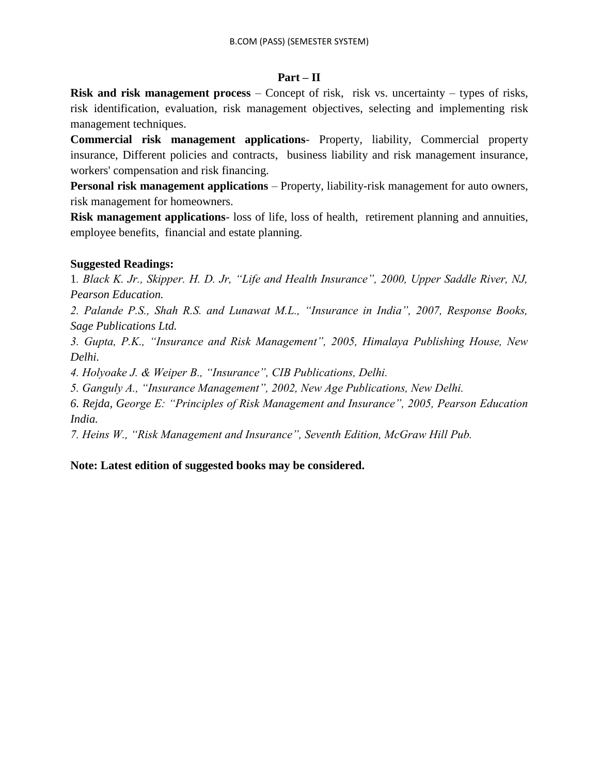### **Part – II**

**Risk and risk management process** – Concept of risk, risk vs. uncertainty – types of risks, risk identification, evaluation, risk management objectives, selecting and implementing risk management techniques.

**Commercial risk management applications**- Property, liability, Commercial property insurance, Different policies and contracts, business liability and risk management insurance, workers' compensation and risk financing.

**Personal risk management applications** – Property, liability-risk management for auto owners, risk management for homeowners.

**Risk management applications**- loss of life, loss of health, retirement planning and annuities, employee benefits, financial and estate planning.

### **Suggested Readings:**

1*. Black K. Jr., Skipper. H. D. Jr, "Life and Health Insurance", 2000, Upper Saddle River, NJ, Pearson Education.*

*2. Palande P.S., Shah R.S. and Lunawat M.L., "Insurance in India", 2007, Response Books, Sage Publications Ltd.*

*3. Gupta, P.K., "Insurance and Risk Management", 2005, Himalaya Publishing House, New Delhi.*

*4. Holyoake J. & Weiper B., "Insurance", CIB Publications, Delhi.*

*5. Ganguly A., "Insurance Management", 2002, New Age Publications, New Delhi.*

*6. Rejda, George E: "Principles of Risk Management and Insurance", 2005, Pearson Education India.*

*7. Heins W., "Risk Management and Insurance", Seventh Edition, McGraw Hill Pub.*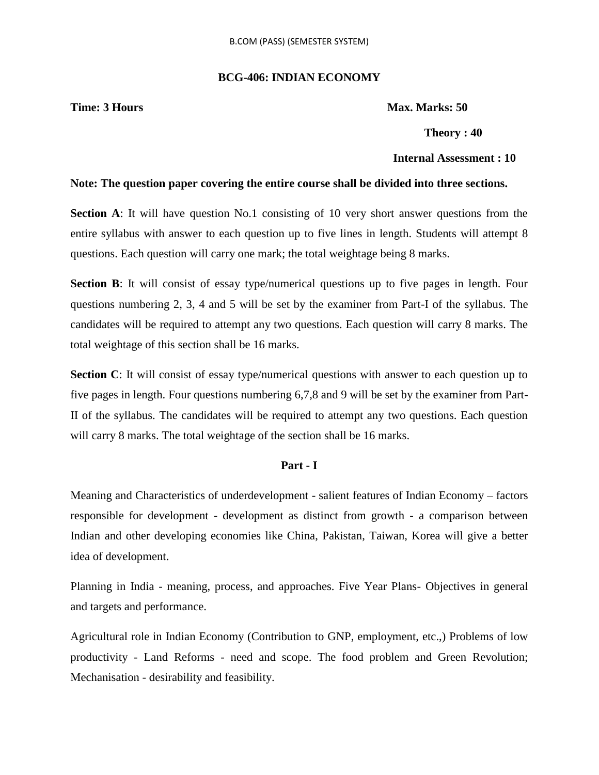### **BCG-406: INDIAN ECONOMY**

**Time: 3 Hours Max. Marks: 50** 

 **Theory : 40**

### **Internal Assessment : 10**

### **Note: The question paper covering the entire course shall be divided into three sections.**

**Section A**: It will have question No.1 consisting of 10 very short answer questions from the entire syllabus with answer to each question up to five lines in length. Students will attempt 8 questions. Each question will carry one mark; the total weightage being 8 marks.

**Section B**: It will consist of essay type/numerical questions up to five pages in length. Four questions numbering 2, 3, 4 and 5 will be set by the examiner from Part-I of the syllabus. The candidates will be required to attempt any two questions. Each question will carry 8 marks. The total weightage of this section shall be 16 marks.

**Section C**: It will consist of essay type/numerical questions with answer to each question up to five pages in length. Four questions numbering 6,7,8 and 9 will be set by the examiner from Part-II of the syllabus. The candidates will be required to attempt any two questions. Each question will carry 8 marks. The total weightage of the section shall be 16 marks.

### **Part - I**

Meaning and Characteristics of underdevelopment - salient features of Indian Economy – factors responsible for development - development as distinct from growth - a comparison between Indian and other developing economies like China, Pakistan, Taiwan, Korea will give a better idea of development.

Planning in India - meaning, process, and approaches. Five Year Plans- Objectives in general and targets and performance.

Agricultural role in Indian Economy (Contribution to GNP, employment, etc.,) Problems of low productivity - Land Reforms - need and scope. The food problem and Green Revolution; Mechanisation - desirability and feasibility.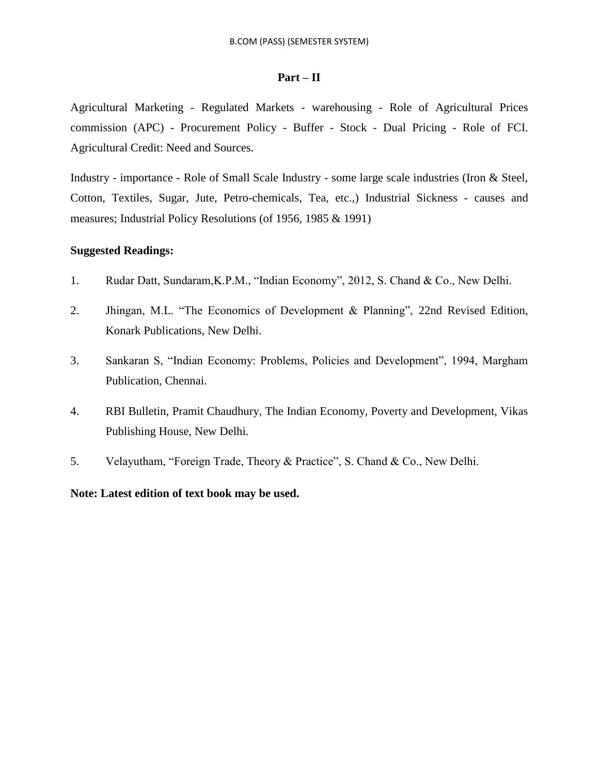### **Part – II**

Agricultural Marketing - Regulated Markets - warehousing - Role of Agricultural Prices commission (APC) - Procurement Policy - Buffer - Stock - Dual Pricing - Role of FCI. Agricultural Credit: Need and Sources.

Industry - importance - Role of Small Scale Industry - some large scale industries (Iron & Steel, Cotton, Textiles, Sugar, Jute, Petro-chemicals, Tea, etc.,) Industrial Sickness - causes and measures; Industrial Policy Resolutions (of 1956, 1985 & 1991)

### **Suggested Readings:**

- 1. Rudar Datt, Sundaram,K.P.M., "Indian Economy", 2012, S. Chand & Co., New Delhi.
- 2. Jhingan, M.L. "The Economics of Development & Planning", 22nd Revised Edition, Konark Publications, New Delhi.
- 3. Sankaran S, "Indian Economy: Problems, Policies and Development", 1994, Margham Publication, Chennai.
- 4. RBI Bulletin, Pramit Chaudhury, The Indian Economy, Poverty and Development, Vikas Publishing House, New Delhi.
- 5. Velayutham, "Foreign Trade, Theory & Practice", S. Chand & Co., New Delhi.

### **Note: Latest edition of text book may be used.**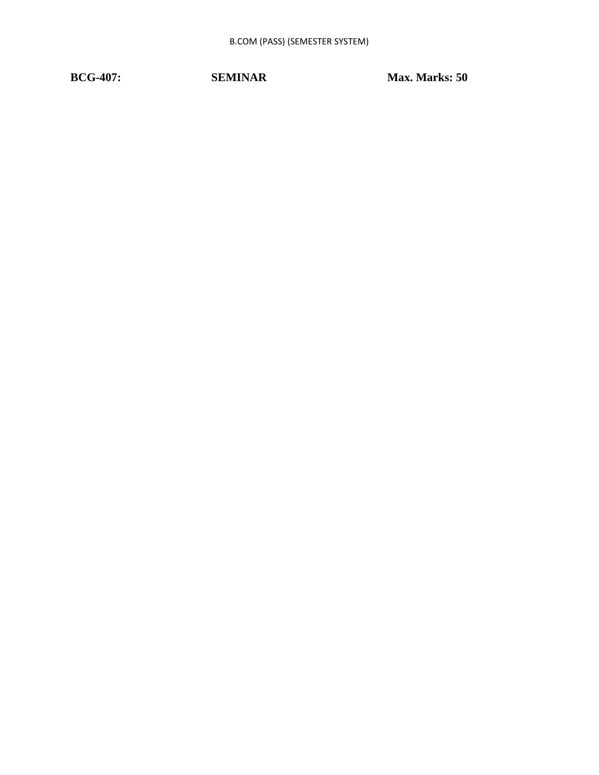**BCG-407:** SEMINAR Max. Marks: 50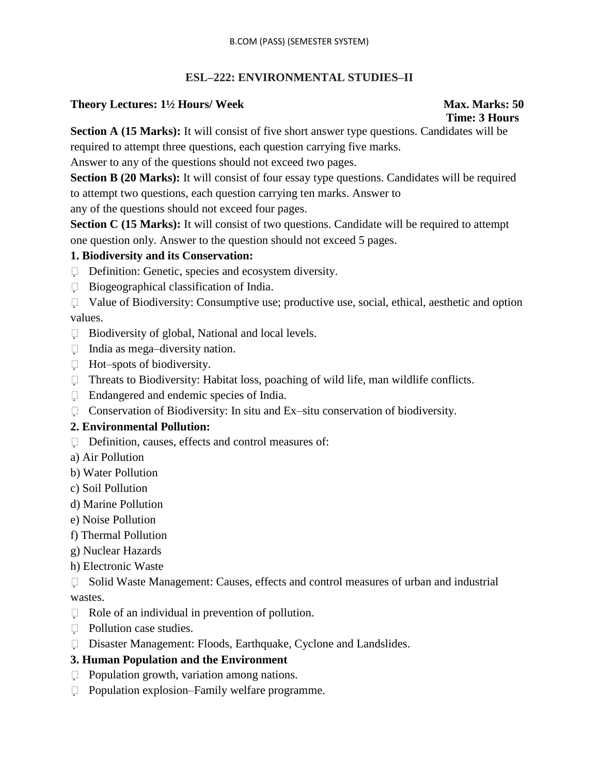### **ESL–222: ENVIRONMENTAL STUDIES–II**

### **Theory Lectures: 1½ Hours/ Week Max. Marks: 50**

# **Time: 3 Hours**

**Section A (15 Marks):** It will consist of five short answer type questions. Candidates will be required to attempt three questions, each question carrying five marks.

Answer to any of the questions should not exceed two pages.

**Section B (20 Marks):** It will consist of four essay type questions. Candidates will be required to attempt two questions, each question carrying ten marks. Answer to

any of the questions should not exceed four pages.

**Section C (15 Marks):** It will consist of two questions. Candidate will be required to attempt one question only. Answer to the question should not exceed 5 pages.

### **1. Biodiversity and its Conservation:**

- Definition: Genetic, species and ecosystem diversity.
- $\Box$  Biogeographical classification of India.
- $\Box$  Value of Biodiversity: Consumptive use; productive use, social, ethical, aesthetic and option values.
- $\Box$  Biodiversity of global, National and local levels.
- $\Box$  India as mega-diversity nation.
- $\Box$  Hot–spots of biodiversity.
- □ Threats to Biodiversity: Habitat loss, poaching of wild life, man wildlife conflicts.
- Endangered and endemic species of India.
- □ Conservation of Biodiversity: In situ and Ex–situ conservation of biodiversity.

### **2. Environmental Pollution:**

- $\Box$  Definition, causes, effects and control measures of:
- a) Air Pollution
- b) Water Pollution
- c) Soil Pollution
- d) Marine Pollution
- e) Noise Pollution
- f) Thermal Pollution
- g) Nuclear Hazards
- h) Electronic Waste
- $\Box$  Solid Waste Management: Causes, effects and control measures of urban and industrial wastes.
- $\Box$  Role of an individual in prevention of pollution.
- **Pollution case studies.**
- Disaster Management: Floods, Earthquake, Cyclone and Landslides.

### **3. Human Population and the Environment**

- $\Box$  Population growth, variation among nations.
- □ Population explosion–Family welfare programme.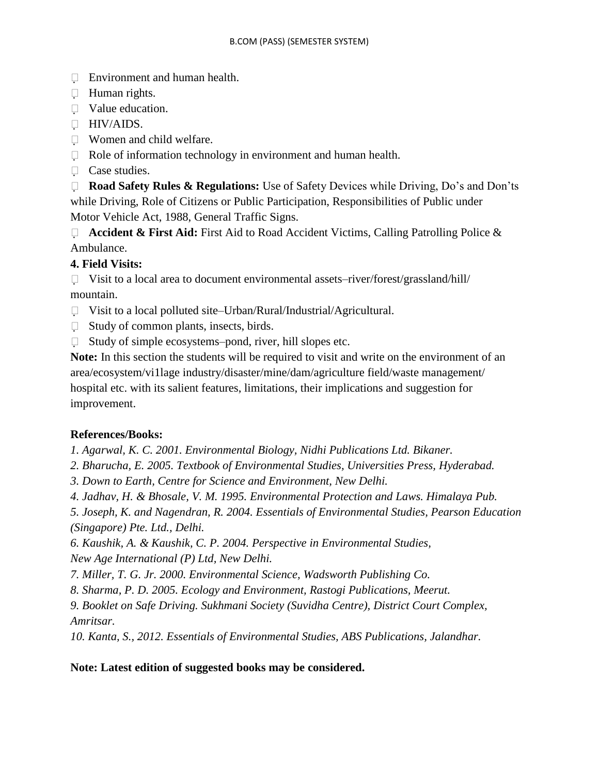- **Environment and human health.**
- **Human rights.**
- Value education.
- **HIV/AIDS.**
- Women and child welfare.
- $\Box$  Role of information technology in environment and human health.
- □ Case studies.

 **Road Safety Rules & Regulations:** Use of Safety Devices while Driving, Do"s and Don"ts while Driving, Role of Citizens or Public Participation, Responsibilities of Public under Motor Vehicle Act, 1988, General Traffic Signs.

□ **Accident & First Aid:** First Aid to Road Accident Victims, Calling Patrolling Police & Ambulance.

### **4. Field Visits:**

 $\Box$  Visit to a local area to document environmental assets–river/forest/grassland/hill/ mountain.

- □ Visit to a local polluted site–Urban/Rural/Industrial/Agricultural.
- $\Box$  Study of common plants, insects, birds.
- $\Box$  Study of simple ecosystems–pond, river, hill slopes etc.

**Note:** In this section the students will be required to visit and write on the environment of an area/ecosystem/vi1lage industry/disaster/mine/dam/agriculture field/waste management/ hospital etc. with its salient features, limitations, their implications and suggestion for improvement.

### **References/Books:**

*1. Agarwal, K. C. 2001. Environmental Biology, Nidhi Publications Ltd. Bikaner.*

- *2. Bharucha, E. 2005. Textbook of Environmental Studies, Universities Press, Hyderabad.*
- *3. Down to Earth, Centre for Science and Environment, New Delhi.*
- *4. Jadhav, H. & Bhosale, V. M. 1995. Environmental Protection and Laws. Himalaya Pub.*

*5. Joseph, K. and Nagendran, R. 2004. Essentials of Environmental Studies, Pearson Education (Singapore) Pte. Ltd., Delhi.*

- *6. Kaushik, A. & Kaushik, C. P. 2004. Perspective in Environmental Studies, New Age International (P) Ltd, New Delhi.*
- *7. Miller, T. G. Jr. 2000. Environmental Science, Wadsworth Publishing Co.*
- *8. Sharma, P. D. 2005. Ecology and Environment, Rastogi Publications, Meerut.*

*9. Booklet on Safe Driving. Sukhmani Society (Suvidha Centre), District Court Complex, Amritsar.*

*10. Kanta, S., 2012. Essentials of Environmental Studies, ABS Publications, Jalandhar.*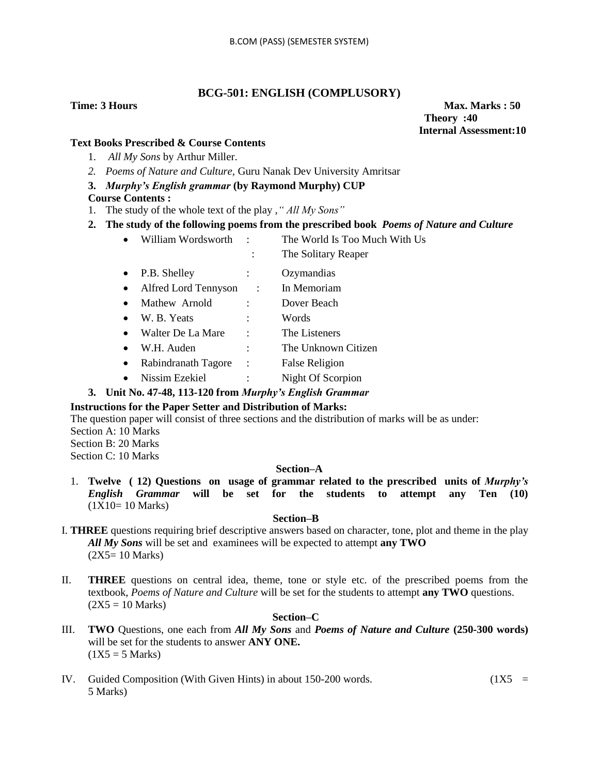### **BCG-501: ENGLISH (COMPLUSORY)**

**Time: 3 Hours Max. Marks : 50 Max. Marks : 50 Theory :40 Internal Assessment:10**

### **Text Books Prescribed & Course Contents**

- 1. *All My Sons* by Arthur Miller.
- *2. Poems of Nature and Culture,* Guru Nanak Dev University Amritsar

### **3.** *Murphy's English grammar* **(by Raymond Murphy) CUP**

### **Course Contents :**

- 1. The study of the whole text of the play ,*" All My Sons"*
- **2. The study of the following poems from the prescribed book** *Poems of Nature and Culture*
	- William Wordsworth : The World Is Too Much With Us
		- : The Solitary Reaper
	- P.B. Shelley : Ozymandias
	- Alfred Lord Tennyson : In Memoriam
	- Mathew Arnold : Dover Beach
	- W. B. Yeats : Words
	- Walter De La Mare : The Listeners
	- W.H. Auden : The Unknown Citizen
	- Rabindranath Tagore : False Religion
	- Nissim Ezekiel : Night Of Scorpion

### **3. Unit No. 47-48, 113-120 from** *Murphy's English Grammar*

### **Instructions for the Paper Setter and Distribution of Marks:**

The question paper will consist of three sections and the distribution of marks will be as under: Section A: 10 Marks

Section B: 20 Marks Section C: 10 Marks

### **Section–A**

1. **Twelve ( 12) Questions on usage of grammar related to the prescribed units of** *Murphy's English Grammar* **will be set for the students to attempt any Ten (10)**  (1X10= 10 Marks)

### **Section–B**

- I. **THREE** questions requiring brief descriptive answers based on character, tone, plot and theme in the play *All My Sons* will be set and examinees will be expected to attempt **any TWO**  (2X5= 10 Marks)
- II. **THREE** questions on central idea, theme, tone or style etc. of the prescribed poems from the textbook, *Poems of Nature and Culture* will be set for the students to attempt **any TWO** questions.  $(2X5 = 10 \text{ Marks})$

### **Section–C**

- III. **TWO** Questions, one each from *All My Sons* and *Poems of Nature and Culture* **(250-300 words)** will be set for the students to answer **ANY ONE.**   $(1X5 = 5 Marks)$
- IV. Guided Composition (With Given Hints) in about 150-200 words.  $(1X5 =$ 5 Marks)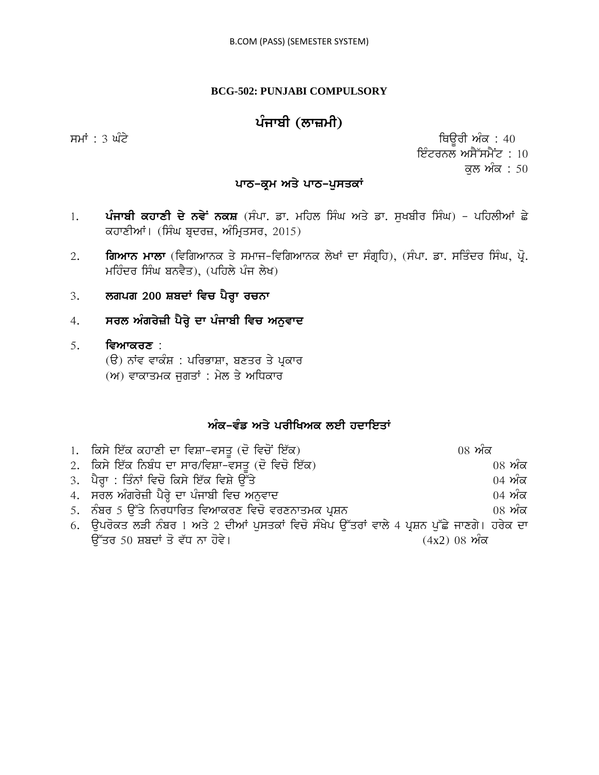### **BCG-502: PUNJABI COMPULSORY**

# $\nu$ ਸਾਬੀ (ਲਾਜ਼ਮੀ)

 $\overline{r}$ ਸਮਾਂ : 3 ਘੰਟੇ ਪਰਿਆਸ ਦੀ ਸ਼ਾਹ ਕਰਨ ਦੀ ਸ਼ਾਹ ਕਰਨ ਦੀ ਸ਼ਾਹ ਵਿਉਰੀ ਅੰਕ : 40 ਇੰਟਰਨਲ ਅਸੈੱਸਮੈਂਟ :  $10$ ਕਲ ਅੰਕ $: 50$ 

### ਪਾਠ-ਕੁਮ ਅਤੇ ਪਾਠ-ਪੁਸਤਕਾਂ

- 1. ਪੰਜਾਬੀ ਕਹਾਣੀ ਦੇ ਨਵੇ<sup>:</sup> ਨਕਸ਼ (ਸੰਪਾ. ਡਾ. ਮਹਿਲ ਸਿੰਘ ਅਤੇ ਡਾ. ਸੁਖਬੀਰ ਸਿੰਘ) ਪਹਿਲੀਆਂ ਛੇ ਕਹਾਣੀਆਂ। (ਸਿੰਘ ਬੁਦਰਜ਼, ਅੰਮ੍ਰਿਤਸਰ, 2015)
- 2. **ਗਿਆਨ ਮਾਲਾ** (ਵਿਗਿਆਨਕ ਤੇ ਸਮਾਜ-ਵਿਗਿਆਨਕ ਲੇਖਾਂ ਦਾ ਸੰਗ੍ਰਹਿ), (ਸੰਪਾ. ਡਾ. ਸਤਿੰਦਰ ਸਿੰਘ, ਪ੍ਰੋ. ਮਹਿੰਦਰ ਸਿੰਘ ਬਨਵੈਤ), (ਪਹਿਲੇ ਪੰਜ ਲੇਖ)
- 3. **ਲਗਪਗ 200 ਸ਼ਬਦਾਂ ਵਿਚ ਪੈਰ੍ਹਾ ਰਚਨਾ**
- 4. **ਸਰਲ ਅੰਗਰੇਜ਼ੀ ਪੈਰ੍ਹੇ ਦਾ ਪੰਜਾਬੀ ਵਿਚ ਅਨੁਵਾਦ**
- 5. **ਵਿਆਕਰਣ** :
	- (ੳ) ਨਾਂਵ ਵਾਕੰਸ਼ : ਪਰਿਭਾਸ਼ਾ, ਬਣਤਰ ਤੇ ਪ੍ਰਕਾਰ
	- $(w)$  ਵਾਕਾਤਮਕ ਜੁਗਤਾਂ : ਮੇਲ ਤੇ ਅਧਿਕਾਰ

### ਅੰਕ-ਵੰਡ ਅਤੇ ਪਰੀਖਿਅਕ ਲਈ ਹਦਾਇਤਾ<u>ਂ</u>

| 1. ਕਿਸੇ ਇੱਕ ਕਹਾਣੀ ਦਾ ਵਿਸ਼ਾ-ਵਸਤੂ (ਦੋ ਵਿਚੋਂ ਇੱਕ)                                               | $08 \nmid \widetilde{\mathcal{M}}$ ਕ |
|----------------------------------------------------------------------------------------------|--------------------------------------|
| 2. ਕਿਸੇ ਇੱਕ ਨਿਬੰਧ ਦਾ ਸਾਰ/ਵਿਸ਼ਾ-ਵਸਤੂ (ਦੋ ਵਿਚੋ ਇੱਕ)                                            | $08 \nwarrow$ ਕ                      |
| 3. ਪੈਰ੍ਹਾ : ਤਿੰਨਾਂ ਵਿਚੋ ਕਿਸੇ ਇੱਕ ਵਿਸ਼ੇ ਉੱਤੇ                                                  | $04 \n m\overline{\alpha}$           |
| 4. ਸਰਲ ਅੰਗਰੇਜ਼ੀ ਪੈਰ੍ਹੇ ਦਾ ਪੰਜਾਬੀ ਵਿਚ ਅਨੁਵਾਦ                                                  | $04 \nw{r}$ ਕ                        |
| 5.  ਨੰਬਰ 5 ਉੱਤੇ ਨਿਰਧਾਰਿਤ ਵਿਆਕਰਣ ਵਿਚੋ ਵਰਣਨਾਤਮਕ ਪ੍ਰਸ਼ਨ                                         | $08 \nvert \nmid \mathbf{w}$ ਕ       |
| 6. ਉਪਰੋਕਤ ਲੜੀ ਨੰਬਰ 1 ਅਤੇ 2 ਦੀਆਂ ਪੁਸਤਕਾਂ ਵਿਚੋ ਸੰਖੇਪ ਉੱਤਰਾਂ ਵਾਲੇ 4 ਪ੍ਰਸ਼ਨ ਪੁੱਛੇ ਜਾਣਗੇ। ਹਰੇਕ ਦਾ |                                      |
| ਉੱਤਰ 50 ਸ਼ਬਦਾਂ ਤੋ ਵੱਧ ਨਾ ਹੋਵੇ।                                                               | $(4x2)$ 08 ਅੰਕ                       |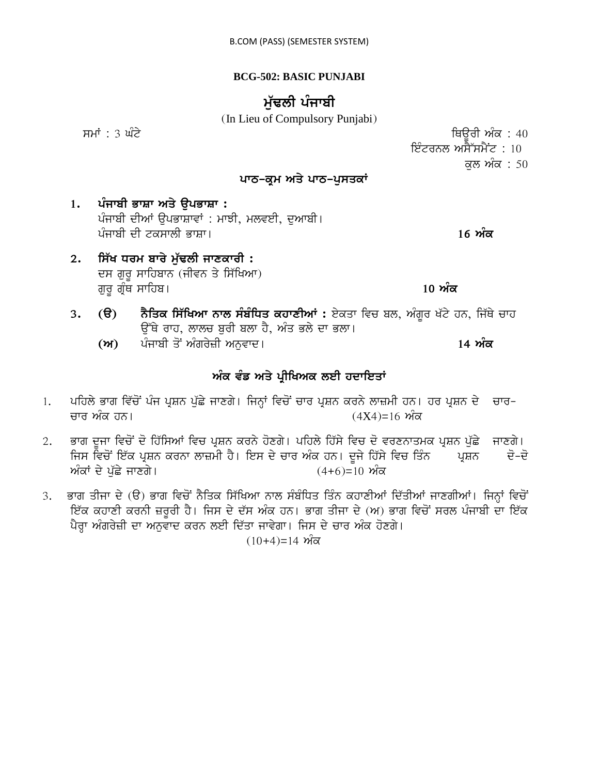### **BCG-502: BASIC PUNJABI**

# ਮੱਢਲੀ ਪੰਜਾਬੀ

(In Lieu of Compulsory Punjabi)

smW : 3 GMty iQaUrI AMk : 40 ਇੰਟਰਨਲ ਅਸੈੱਸਮੈਂਟ :  $10^{-1}$ ਕਲ ਅੰਕ : 50

### ਪਾਠ-ਕਮ ਅਤੇ ਪਾਠ-ਪ**ਸਤਕਾਂ**

1. ਪੰਜਾਬੀ ਭਾਸ਼ਾ ਅਤੇ **ੳਪਭਾਸ਼ਾ** : ਪੰਜਾਬੀ ਦੀਆਂ ਉਪਭਾਸ਼ਾਵਾਂ : ਮਾਝੀ, ਮਲਵਈ, ਦੁਆਬੀ। pMjwbI dI tkswlI BwSw[ **16 AMk**

2. **ਸਿੱਖ ਧਰਮ ਬਾਰੇ ਮੱਢਲੀ ਜਾਣਕਾਰੀ** : ਦਸ ਗੁਰੂ ਸਾਹਿਬਾਨ (ਜੀਵਨ ਤੇ ਸਿੱਖਿਆ) gurU gRMQ swihb[ **10 AMk**

3. **(ੳ) ਨੈਤਿਕ ਸਿੱਖਿਆ ਨਾਲ ਸੰਬੰਧਿਤ ਕਹਾਣੀਆਂ :** ਏਕਤਾ ਵਿਚ ਬਲ, ਅੰਗਰ ਖੱਟੇ ਹਨ, ਜਿੱਥੇ ਚਾਹ ਉੱਥੇ ਰਾਹ, ਲਾਲਚ ਬਰੀ ਬਲਾ ਹੈ, ਅੰਤ ਭਲੇ ਦਾ ਭਲਾ।

**(A)** pMjwbI qoN AMgryzI Anuvwd[ **14 AMk**

### ਅੰਕ ਵੰਡ ਅਤੇ ਪ੍ਰੀਖਿਅਕ ਲਈ ਹਦਾਇ**ਤਾਂ**

- 1. ਪਹਿਲੇ ਭਾਗ ਵਿੱਚੋਂ ਪੰਜ ਪ੍ਰਸ਼ਨ ਪੁੱਛੇ ਜਾਣਗੇ। ਜਿਨ੍ਹਾਂ ਵਿਚੋਂ ਚਾਰ ਪ੍ਰਸ਼ਨ ਕਰਨੇ ਲਾਜ਼ਮੀ ਹਨ। ਹਰ ਪ੍ਰਸ਼ਨ ਦੇ ਚਾਰ-ਚਾਰ ਅੰਕ ਹਨ।  $(4X4)$ =16 ਅੰਕ
- 2. ਭਾਗ ਦੂਜਾ ਵਿਚੋਂ ਦੋ ਹਿੱਸਿਆਂ ਵਿਚ ਪ੍ਰਸ਼ਨ ਕਰਨੇ ਹੋਣਗੇ। ਪਹਿਲੇ ਹਿੱਸੇ ਵਿਚ ਦੋ ਵਰਣਨਾਤਮਕ ਪ੍ਰਸ਼ਨ ਪੱਛੇ ਜਾਣਗੇ। ਜਿਸ ਵਿਚੋਂ ਇੱਕ ਪ੍ਰਸ਼ਨ ਕਰਨਾ ਲਾਜ਼ਮੀ ਹੈ। ਇਸ ਦੇ ਚਾਰ ਅੰਕ ਹਨ। ਦੂਜੇ ਹਿੱਸੇ ਵਿਚ ਤਿੰਨ ਪ੍ਰਸ਼ਨ ਦੋ-ਦੋ ਅੰਕਾਂ ਦੇ ਪੱਛੇ ਜਾਣਗੇ।  $(4+6)=10$  ਅੰਕ
- 3. ਭਾਗ ਤੀਜਾ ਦੇ (ੳ) ਭਾਗ ਵਿਚੋਂ ਨੈਤਿਕ ਸਿੱਖਿਆ ਨਾਲ ਸੰਬੰਧਿਤ ਤਿੰਨ ਕਹਾਣੀਆਂ ਦਿੱਤੀਆਂ ਜਾਣਗੀਆਂ। ਜਿਨ੍ਹਾਂ ਵਿਚੋਂ ਇੱਕ ਕਹਾਣੀ ਕਰਨੀ ਜ਼ਰੂਰੀ ਹੈ। ਜਿਸ ਦੇ ਦੱਸ ਅੰਕ ਹਨ। ਭਾਗ ਤੀਜਾ ਦੇ (ਅ) ਭਾਗ ਵਿਚੋਂ ਸਰਲ ਪੰਜਾਬੀ ਦਾ ਇੱਕ ਪੈਰਾ ਅੰਗਰੇਜ਼ੀ ਦਾ ਅਨੁਵਾਦ ਕਰਨ ਲਈ ਦਿੱਤਾ ਜਾਵੇਗਾ। ਜਿਸ ਦੇ ਚਾਰ ਅੰਕ ਹੋਣਗੇ।

 $(10+4)=14$  ਅੰਕ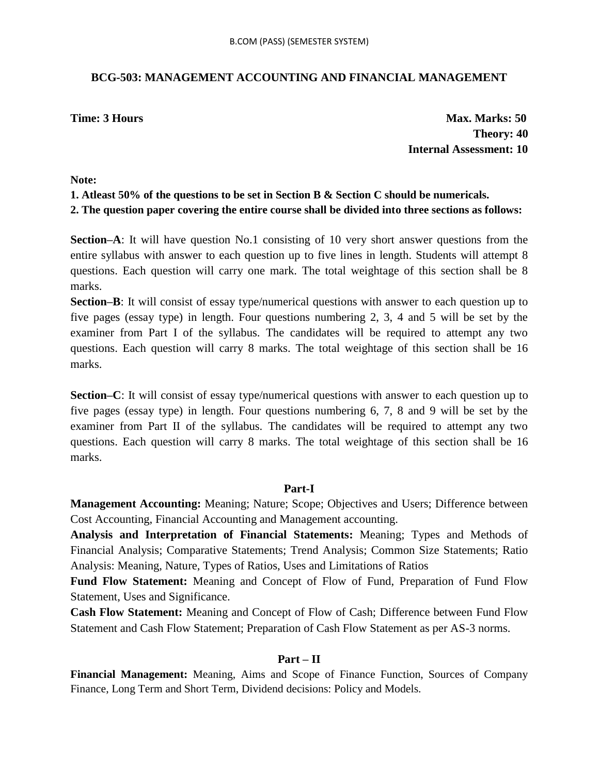### **BCG-503: MANAGEMENT ACCOUNTING AND FINANCIAL MANAGEMENT**

**Time: 3 Hours Max. Marks: 50 Theory: 40 Internal Assessment: 10**

### **Note:**

### **1. Atleast 50% of the questions to be set in Section B & Section C should be numericals.**

**2. The question paper covering the entire course shall be divided into three sections as follows:**

**Section–A**: It will have question No.1 consisting of 10 very short answer questions from the entire syllabus with answer to each question up to five lines in length. Students will attempt 8 questions. Each question will carry one mark. The total weightage of this section shall be 8 marks.

**Section–B**: It will consist of essay type/numerical questions with answer to each question up to five pages (essay type) in length. Four questions numbering 2, 3, 4 and 5 will be set by the examiner from Part I of the syllabus. The candidates will be required to attempt any two questions. Each question will carry 8 marks. The total weightage of this section shall be 16 marks.

**Section–C**: It will consist of essay type/numerical questions with answer to each question up to five pages (essay type) in length. Four questions numbering 6, 7, 8 and 9 will be set by the examiner from Part II of the syllabus. The candidates will be required to attempt any two questions. Each question will carry 8 marks. The total weightage of this section shall be 16 marks.

### **Part-I**

**Management Accounting:** Meaning; Nature; Scope; Objectives and Users; Difference between Cost Accounting, Financial Accounting and Management accounting.

**Analysis and Interpretation of Financial Statements:** Meaning; Types and Methods of Financial Analysis; Comparative Statements; Trend Analysis; Common Size Statements; Ratio Analysis: Meaning, Nature, Types of Ratios, Uses and Limitations of Ratios

**Fund Flow Statement:** Meaning and Concept of Flow of Fund, Preparation of Fund Flow Statement, Uses and Significance.

**Cash Flow Statement:** Meaning and Concept of Flow of Cash; Difference between Fund Flow Statement and Cash Flow Statement; Preparation of Cash Flow Statement as per AS-3 norms.

### **Part – II**

**Financial Management:** Meaning, Aims and Scope of Finance Function, Sources of Company Finance, Long Term and Short Term, Dividend decisions: Policy and Models.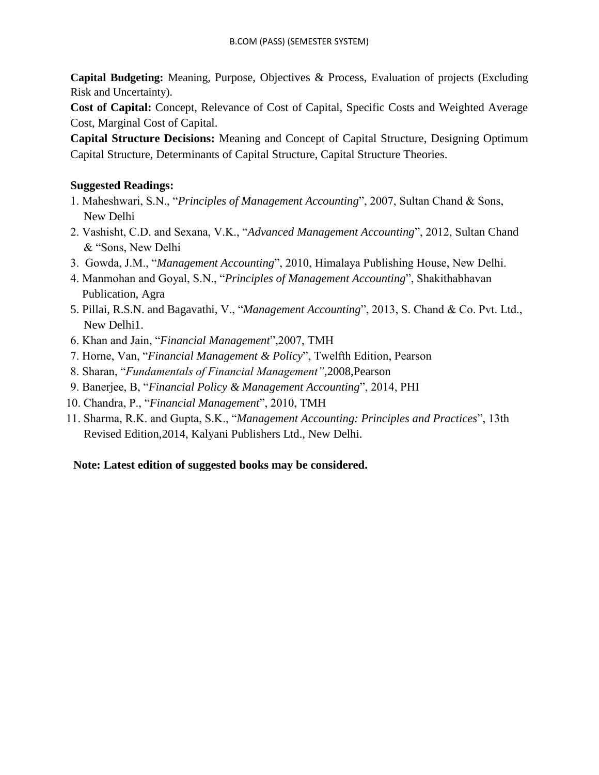**Capital Budgeting:** Meaning, Purpose, Objectives & Process, Evaluation of projects (Excluding Risk and Uncertainty).

**Cost of Capital:** Concept, Relevance of Cost of Capital, Specific Costs and Weighted Average Cost, Marginal Cost of Capital.

**Capital Structure Decisions:** Meaning and Concept of Capital Structure, Designing Optimum Capital Structure, Determinants of Capital Structure, Capital Structure Theories.

### **Suggested Readings:**

- 1. Maheshwari, S.N., "*Principles of Management Accounting*", 2007, Sultan Chand & Sons, New Delhi
- 2. Vashisht, C.D. and Sexana, V.K., "*Advanced Management Accounting*", 2012, Sultan Chand & "Sons, New Delhi
- 3. Gowda, J.M., "*Management Accounting*", 2010, Himalaya Publishing House, New Delhi.
- 4. Manmohan and Goyal, S.N., "*Principles of Management Accounting*", Shakithabhavan Publication, Agra
- 5. Pillai, R.S.N. and Bagavathi, V., "*Management Accounting*", 2013, S. Chand & Co. Pvt. Ltd., New Delhi1.
- 6. Khan and Jain, "*Financial Management*",2007, TMH
- 7. Horne, Van, "*Financial Management & Policy*", Twelfth Edition, Pearson
- 8. Sharan, "*Fundamentals of Financial Management"*,2008,Pearson
- 9. Banerjee, B, "*Financial Policy & Management Accounting*", 2014, PHI
- 10. Chandra, P., "*Financial Management*", 2010, TMH
- 11. Sharma, R.K. and Gupta, S.K., "*Management Accounting: Principles and Practices*", 13th Revised Edition,2014, Kalyani Publishers Ltd., New Delhi.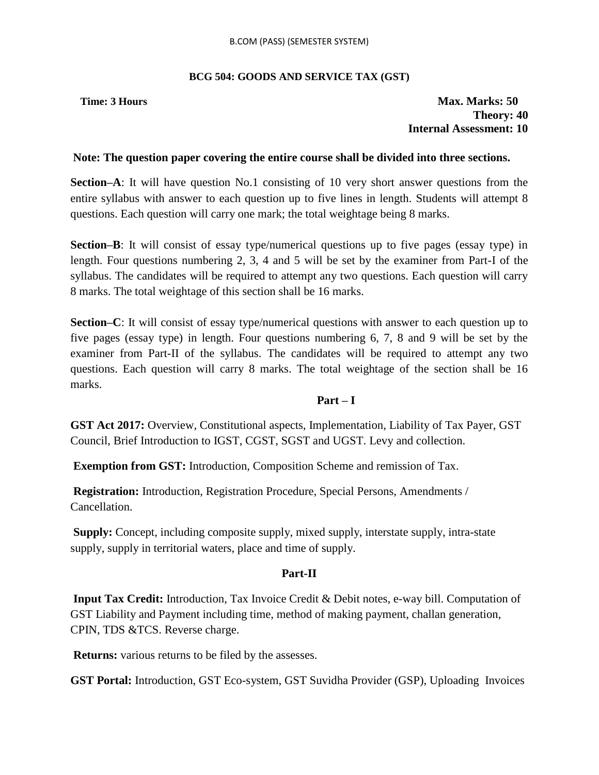### **BCG 504: GOODS AND SERVICE TAX (GST)**

### **Time: 3 Hours Max. Marks: 50 Theory: 40 Internal Assessment: 10**

### **Note: The question paper covering the entire course shall be divided into three sections.**

**Section–A**: It will have question No.1 consisting of 10 very short answer questions from the entire syllabus with answer to each question up to five lines in length. Students will attempt 8 questions. Each question will carry one mark; the total weightage being 8 marks.

**Section–B**: It will consist of essay type/numerical questions up to five pages (essay type) in length. Four questions numbering 2, 3, 4 and 5 will be set by the examiner from Part-I of the syllabus. The candidates will be required to attempt any two questions. Each question will carry 8 marks. The total weightage of this section shall be 16 marks.

**Section–C**: It will consist of essay type/numerical questions with answer to each question up to five pages (essay type) in length. Four questions numbering 6, 7, 8 and 9 will be set by the examiner from Part-II of the syllabus. The candidates will be required to attempt any two questions. Each question will carry 8 marks. The total weightage of the section shall be 16 marks.

### **Part – I**

**GST Act 2017:** Overview, Constitutional aspects, Implementation, Liability of Tax Payer, GST Council, Brief Introduction to IGST, CGST, SGST and UGST. Levy and collection.

**Exemption from GST:** Introduction, Composition Scheme and remission of Tax.

**Registration:** Introduction, Registration Procedure, Special Persons, Amendments / Cancellation.

**Supply:** Concept, including composite supply, mixed supply, interstate supply, intra-state supply, supply in territorial waters, place and time of supply.

### **Part-II**

**Input Tax Credit:** Introduction, Tax Invoice Credit & Debit notes, e-way bill. Computation of GST Liability and Payment including time, method of making payment, challan generation, CPIN, TDS &TCS. Reverse charge.

**Returns:** various returns to be filed by the assesses.

**GST Portal:** Introduction, GST Eco-system, GST Suvidha Provider (GSP), Uploading Invoices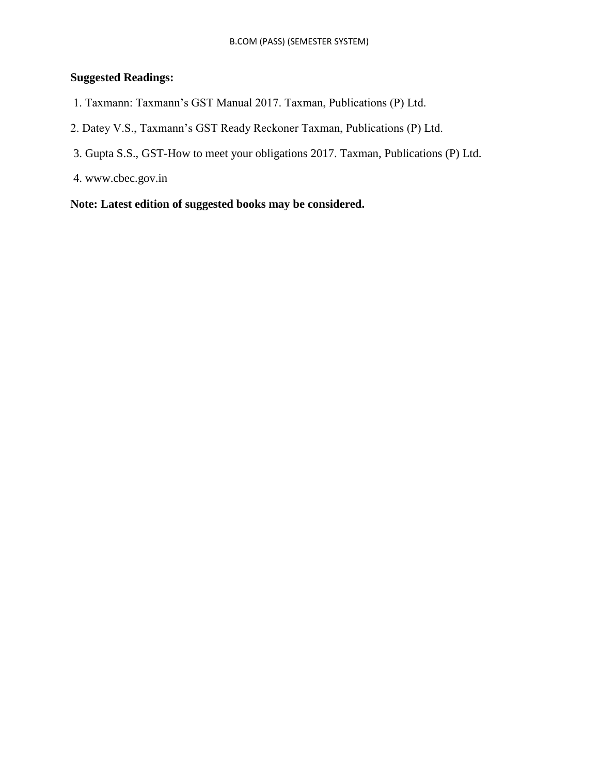### **Suggested Readings:**

- 1. Taxmann: Taxmann"s GST Manual 2017. Taxman, Publications (P) Ltd.
- 2. Datey V.S., Taxmann"s GST Ready Reckoner Taxman, Publications (P) Ltd.
- 3. Gupta S.S., GST-How to meet your obligations 2017. Taxman, Publications (P) Ltd.
- 4. www.cbec.gov.in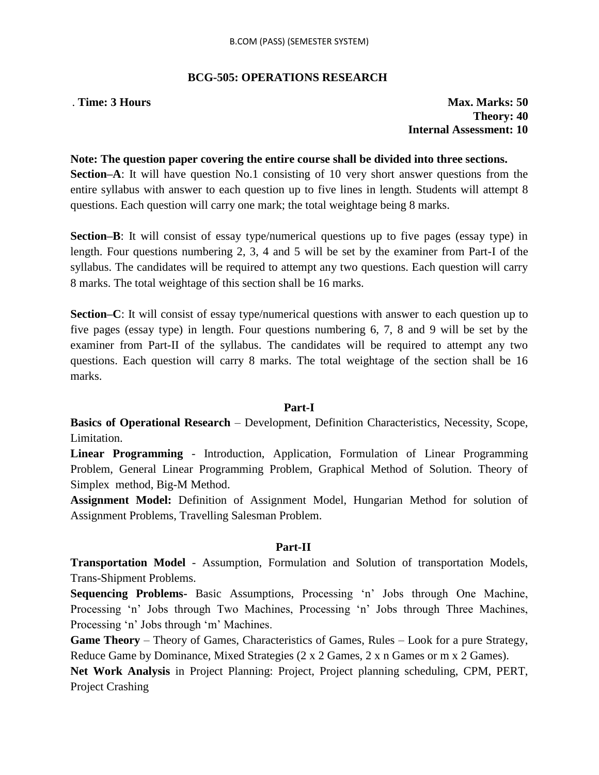#### **BCG-505: OPERATIONS RESEARCH**

. **Time: 3 Hours** Max. Marks: 50 **Theory: 40 Internal Assessment: 10**

#### **Note: The question paper covering the entire course shall be divided into three sections.**

**Section–A**: It will have question No.1 consisting of 10 very short answer questions from the entire syllabus with answer to each question up to five lines in length. Students will attempt 8 questions. Each question will carry one mark; the total weightage being 8 marks.

**Section–B**: It will consist of essay type/numerical questions up to five pages (essay type) in length. Four questions numbering 2, 3, 4 and 5 will be set by the examiner from Part-I of the syllabus. The candidates will be required to attempt any two questions. Each question will carry 8 marks. The total weightage of this section shall be 16 marks.

**Section–C**: It will consist of essay type/numerical questions with answer to each question up to five pages (essay type) in length. Four questions numbering 6, 7, 8 and 9 will be set by the examiner from Part-II of the syllabus. The candidates will be required to attempt any two questions. Each question will carry 8 marks. The total weightage of the section shall be 16 marks.

#### **Part-I**

**Basics of Operational Research** – Development, Definition Characteristics, Necessity, Scope, Limitation.

**Linear Programming** - Introduction, Application, Formulation of Linear Programming Problem, General Linear Programming Problem, Graphical Method of Solution. Theory of Simplex method, Big-M Method.

**Assignment Model:** Definition of Assignment Model, Hungarian Method for solution of Assignment Problems, Travelling Salesman Problem.

#### **Part-II**

**Transportation Model** - Assumption, Formulation and Solution of transportation Models, Trans-Shipment Problems.

**Sequencing Problems-** Basic Assumptions, Processing "n" Jobs through One Machine, Processing "n" Jobs through Two Machines, Processing "n" Jobs through Three Machines, Processing 'n' Jobs through 'm' Machines.

**Game Theory** – Theory of Games, Characteristics of Games, Rules – Look for a pure Strategy, Reduce Game by Dominance, Mixed Strategies (2 x 2 Games, 2 x n Games or m x 2 Games).

**Net Work Analysis** in Project Planning: Project, Project planning scheduling, CPM, PERT, Project Crashing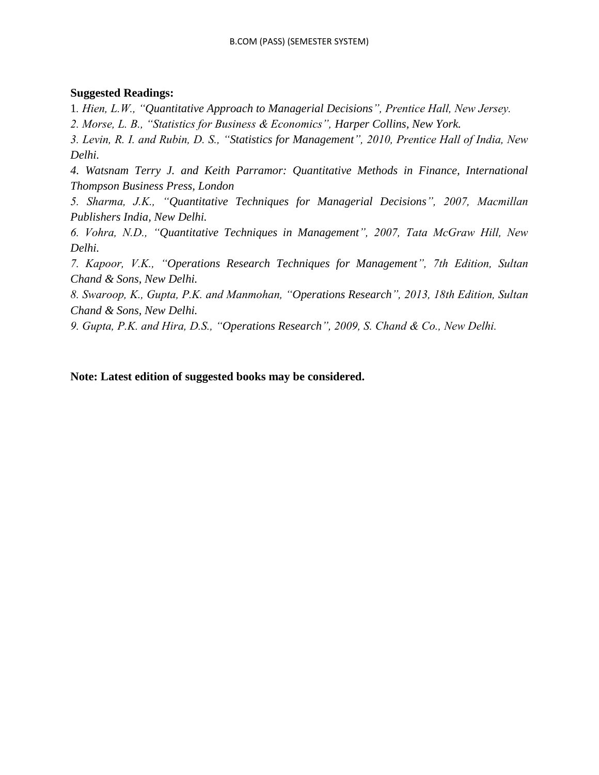### **Suggested Readings:**

1*. Hien, L.W., "Quantitative Approach to Managerial Decisions", Prentice Hall, New Jersey.*

*2. Morse, L. B., "Statistics for Business & Economics", Harper Collins, New York.*

*3. Levin, R. I. and Rubin, D. S., "Statistics for Management", 2010, Prentice Hall of India, New Delhi.*

*4. Watsnam Terry J. and Keith Parramor: Quantitative Methods in Finance, International Thompson Business Press, London*

*5. Sharma, J.K., "Quantitative Techniques for Managerial Decisions", 2007, Macmillan Publishers India, New Delhi.*

*6. Vohra, N.D., "Quantitative Techniques in Management", 2007, Tata McGraw Hill, New Delhi.*

*7. Kapoor, V.K., "Operations Research Techniques for Management", 7th Edition, Sultan Chand & Sons, New Delhi.*

*8. Swaroop, K., Gupta, P.K. and Manmohan, "Operations Research", 2013, 18th Edition, Sultan Chand & Sons, New Delhi.*

*9. Gupta, P.K. and Hira, D.S., "Operations Research", 2009, S. Chand & Co., New Delhi.*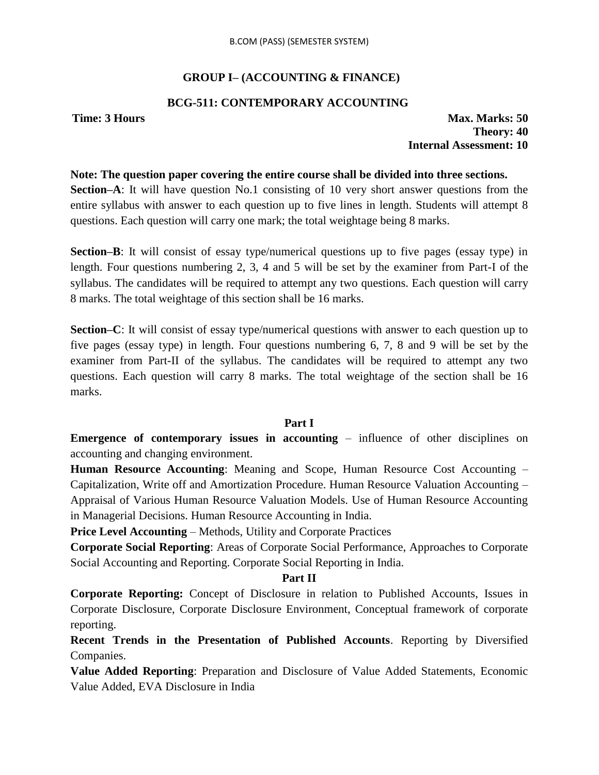# **GROUP I– (ACCOUNTING & FINANCE)**

# **BCG-511: CONTEMPORARY ACCOUNTING**

**Time: 3 Hours Max. Marks: 50 Theory: 40 Internal Assessment: 10**

#### **Note: The question paper covering the entire course shall be divided into three sections.**

**Section–A**: It will have question No.1 consisting of 10 very short answer questions from the entire syllabus with answer to each question up to five lines in length. Students will attempt 8 questions. Each question will carry one mark; the total weightage being 8 marks.

**Section–B**: It will consist of essay type/numerical questions up to five pages (essay type) in length. Four questions numbering 2, 3, 4 and 5 will be set by the examiner from Part-I of the syllabus. The candidates will be required to attempt any two questions. Each question will carry 8 marks. The total weightage of this section shall be 16 marks.

**Section–C**: It will consist of essay type/numerical questions with answer to each question up to five pages (essay type) in length. Four questions numbering 6, 7, 8 and 9 will be set by the examiner from Part-II of the syllabus. The candidates will be required to attempt any two questions. Each question will carry 8 marks. The total weightage of the section shall be 16 marks.

# **Part I**

**Emergence of contemporary issues in accounting – influence of other disciplines on** accounting and changing environment.

**Human Resource Accounting**: Meaning and Scope, Human Resource Cost Accounting – Capitalization, Write off and Amortization Procedure. Human Resource Valuation Accounting – Appraisal of Various Human Resource Valuation Models. Use of Human Resource Accounting in Managerial Decisions. Human Resource Accounting in India.

**Price Level Accounting – Methods, Utility and Corporate Practices** 

**Corporate Social Reporting**: Areas of Corporate Social Performance, Approaches to Corporate Social Accounting and Reporting. Corporate Social Reporting in India.

# **Part II**

**Corporate Reporting:** Concept of Disclosure in relation to Published Accounts, Issues in Corporate Disclosure, Corporate Disclosure Environment, Conceptual framework of corporate reporting.

**Recent Trends in the Presentation of Published Accounts**. Reporting by Diversified Companies.

**Value Added Reporting**: Preparation and Disclosure of Value Added Statements, Economic Value Added, EVA Disclosure in India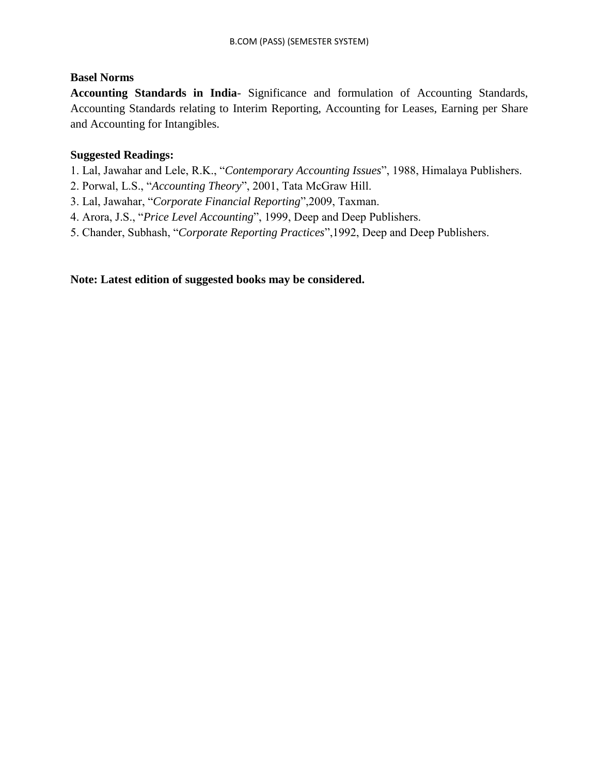# **Basel Norms**

**Accounting Standards in India**- Significance and formulation of Accounting Standards, Accounting Standards relating to Interim Reporting, Accounting for Leases, Earning per Share and Accounting for Intangibles.

# **Suggested Readings:**

1. Lal, Jawahar and Lele, R.K., "*Contemporary Accounting Issues*", 1988, Himalaya Publishers.

- 2. Porwal, L.S., "*Accounting Theory*", 2001, Tata McGraw Hill.
- 3. Lal, Jawahar, "*Corporate Financial Reporting*",2009, Taxman.
- 4. Arora, J.S., "*Price Level Accounting*", 1999, Deep and Deep Publishers.
- 5. Chander, Subhash, "*Corporate Reporting Practices*",1992, Deep and Deep Publishers.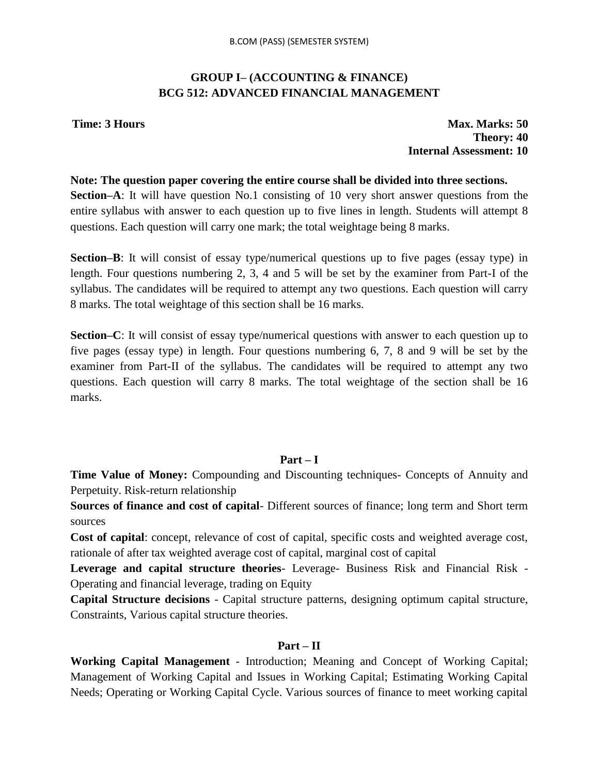# **GROUP I– (ACCOUNTING & FINANCE) BCG 512: ADVANCED FINANCIAL MANAGEMENT**

**Time: 3 Hours Max. Marks: 50 Theory: 40 Internal Assessment: 10**

#### **Note: The question paper covering the entire course shall be divided into three sections.**

**Section–A**: It will have question No.1 consisting of 10 very short answer questions from the entire syllabus with answer to each question up to five lines in length. Students will attempt 8 questions. Each question will carry one mark; the total weightage being 8 marks.

**Section–B**: It will consist of essay type/numerical questions up to five pages (essay type) in length. Four questions numbering 2, 3, 4 and 5 will be set by the examiner from Part-I of the syllabus. The candidates will be required to attempt any two questions. Each question will carry 8 marks. The total weightage of this section shall be 16 marks.

**Section–C**: It will consist of essay type/numerical questions with answer to each question up to five pages (essay type) in length. Four questions numbering 6, 7, 8 and 9 will be set by the examiner from Part-II of the syllabus. The candidates will be required to attempt any two questions. Each question will carry 8 marks. The total weightage of the section shall be 16 marks.

# **Part – I**

**Time Value of Money:** Compounding and Discounting techniques- Concepts of Annuity and Perpetuity. Risk-return relationship

**Sources of finance and cost of capital**- Different sources of finance; long term and Short term sources

**Cost of capital**: concept, relevance of cost of capital, specific costs and weighted average cost, rationale of after tax weighted average cost of capital, marginal cost of capital

**Leverage and capital structure theories**- Leverage- Business Risk and Financial Risk - Operating and financial leverage, trading on Equity

**Capital Structure decisions** - Capital structure patterns, designing optimum capital structure, Constraints, Various capital structure theories.

# **Part – II**

**Working Capital Management** - Introduction; Meaning and Concept of Working Capital; Management of Working Capital and Issues in Working Capital; Estimating Working Capital Needs; Operating or Working Capital Cycle. Various sources of finance to meet working capital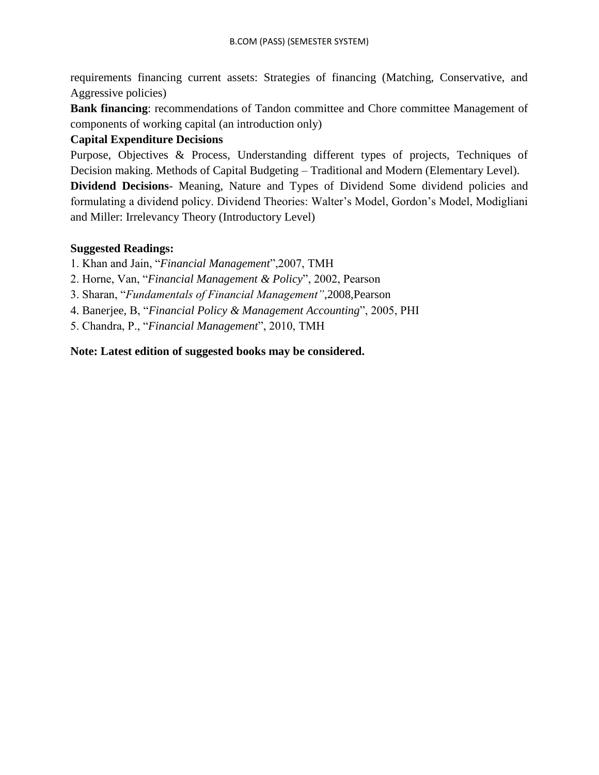requirements financing current assets: Strategies of financing (Matching, Conservative, and Aggressive policies)

**Bank financing**: recommendations of Tandon committee and Chore committee Management of components of working capital (an introduction only)

# **Capital Expenditure Decisions**

Purpose, Objectives & Process, Understanding different types of projects, Techniques of Decision making. Methods of Capital Budgeting – Traditional and Modern (Elementary Level).

**Dividend Decisions**- Meaning, Nature and Types of Dividend Some dividend policies and formulating a dividend policy. Dividend Theories: Walter"s Model, Gordon"s Model, Modigliani and Miller: Irrelevancy Theory (Introductory Level)

# **Suggested Readings:**

1. Khan and Jain, "*Financial Management*",2007, TMH

2. Horne, Van, "*Financial Management & Policy*", 2002, Pearson

3. Sharan, "*Fundamentals of Financial Management"*,2008,Pearson

4. Banerjee, B, "*Financial Policy & Management Accounting*", 2005, PHI

5. Chandra, P., "*Financial Management*", 2010, TMH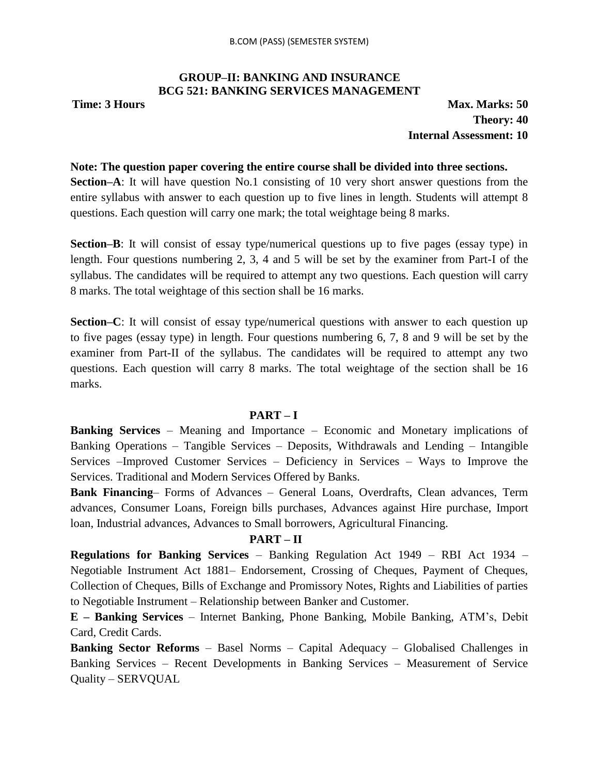# **GROUP–II: BANKING AND INSURANCE BCG 521: BANKING SERVICES MANAGEMENT**

**Time: 3 Hours Max. Marks: 50 Theory: 40 Internal Assessment: 10**

#### **Note: The question paper covering the entire course shall be divided into three sections.**

**Section–A**: It will have question No.1 consisting of 10 very short answer questions from the entire syllabus with answer to each question up to five lines in length. Students will attempt 8 questions. Each question will carry one mark; the total weightage being 8 marks.

**Section–B**: It will consist of essay type/numerical questions up to five pages (essay type) in length. Four questions numbering 2, 3, 4 and 5 will be set by the examiner from Part-I of the syllabus. The candidates will be required to attempt any two questions. Each question will carry 8 marks. The total weightage of this section shall be 16 marks.

**Section–C**: It will consist of essay type/numerical questions with answer to each question up to five pages (essay type) in length. Four questions numbering 6, 7, 8 and 9 will be set by the examiner from Part-II of the syllabus. The candidates will be required to attempt any two questions. Each question will carry 8 marks. The total weightage of the section shall be 16 marks.

#### **PART – I**

**Banking Services** – Meaning and Importance – Economic and Monetary implications of Banking Operations – Tangible Services – Deposits, Withdrawals and Lending – Intangible Services –Improved Customer Services – Deficiency in Services – Ways to Improve the Services. Traditional and Modern Services Offered by Banks.

**Bank Financing**– Forms of Advances – General Loans, Overdrafts, Clean advances, Term advances, Consumer Loans, Foreign bills purchases, Advances against Hire purchase, Import loan, Industrial advances, Advances to Small borrowers, Agricultural Financing.

#### **PART – II**

**Regulations for Banking Services** – Banking Regulation Act 1949 – RBI Act 1934 – Negotiable Instrument Act 1881– Endorsement, Crossing of Cheques, Payment of Cheques, Collection of Cheques, Bills of Exchange and Promissory Notes, Rights and Liabilities of parties to Negotiable Instrument – Relationship between Banker and Customer.

**E – Banking Services** – Internet Banking, Phone Banking, Mobile Banking, ATM"s, Debit Card, Credit Cards.

**Banking Sector Reforms** – Basel Norms – Capital Adequacy – Globalised Challenges in Banking Services – Recent Developments in Banking Services – Measurement of Service Quality – SERVQUAL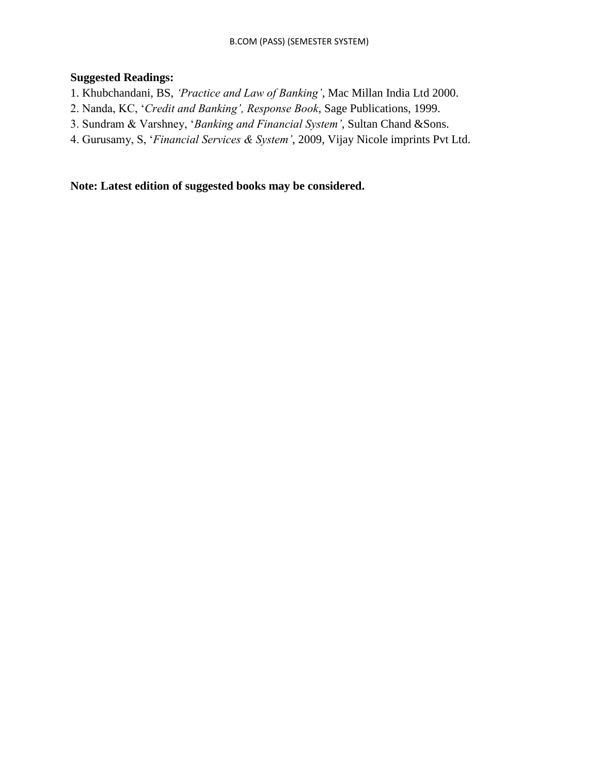# **Suggested Readings:**

- 1. Khubchandani, BS, *"Practice and Law of Banking"*, Mac Millan India Ltd 2000.
- 2. Nanda, KC, "*Credit and Banking", Response Book*, Sage Publications, 1999.
- 3. Sundram & Varshney, "*Banking and Financial System"*, Sultan Chand &Sons.
- 4. Gurusamy, S, "*Financial Services & System"*, 2009, Vijay Nicole imprints Pvt Ltd.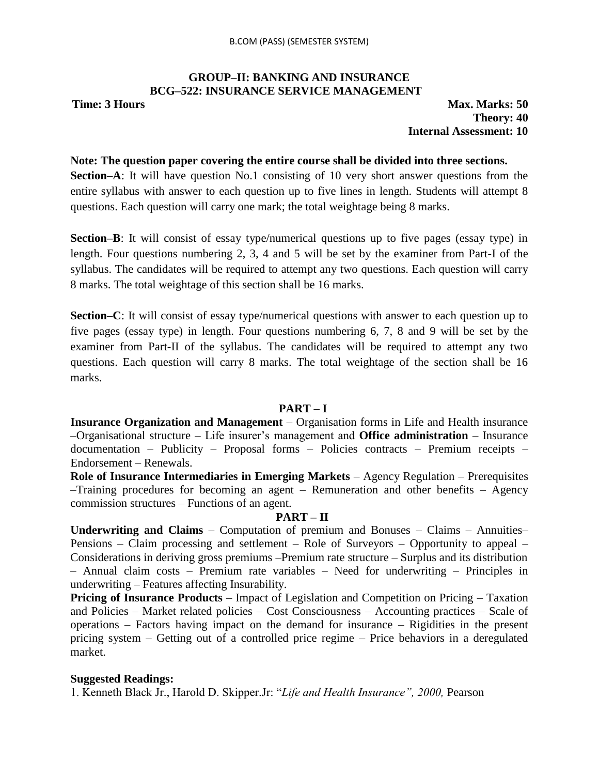# **GROUP–II: BANKING AND INSURANCE BCG–522: INSURANCE SERVICE MANAGEMENT**

**Time: 3 Hours Max. Marks: 50 Theory: 40 Internal Assessment: 10**

#### **Note: The question paper covering the entire course shall be divided into three sections.**

**Section–A**: It will have question No.1 consisting of 10 very short answer questions from the entire syllabus with answer to each question up to five lines in length. Students will attempt 8 questions. Each question will carry one mark; the total weightage being 8 marks.

**Section–B**: It will consist of essay type/numerical questions up to five pages (essay type) in length. Four questions numbering 2, 3, 4 and 5 will be set by the examiner from Part-I of the syllabus. The candidates will be required to attempt any two questions. Each question will carry 8 marks. The total weightage of this section shall be 16 marks.

**Section–C**: It will consist of essay type/numerical questions with answer to each question up to five pages (essay type) in length. Four questions numbering 6, 7, 8 and 9 will be set by the examiner from Part-II of the syllabus. The candidates will be required to attempt any two questions. Each question will carry 8 marks. The total weightage of the section shall be 16 marks.

#### **PART – I**

**Insurance Organization and Management** – Organisation forms in Life and Health insurance –Organisational structure – Life insurer"s management and **Office administration** – Insurance documentation – Publicity – Proposal forms – Policies contracts – Premium receipts – Endorsement – Renewals.

**Role of Insurance Intermediaries in Emerging Markets** – Agency Regulation – Prerequisites –Training procedures for becoming an agent – Remuneration and other benefits – Agency commission structures – Functions of an agent.

# **PART – II**

**Underwriting and Claims** – Computation of premium and Bonuses – Claims – Annuities– Pensions – Claim processing and settlement – Role of Surveyors – Opportunity to appeal – Considerations in deriving gross premiums –Premium rate structure – Surplus and its distribution – Annual claim costs – Premium rate variables – Need for underwriting – Principles in underwriting – Features affecting Insurability.

**Pricing of Insurance Products** – Impact of Legislation and Competition on Pricing – Taxation and Policies – Market related policies – Cost Consciousness – Accounting practices – Scale of operations – Factors having impact on the demand for insurance – Rigidities in the present pricing system – Getting out of a controlled price regime – Price behaviors in a deregulated market.

# **Suggested Readings:**

1. Kenneth Black Jr., Harold D. Skipper.Jr: "*Life and Health Insurance", 2000,* Pearson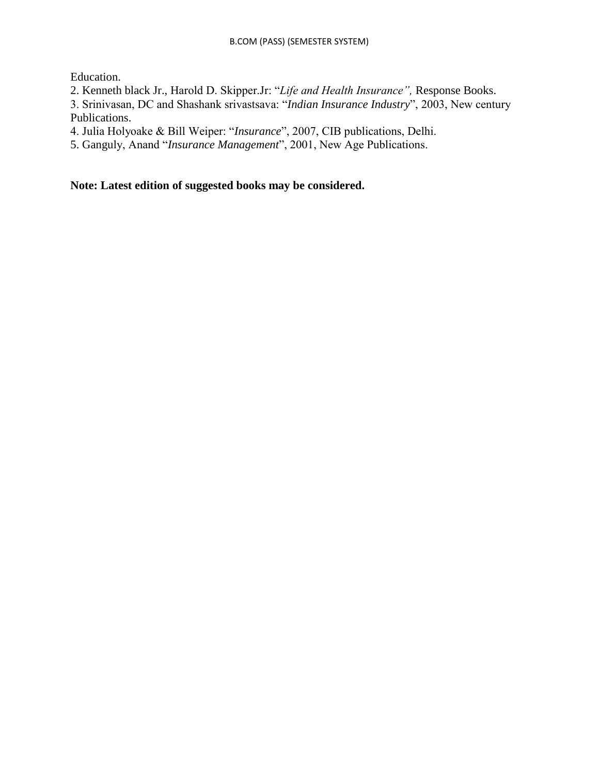Education.

2. Kenneth black Jr., Harold D. Skipper.Jr: "*Life and Health Insurance",* Response Books.

3. Srinivasan, DC and Shashank srivastsava: "*Indian Insurance Industry*", 2003, New century Publications.

4. Julia Holyoake & Bill Weiper: "*Insurance*", 2007, CIB publications, Delhi.

5. Ganguly, Anand "*Insurance Management*", 2001, New Age Publications.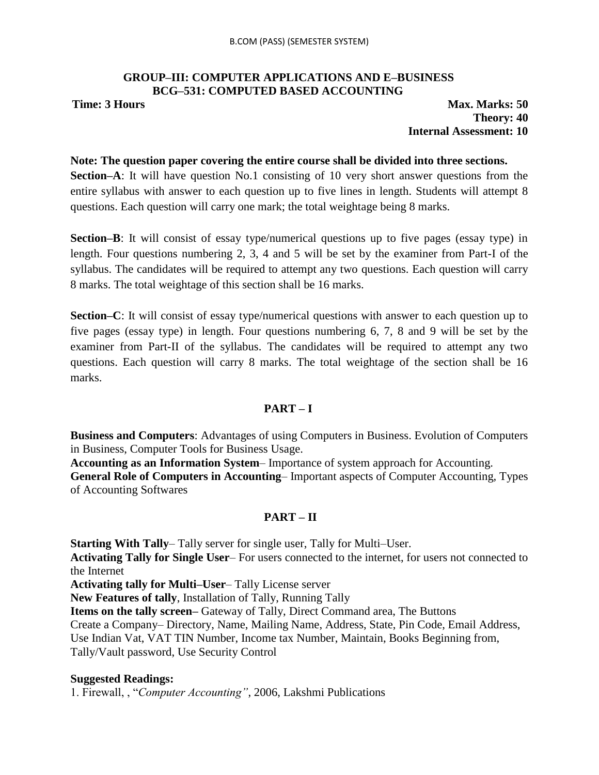#### **GROUP–III: COMPUTER APPLICATIONS AND E–BUSINESS BCG–531: COMPUTED BASED ACCOUNTING**

**Time: 3 Hours Max. Marks: 50 Theory: 40 Internal Assessment: 10**

### **Note: The question paper covering the entire course shall be divided into three sections.**

**Section–A**: It will have question No.1 consisting of 10 very short answer questions from the entire syllabus with answer to each question up to five lines in length. Students will attempt 8 questions. Each question will carry one mark; the total weightage being 8 marks.

**Section–B**: It will consist of essay type/numerical questions up to five pages (essay type) in length. Four questions numbering 2, 3, 4 and 5 will be set by the examiner from Part-I of the syllabus. The candidates will be required to attempt any two questions. Each question will carry 8 marks. The total weightage of this section shall be 16 marks.

**Section–C**: It will consist of essay type/numerical questions with answer to each question up to five pages (essay type) in length. Four questions numbering 6, 7, 8 and 9 will be set by the examiner from Part-II of the syllabus. The candidates will be required to attempt any two questions. Each question will carry 8 marks. The total weightage of the section shall be 16 marks.

# **PART – I**

**Business and Computers**: Advantages of using Computers in Business. Evolution of Computers in Business, Computer Tools for Business Usage.

**Accounting as an Information System**– Importance of system approach for Accounting.

**General Role of Computers in Accounting**– Important aspects of Computer Accounting, Types of Accounting Softwares

# **PART – II**

**Starting With Tally**– Tally server for single user, Tally for Multi–User.

**Activating Tally for Single User**– For users connected to the internet, for users not connected to the Internet

**Activating tally for Multi–User**– Tally License server

**New Features of tally**, Installation of Tally, Running Tally

**Items on the tally screen–** Gateway of Tally, Direct Command area, The Buttons

Create a Company– Directory, Name, Mailing Name, Address, State, Pin Code, Email Address,

Use Indian Vat, VAT TIN Number, Income tax Number, Maintain, Books Beginning from,

Tally/Vault password, Use Security Control

# **Suggested Readings:**

1. Firewall, , "*Computer Accounting"*, 2006, Lakshmi Publications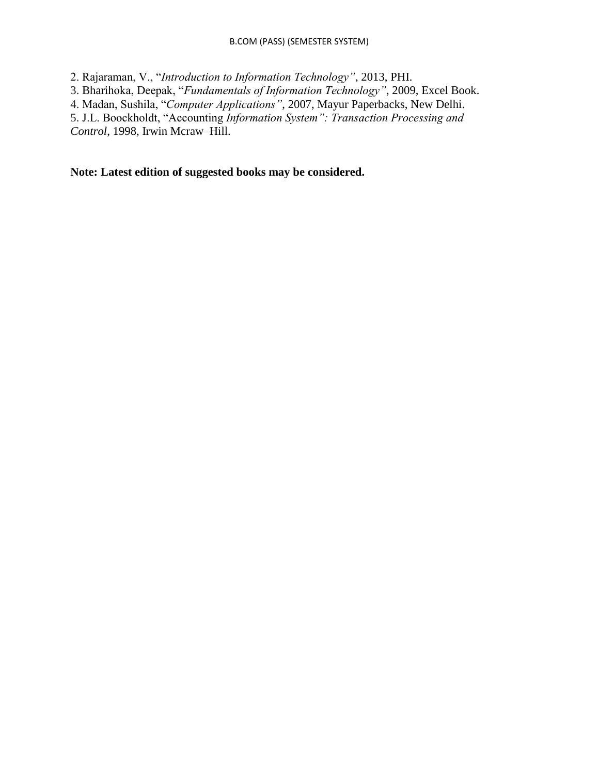#### B.COM (PASS) (SEMESTER SYSTEM)

2. Rajaraman, V., "*Introduction to Information Technology"*, 2013, PHI.

3. Bharihoka, Deepak, "*Fundamentals of Information Technology"*, 2009, Excel Book.

4. Madan, Sushila, "*Computer Applications"*, 2007, Mayur Paperbacks, New Delhi.

5. J.L. Boockholdt, "Accounting *Information System": Transaction Processing and Control*, 1998, Irwin Mcraw–Hill.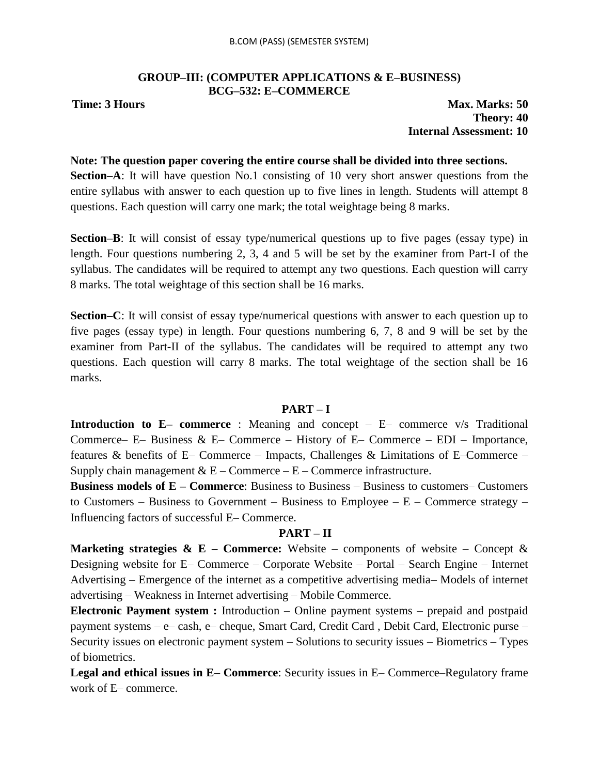### **GROUP–III: (COMPUTER APPLICATIONS & E–BUSINESS) BCG–532: E–COMMERCE**

**Time: 3 Hours Max. Marks: 50 Theory: 40 Internal Assessment: 10**

#### **Note: The question paper covering the entire course shall be divided into three sections.**

**Section–A**: It will have question No.1 consisting of 10 very short answer questions from the entire syllabus with answer to each question up to five lines in length. Students will attempt 8 questions. Each question will carry one mark; the total weightage being 8 marks.

**Section–B**: It will consist of essay type/numerical questions up to five pages (essay type) in length. Four questions numbering 2, 3, 4 and 5 will be set by the examiner from Part-I of the syllabus. The candidates will be required to attempt any two questions. Each question will carry 8 marks. The total weightage of this section shall be 16 marks.

**Section–C**: It will consist of essay type/numerical questions with answer to each question up to five pages (essay type) in length. Four questions numbering 6, 7, 8 and 9 will be set by the examiner from Part-II of the syllabus. The candidates will be required to attempt any two questions. Each question will carry 8 marks. The total weightage of the section shall be 16 marks.

#### **PART – I**

**Introduction to E– commerce** : Meaning and concept – E– commerce v/s Traditional Commerce– E– Business & E– Commerce – History of E– Commerce – EDI – Importance, features & benefits of E– Commerce – Impacts, Challenges & Limitations of E–Commerce – Supply chain management  $& E$  – Commerce – E – Commerce infrastructure.

**Business models of E – Commerce**: Business to Business – Business to customers– Customers to Customers – Business to Government – Business to Employee –  $E$  – Commerce strategy – Influencing factors of successful E– Commerce.

# **PART – II**

**Marketing strategies & E – Commerce:** Website – components of website – Concept & Designing website for E– Commerce – Corporate Website – Portal – Search Engine – Internet Advertising – Emergence of the internet as a competitive advertising media– Models of internet advertising – Weakness in Internet advertising – Mobile Commerce.

**Electronic Payment system :** Introduction – Online payment systems – prepaid and postpaid payment systems – e– cash, e– cheque, Smart Card, Credit Card , Debit Card, Electronic purse – Security issues on electronic payment system – Solutions to security issues – Biometrics – Types of biometrics.

**Legal and ethical issues in E– Commerce**: Security issues in E– Commerce–Regulatory frame work of E– commerce.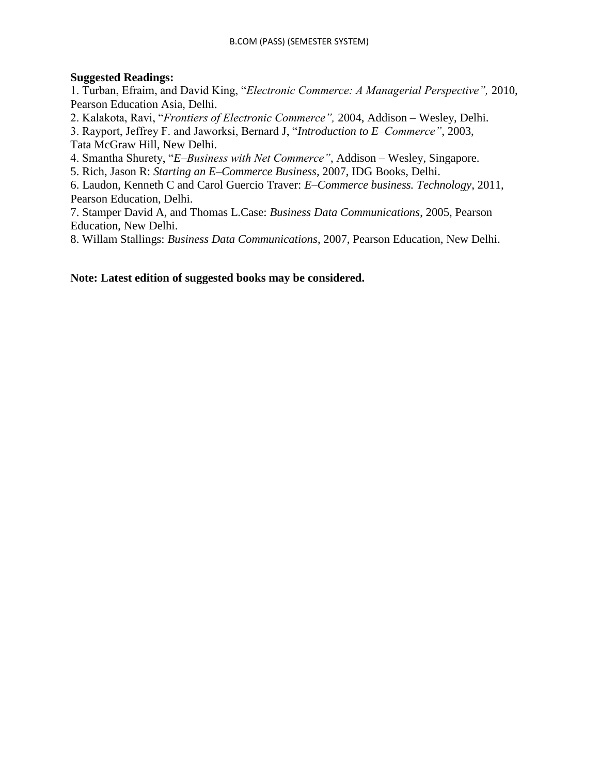# **Suggested Readings:**

1. Turban, Efraim, and David King, "*Electronic Commerce: A Managerial Perspective",* 2010, Pearson Education Asia, Delhi.

2. Kalakota, Ravi, "*Frontiers of Electronic Commerce",* 2004, Addison – Wesley, Delhi.

3. Rayport, Jeffrey F. and Jaworksi, Bernard J, "*Introduction to E–Commerce"*, 2003, Tata McGraw Hill, New Delhi.

4. Smantha Shurety, "*E–Business with Net Commerce"*, Addison – Wesley, Singapore.

5. Rich, Jason R: *Starting an E–Commerce Business,* 2007, IDG Books, Delhi.

6. Laudon, Kenneth C and Carol Guercio Traver: *E–Commerce business. Technology*, 2011, Pearson Education, Delhi.

7. Stamper David A, and Thomas L.Case: *Business Data Communications*, 2005, Pearson Education, New Delhi.

8. Willam Stallings: *Business Data Communications*, 2007, Pearson Education, New Delhi.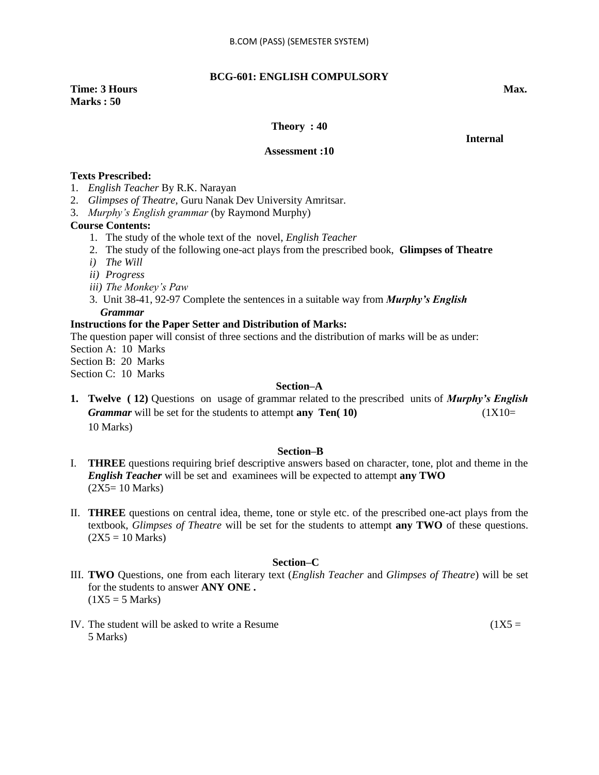**BCG-601: ENGLISH COMPULSORY**

**Time: 3 Hours Max. Max. Marks : 50** 

#### **Theory : 40**

*<u>Internal</u>* 

**Assessment :10**

#### **Texts Prescribed:**

- 1. *English Teacher* By R.K. Narayan
- 2. *Glimpses of Theatre*, Guru Nanak Dev University Amritsar.
- 3. *Murphy"s English grammar* (by Raymond Murphy)

#### **Course Contents:**

- 1. The study of the whole text of the novel, *English Teacher*
- 2. The study of the following one-act plays from the prescribed book, **Glimpses of Theatre**
- *i) The Will*
- *ii) Progress*
- *iii) The Monkey"s Paw*
- 3. Unit 38-41, 92-97 Complete the sentences in a suitable way from *Murphy's English Grammar*

#### **Instructions for the Paper Setter and Distribution of Marks:**

The question paper will consist of three sections and the distribution of marks will be as under:

Section A: 10 Marks

Section B: 20 Marks

Section C: 10 Marks

#### **Section–A**

**1. Twelve ( 12)** Questions on usage of grammar related to the prescribed units of *Murphy's English Grammar* will be set for the students to attempt **any Ten( 10)** (1X10= 10 Marks)

#### **Section–B**

- I. **THREE** questions requiring brief descriptive answers based on character, tone, plot and theme in the *English Teacher* will be set and examinees will be expected to attempt **any TWO**  $(2X5=10 \text{ Marks})$
- II. **THREE** questions on central idea, theme, tone or style etc. of the prescribed one-act plays from the textbook, *Glimpses of Theatre* will be set for the students to attempt **any TWO** of these questions.  $(2X5 = 10 \text{ Marks})$

#### **Section–C**

- III. **TWO** Questions, one from each literary text (*English Teacher* and *Glimpses of Theatre*) will be set for the students to answer **ANY ONE .**  $(1X5 = 5 \text{ Marks})$
- IV. The student will be asked to write a Resume  $(1X5 =$ 5 Marks)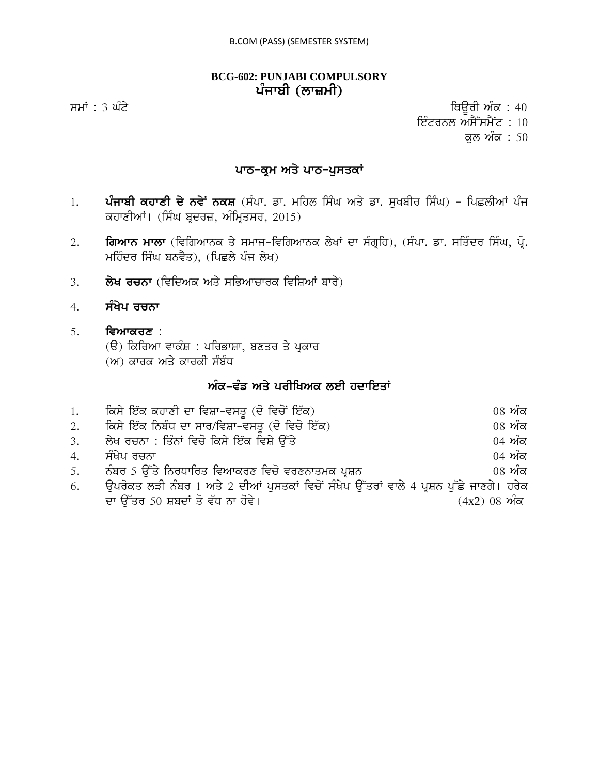# **BCG-602: PUNJABI COMPULSORY** ਪੰਜਾਬੀ (ਲਾਜ਼ਮੀ)

ਸਮਾਂ : 3 ਘੰਟੇ ਪਰਿਆ ਤੇ ਕਿਉਰੀ ਅੰਕ : 40 ਇੰਟਰਨਲ ਅਸੈੱਸਮੈਂਟ :  $10$ 

ਕੁਲ ਅੰਕ $: 50$ 

# **ਪਾਠ-ਕ੍ਰਮ ਅਤੇ ਪਾਠ-ਪੁਸਤਕਾਂ**

- 1. ਪੰਜਾਬੀ ਕਹਾਣੀ ਦੇ ਨਵੇਂ ਨਕਸ਼ (ਸੰਪਾ. ਡਾ. ਮਹਿਲ ਸਿੰਘ ਅਤੇ ਡਾ. ਸੁਖਬੀਰ ਸਿੰਘ) ਪਿਛਲੀਆਂ ਪੰਜ ਕਹਾਣੀਆਂ। (ਸਿੰਘ ਬੁਦਰਜ਼, ਅੰਮ੍ਰਿਤਸਰ, 2015)
- 2. **ਗਿਆਨ ਮਾਲਾ** (ਵਿਗਿਆਨਕ ਤੇ ਸਮਾਜ-ਵਿਗਿਆਨਕ ਲੇਖਾਂ ਦਾ ਸੰਗ੍ਰਹਿ), (ਸੰਪਾ. ਡਾ. ਸਤਿੰਦਰ ਸਿੰਘ, ਪ੍ਰੋ. ਮਹਿੰਦਰ ਸਿੰਘ ਬਨਵੈਤ), (ਪਿਛਲੇ ਪੰਜ ਲੇਖ)
- 3. **· ਲੇਖ ਰਚਨਾ** (ਵਿਦਿਅਕ ਅਤੇ ਸਭਿਆਚਾਰਕ ਵਿਸ਼ਿਆਂ ਬਾਰੇ)
- 4. **ਸੰਖੇਪ ਰਚਨਾ**
- 5. **ਵਿਆਕਰਣ** :
	- (ੳ) ਕਿਰਿਆ ਵਾਕੰਸ਼ : ਪਰਿਭਾਸ਼ਾ, ਬਣਤਰ ਤੇ ਪਕਾਰ
	- (ਅ) ਕਾਰਕ ਅਤੇ ਕਾਰਕੀ ਸੰਬੰਧ

# ਅੰਕ-ਵੰਡ ਅਤੇ ਪਰੀਖਿਅਕ ਲਈ ਹਦਾਇਤਾ<u>ਂ</u>

| 1. | ਕਿਸੇ ਇੱਕ ਕਹਾਣੀ ਦਾ ਵਿਸ਼ਾ-ਵਸਤੂ (ਦੋ ਵਿਚੋਂ ਇੱਕ)                                             | $08\,$ ਅੰਕ                                     |
|----|-----------------------------------------------------------------------------------------|------------------------------------------------|
| 2. | ਕਿਸੇ ਇੱਕ ਨਿਬੰਧ ਦਾ ਸਾਰ/ਵਿਸ਼ਾ-ਵਸਤੂ (ਦੋ ਵਿਚੋ ਇੱਕ)                                          | $08 \nwarrow \overline{\sigma}$                |
| 3. | ਲੇਖ ਰਚਨਾ : ਤਿੰਨਾਂ ਵਿਚੋ ਕਿਸੇ ਇੱਕ ਵਿਸ਼ੇ ੳੱਤੇ                                              | $04 \nvert \nvert \nvert \nvert \nvert \nvert$ |
| 4. | ਸੰਖੇਪ ਰਚਨਾ                                                                              | $04 \n m\bar{\alpha}$                          |
| 5. | ਨੰਬਰ 5 ਉੱਤੇ ਨਿਰਧਾਰਿਤ ਵਿਆਕਰਣ ਵਿਚੋ ਵਰਣਨਾਤਮਕ ਪ੍ਰਸ਼ਨ                                        | $08 \nvert \nmid \mathbf{w}$ ਕ                 |
| 6. | ਉਪਰੋਕਤ ਲੜੀ ਨੰਬਰ 1 ਅਤੇ 2 ਦੀਆਂ ਪੁਸਤਕਾਂ ਵਿਚੋਂ ਸੰਖੇਪ ਉੱਤਰਾਂ ਵਾਲੇ 4 ਪ੍ਰਸ਼ਨ ਪੁੱਛੇ ਜਾਣਗੇ। ਹਰੇਕ |                                                |
|    | ਦਾ ਉੱਤਰ 50 ਸ਼ਬਦਾਂ ਤੋ ਵੱਧ ਨਾ ਹੋਵੇ।                                                       | $(4x2)$ 08 ਅੰਕ                                 |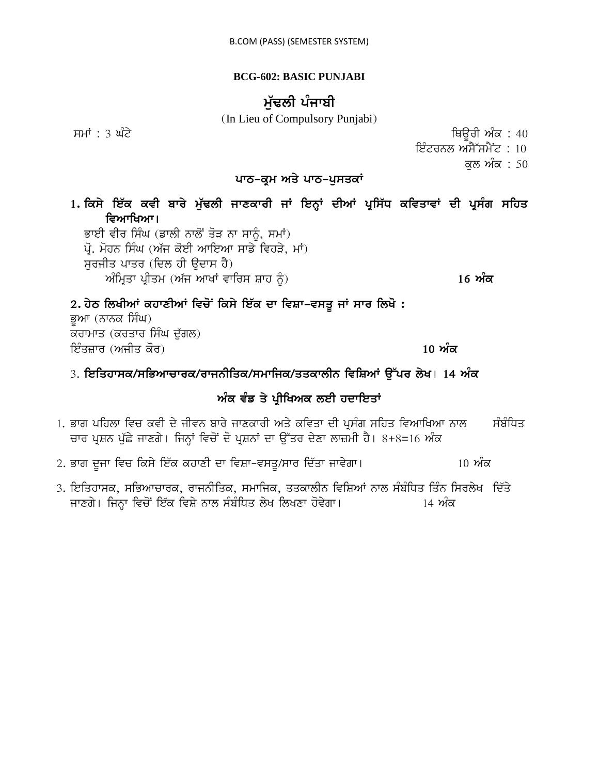# **BCG-602: BASIC PUNJABI**

# ਮੱਢਲੀ ਪੰਜਾਬੀ

(In Lieu of Compulsory Punjabi)

smW : 3 GMty iQaUrI AMk : 40

ਇੰਟਰਨਲ ਅਸੈੱਸਮੈਂਟ : 10

ਕਲ ਅੰਕ : 50

# *ਪਾਠ-ਕ੍ਰਮ ਅਤੇ ਪਾਠ-ਪੁਸਤਕਾਂ*

1. ਕਿਸੇ ਇੱਕ ਕਵੀ ਬਾਰੇ ਮੁੱਢਲੀ ਜਾਣਕਾਰੀ ਜਾਂ ਇਨ੍ਹਾਂ ਦੀਆਂ ਪ੍ਰਸਿੱਧ ਕਵਿਤਾਵਾਂ ਦੀ ਪ੍ਰਸੰਗ ਸਹਿਤ ਵਿਆਖਿਆ।

ਭਾਈ ਵੀਰ ਸਿੰਘ (ਡਾਲੀ ਨਾਲੋਂ ਤੋੜ ਨਾ ਸਾਨੂੰ, ਸਮਾਂ)

 $\vec{\mu}$ . ਮੋਹਨ ਸਿੰਘ (ਅੱਜ ਕੋਈ ਆਇਆ ਸਾਡੇ ਵਿਹੜੇ, ਮਾਂ) ਸਰਜੀਤ ਪਾਤਰ (ਦਿਲ ਹੀ ੳਦਾਸ ਹੈ) AMimRqw pRIqm (A`j AwKW vwirs Swh ƒ) **16 AMk**

# 2. ਹੇਠ ਲਿਖੀਆਂ ਕਹਾਣੀਆਂ ਵਿਚੋਂ ਕਿਸੇ ਇੱਕ ਦਾ ਵਿਸ਼ਾ-ਵਸਤੂ ਜਾਂ ਸਾਰ ਲਿਖੋ :

ਭਆ (ਨਾਨਕ ਸਿੰਘ) ਕਰਾਮਾਤ (ਕਰਤਾਰ ਸਿੰਘ ਦੁੱਗਲ) ਇੰਤਜ਼ਾਰ (ਅਜੀਤ ਕੌਰ) **ਹਨ ਤੋਂ ਕਰਨ ਦੀ ਸ਼ਹਿਰ ਦੀ ਸ਼ਹਿਰ ਅੰਕ** 10 **ਅੰਕ** 

# 3. ਇਤਿਹਾਸਕ/ਸਭਿਆਚਾਰਕ/ਰਾਜਨੀਤਿਕ/ਸਮਾਜਿਕ/ਤਤਕਾਲੀਨ ਵਿਸ਼ਿਆਂ ਉੱਪਰ ਲੇਖ। 14 ਅੰਕ

# ਅੰਕ ਵੰਡ ਤੇ ਪ੍ਰੀਖਿਅਕ ਲਈ ਹਦਾਇ**ਤਾਂ**

- <u>1. ਭਾਗ ਪਹਿਲਾ ਵਿਚ ਕਵੀ ਦੇ ਜੀਵਨ ਬਾਰੇ ਜਾਣਕਾਰੀ ਅਤੇ ਕਵਿਤਾ ਦੀ ਪਸੰਗ ਸਹਿਤ ਵਿਆਖਿਆ ਨਾਲ ਸੰਬੰਧਿਤ</u> ਚਾਰ ਪ੍ਰਸ਼ਨ ਪੁੱਛੇ ਜਾਣਗੇ। ਜਿਨ੍ਹਾਂ ਵਿਚੋਂ ਦੋ ਪ੍ਰਸ਼ਨਾਂ ਦਾ ਉੱਤਰ ਦੇਣਾ ਲਾਜ਼ਮੀ ਹੈ। 8+8=16 ਅੰਕ
- 2. ਭਾਗ ਦੂਜਾ ਵਿਚ ਕਿਸੇ ਇੱਕ ਕਹਾਣੀ ਦਾ ਵਿਸ਼ਾ-ਵਸਤੂ/ਸਾਰ ਦਿੱਤਾ ਜਾਵੇਗਾ। 10 ਅੰਕ
- 3. ਇਤਿਹਾਸਕ, ਸਭਿਆਚਾਰਕ, ਰਾਜਨੀਤਿਕ, ਸਮਾਜਿਕ, ਤਤਕਾਲੀਨ ਵਿਸ਼ਿਆਂ ਨਾਲ ਸੰਬੰਧਿਤ ਤਿੰਨ ਸਿਰਲੇਖ ਦਿੱਤੇ jwxgy[ ijnHw ivcoN ie`k ivSy nwl sMbMiDq lyK ilKxw hovygw[ 14 AMk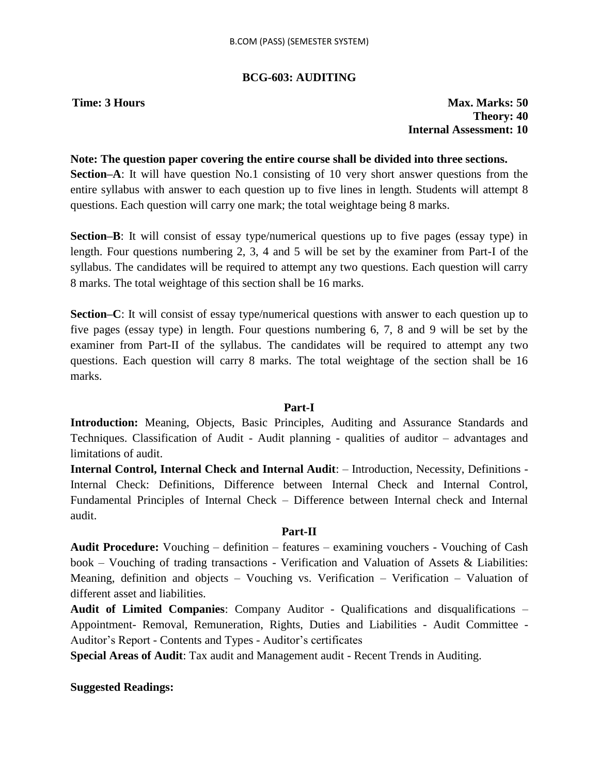# **BCG-603: AUDITING**

**Time: 3 Hours Max. Marks: 50 Theory: 40 Internal Assessment: 10**

#### **Note: The question paper covering the entire course shall be divided into three sections.**

**Section–A**: It will have question No.1 consisting of 10 very short answer questions from the entire syllabus with answer to each question up to five lines in length. Students will attempt 8 questions. Each question will carry one mark; the total weightage being 8 marks.

**Section–B**: It will consist of essay type/numerical questions up to five pages (essay type) in length. Four questions numbering 2, 3, 4 and 5 will be set by the examiner from Part-I of the syllabus. The candidates will be required to attempt any two questions. Each question will carry 8 marks. The total weightage of this section shall be 16 marks.

**Section–C**: It will consist of essay type/numerical questions with answer to each question up to five pages (essay type) in length. Four questions numbering 6, 7, 8 and 9 will be set by the examiner from Part-II of the syllabus. The candidates will be required to attempt any two questions. Each question will carry 8 marks. The total weightage of the section shall be 16 marks.

# **Part-I**

**Introduction:** Meaning, Objects, Basic Principles, Auditing and Assurance Standards and Techniques. Classification of Audit - Audit planning - qualities of auditor – advantages and limitations of audit.

**Internal Control, Internal Check and Internal Audit**: – Introduction, Necessity, Definitions - Internal Check: Definitions, Difference between Internal Check and Internal Control, Fundamental Principles of Internal Check – Difference between Internal check and Internal audit.

# **Part-II**

**Audit Procedure:** Vouching – definition – features – examining vouchers - Vouching of Cash book – Vouching of trading transactions - Verification and Valuation of Assets & Liabilities: Meaning, definition and objects – Vouching vs. Verification – Verification – Valuation of different asset and liabilities.

**Audit of Limited Companies**: Company Auditor - Qualifications and disqualifications – Appointment- Removal, Remuneration, Rights, Duties and Liabilities - Audit Committee - Auditor"s Report - Contents and Types - Auditor"s certificates

**Special Areas of Audit**: Tax audit and Management audit - Recent Trends in Auditing.

**Suggested Readings:**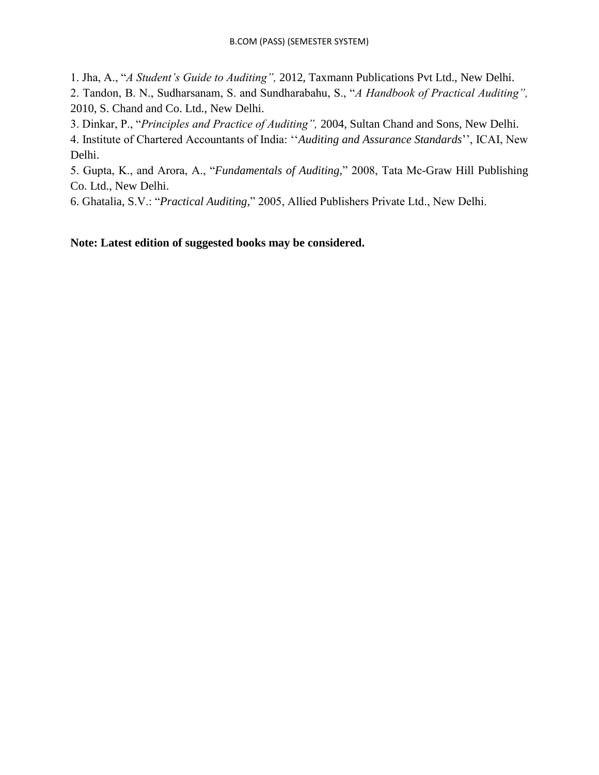1. Jha, A., "*A Student"s Guide to Auditing",* 2012, Taxmann Publications Pvt Ltd., New Delhi. 2. Tandon, B. N., Sudharsanam, S. and Sundharabahu, S., "*A Handbook of Practical Auditing",*  2010, S. Chand and Co. Ltd., New Delhi.

3. Dinkar, P., "*Principles and Practice of Auditing",* 2004, Sultan Chand and Sons, New Delhi.

4. Institute of Chartered Accountants of India: ""*Auditing and Assurance Standards*"", ICAI, New Delhi.

5. Gupta, K., and Arora, A., "*Fundamentals of Auditing,*" 2008, Tata Mc-Graw Hill Publishing Co. Ltd., New Delhi.

6. Ghatalia, S.V.: "*Practical Auditing,*" 2005, Allied Publishers Private Ltd., New Delhi.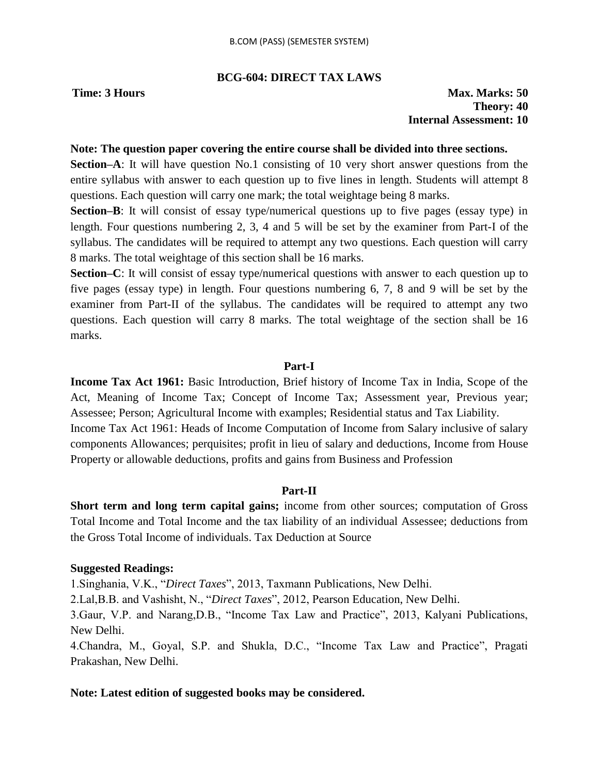## **BCG-604: DIRECT TAX LAWS**

**Time: 3 Hours Max. Marks: 50 Theory: 40 Internal Assessment: 10**

#### **Note: The question paper covering the entire course shall be divided into three sections.**

**Section–A**: It will have question No.1 consisting of 10 very short answer questions from the entire syllabus with answer to each question up to five lines in length. Students will attempt 8 questions. Each question will carry one mark; the total weightage being 8 marks.

**Section–B**: It will consist of essay type/numerical questions up to five pages (essay type) in length. Four questions numbering 2, 3, 4 and 5 will be set by the examiner from Part-I of the syllabus. The candidates will be required to attempt any two questions. Each question will carry 8 marks. The total weightage of this section shall be 16 marks.

**Section–C**: It will consist of essay type/numerical questions with answer to each question up to five pages (essay type) in length. Four questions numbering 6, 7, 8 and 9 will be set by the examiner from Part-II of the syllabus. The candidates will be required to attempt any two questions. Each question will carry 8 marks. The total weightage of the section shall be 16 marks.

#### **Part-I**

**Income Tax Act 1961:** Basic Introduction, Brief history of Income Tax in India, Scope of the Act, Meaning of Income Tax; Concept of Income Tax; Assessment year, Previous year; Assessee; Person; Agricultural Income with examples; Residential status and Tax Liability. Income Tax Act 1961: Heads of Income Computation of Income from Salary inclusive of salary components Allowances; perquisites; profit in lieu of salary and deductions, Income from House Property or allowable deductions, profits and gains from Business and Profession

#### **Part-II**

**Short term and long term capital gains;** income from other sources; computation of Gross Total Income and Total Income and the tax liability of an individual Assessee; deductions from the Gross Total Income of individuals. Tax Deduction at Source

#### **Suggested Readings:**

1.Singhania, V.K., "*Direct Taxes*", 2013, Taxmann Publications, New Delhi.

2.Lal,B.B. and Vashisht, N., "*Direct Taxes*", 2012, Pearson Education, New Delhi.

3.Gaur, V.P. and Narang,D.B., "Income Tax Law and Practice", 2013, Kalyani Publications, New Delhi.

4.Chandra, M., Goyal, S.P. and Shukla, D.C., "Income Tax Law and Practice", Pragati Prakashan, New Delhi.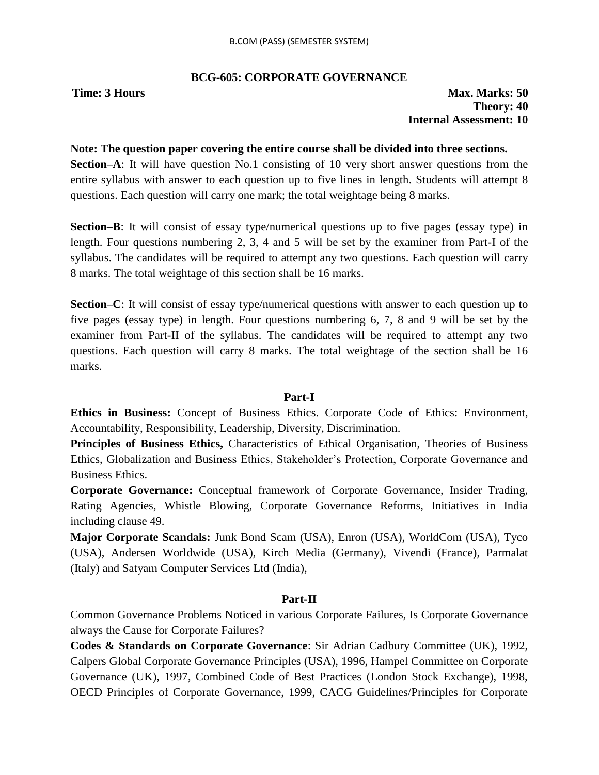# **BCG-605: CORPORATE GOVERNANCE**

**Time: 3 Hours Max. Marks: 50 Theory: 40 Internal Assessment: 10**

### **Note: The question paper covering the entire course shall be divided into three sections.**

**Section–A**: It will have question No.1 consisting of 10 very short answer questions from the entire syllabus with answer to each question up to five lines in length. Students will attempt 8 questions. Each question will carry one mark; the total weightage being 8 marks.

**Section–B**: It will consist of essay type/numerical questions up to five pages (essay type) in length. Four questions numbering 2, 3, 4 and 5 will be set by the examiner from Part-I of the syllabus. The candidates will be required to attempt any two questions. Each question will carry 8 marks. The total weightage of this section shall be 16 marks.

**Section–C**: It will consist of essay type/numerical questions with answer to each question up to five pages (essay type) in length. Four questions numbering 6, 7, 8 and 9 will be set by the examiner from Part-II of the syllabus. The candidates will be required to attempt any two questions. Each question will carry 8 marks. The total weightage of the section shall be 16 marks.

# **Part-I**

**Ethics in Business:** Concept of Business Ethics. Corporate Code of Ethics: Environment, Accountability, Responsibility, Leadership, Diversity, Discrimination.

**Principles of Business Ethics,** Characteristics of Ethical Organisation, Theories of Business Ethics, Globalization and Business Ethics, Stakeholder"s Protection, Corporate Governance and Business Ethics.

**Corporate Governance:** Conceptual framework of Corporate Governance, Insider Trading, Rating Agencies, Whistle Blowing, Corporate Governance Reforms, Initiatives in India including clause 49.

**Major Corporate Scandals:** Junk Bond Scam (USA), Enron (USA), WorldCom (USA), Tyco (USA), Andersen Worldwide (USA), Kirch Media (Germany), Vivendi (France), Parmalat (Italy) and Satyam Computer Services Ltd (India),

# **Part-II**

Common Governance Problems Noticed in various Corporate Failures, Is Corporate Governance always the Cause for Corporate Failures?

**Codes & Standards on Corporate Governance**: Sir Adrian Cadbury Committee (UK), 1992, Calpers Global Corporate Governance Principles (USA), 1996, Hampel Committee on Corporate Governance (UK), 1997, Combined Code of Best Practices (London Stock Exchange), 1998, OECD Principles of Corporate Governance, 1999, CACG Guidelines/Principles for Corporate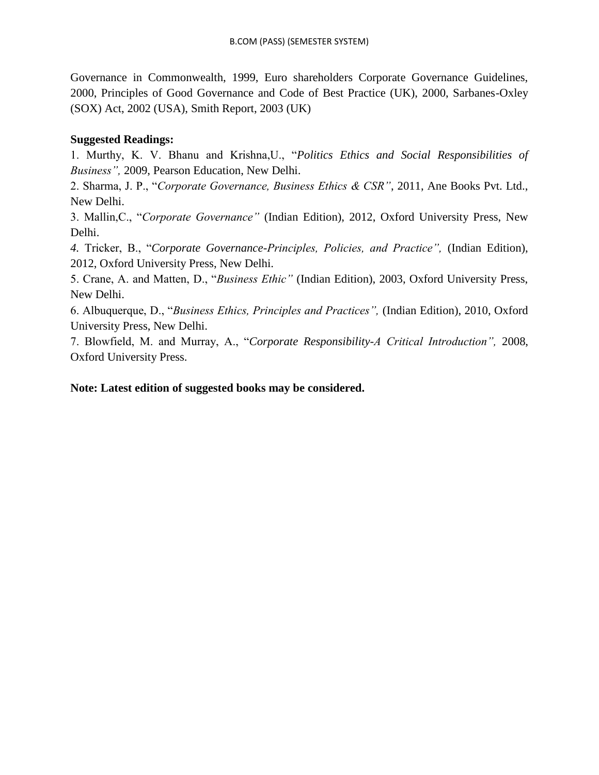Governance in Commonwealth, 1999, Euro shareholders Corporate Governance Guidelines, 2000, Principles of Good Governance and Code of Best Practice (UK), 2000, Sarbanes-Oxley (SOX) Act, 2002 (USA), Smith Report, 2003 (UK)

# **Suggested Readings:**

1. Murthy, K. V. Bhanu and Krishna,U., "*Politics Ethics and Social Responsibilities of Business",* 2009, Pearson Education, New Delhi.

2. Sharma, J. P., "*Corporate Governance, Business Ethics & CSR"*, 2011, Ane Books Pvt. Ltd., New Delhi.

3. Mallin,C., "*Corporate Governance"* (Indian Edition), 2012, Oxford University Press, New Delhi.

*4.* Tricker, B., "*Corporate Governance-Principles, Policies, and Practice",* (Indian Edition), 2012, Oxford University Press, New Delhi.

5. Crane, A. and Matten, D., "*Business Ethic"* (Indian Edition), 2003, Oxford University Press, New Delhi.

6. Albuquerque, D., "*Business Ethics, Principles and Practices",* (Indian Edition), 2010, Oxford University Press, New Delhi.

7. Blowfield, M. and Murray, A., "*Corporate Responsibility-A Critical Introduction",* 2008, Oxford University Press.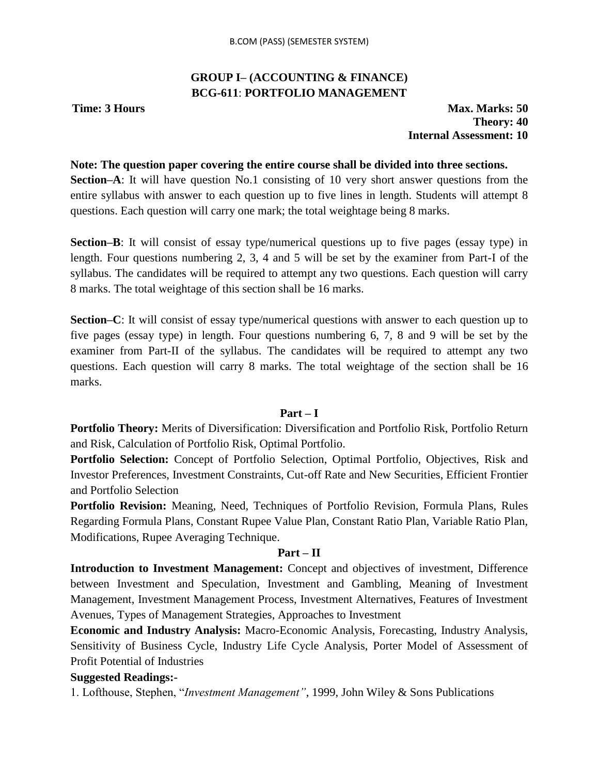# **GROUP I– (ACCOUNTING & FINANCE) BCG-611**: **PORTFOLIO MANAGEMENT**

**Time: 3 Hours Max. Marks: 50 Theory: 40 Internal Assessment: 10**

### **Note: The question paper covering the entire course shall be divided into three sections.**

**Section–A**: It will have question No.1 consisting of 10 very short answer questions from the entire syllabus with answer to each question up to five lines in length. Students will attempt 8 questions. Each question will carry one mark; the total weightage being 8 marks.

**Section–B**: It will consist of essay type/numerical questions up to five pages (essay type) in length. Four questions numbering 2, 3, 4 and 5 will be set by the examiner from Part-I of the syllabus. The candidates will be required to attempt any two questions. Each question will carry 8 marks. The total weightage of this section shall be 16 marks.

**Section–C**: It will consist of essay type/numerical questions with answer to each question up to five pages (essay type) in length. Four questions numbering 6, 7, 8 and 9 will be set by the examiner from Part-II of the syllabus. The candidates will be required to attempt any two questions. Each question will carry 8 marks. The total weightage of the section shall be 16 marks.

#### **Part – I**

**Portfolio Theory:** Merits of Diversification: Diversification and Portfolio Risk, Portfolio Return and Risk, Calculation of Portfolio Risk, Optimal Portfolio.

**Portfolio Selection:** Concept of Portfolio Selection, Optimal Portfolio, Objectives, Risk and Investor Preferences, Investment Constraints, Cut-off Rate and New Securities, Efficient Frontier and Portfolio Selection

**Portfolio Revision:** Meaning, Need, Techniques of Portfolio Revision, Formula Plans, Rules Regarding Formula Plans, Constant Rupee Value Plan, Constant Ratio Plan, Variable Ratio Plan, Modifications, Rupee Averaging Technique.

#### **Part – II**

**Introduction to Investment Management:** Concept and objectives of investment, Difference between Investment and Speculation, Investment and Gambling, Meaning of Investment Management, Investment Management Process, Investment Alternatives, Features of Investment Avenues, Types of Management Strategies, Approaches to Investment

**Economic and Industry Analysis:** Macro-Economic Analysis, Forecasting, Industry Analysis, Sensitivity of Business Cycle, Industry Life Cycle Analysis, Porter Model of Assessment of Profit Potential of Industries

# **Suggested Readings:-**

1. Lofthouse, Stephen, "*Investment Management"*, 1999, John Wiley & Sons Publications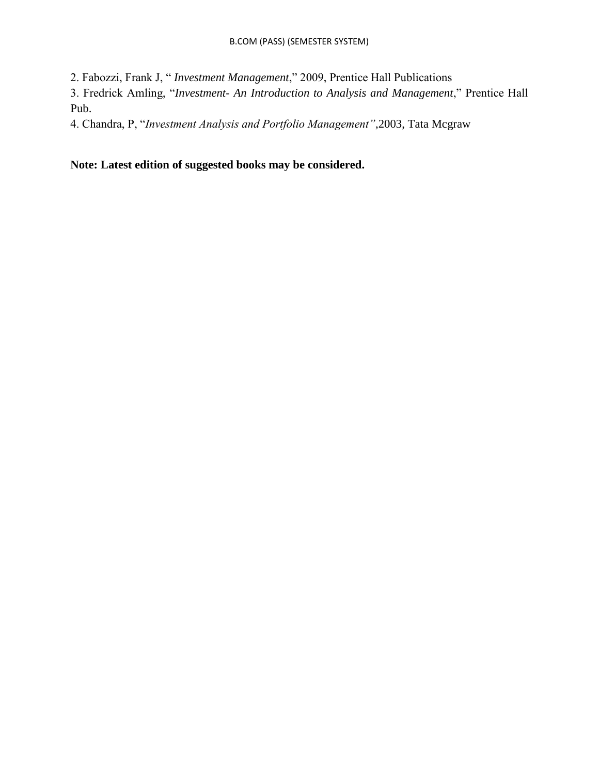2. Fabozzi, Frank J, " *Investment Management*," 2009, Prentice Hall Publications

3. Fredrick Amling, "*Investment- An Introduction to Analysis and Management*," Prentice Hall Pub.

4. Chandra, P, "*Investment Analysis and Portfolio Management"*,2003, Tata Mcgraw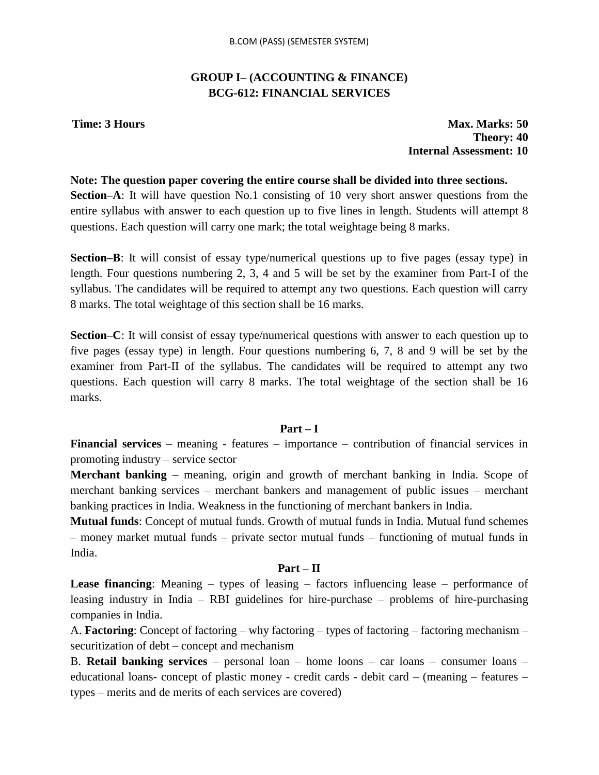# **GROUP I– (ACCOUNTING & FINANCE) BCG-612: FINANCIAL SERVICES**

**Time: 3 Hours Max. Marks: 50 Theory: 40 Internal Assessment: 10**

### **Note: The question paper covering the entire course shall be divided into three sections.**

**Section–A**: It will have question No.1 consisting of 10 very short answer questions from the entire syllabus with answer to each question up to five lines in length. Students will attempt 8 questions. Each question will carry one mark; the total weightage being 8 marks.

**Section–B**: It will consist of essay type/numerical questions up to five pages (essay type) in length. Four questions numbering 2, 3, 4 and 5 will be set by the examiner from Part-I of the syllabus. The candidates will be required to attempt any two questions. Each question will carry 8 marks. The total weightage of this section shall be 16 marks.

**Section–C**: It will consist of essay type/numerical questions with answer to each question up to five pages (essay type) in length. Four questions numbering 6, 7, 8 and 9 will be set by the examiner from Part-II of the syllabus. The candidates will be required to attempt any two questions. Each question will carry 8 marks. The total weightage of the section shall be 16 marks.

# **Part – I**

**Financial services** – meaning - features – importance – contribution of financial services in promoting industry – service sector

**Merchant banking** – meaning, origin and growth of merchant banking in India. Scope of merchant banking services – merchant bankers and management of public issues – merchant banking practices in India. Weakness in the functioning of merchant bankers in India.

**Mutual funds**: Concept of mutual funds. Growth of mutual funds in India. Mutual fund schemes – money market mutual funds – private sector mutual funds – functioning of mutual funds in India.

# **Part – II**

**Lease financing**: Meaning – types of leasing – factors influencing lease – performance of leasing industry in India – RBI guidelines for hire-purchase – problems of hire-purchasing companies in India.

A. **Factoring**: Concept of factoring – why factoring – types of factoring – factoring mechanism – securitization of debt – concept and mechanism

B. **Retail banking services** – personal loan – home loons – car loans – consumer loans – educational loans- concept of plastic money - credit cards - debit card – (meaning – features – types – merits and de merits of each services are covered)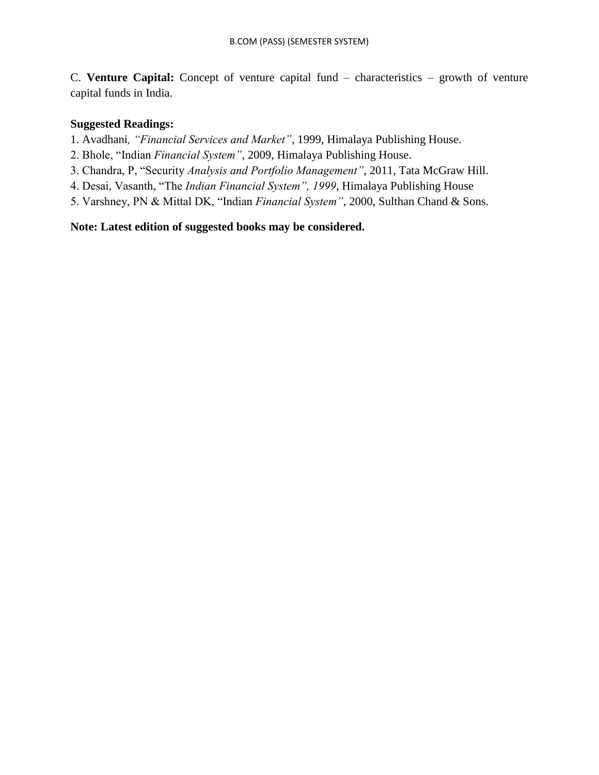C. **Venture Capital:** Concept of venture capital fund – characteristics – growth of venture capital funds in India.

# **Suggested Readings:**

1. Avadhani*, "Financial Services and Market"*, 1999, Himalaya Publishing House.

- 2. Bhole, "Indian *Financial System"*, 2009, Himalaya Publishing House.
- 3. Chandra, P, "Security *Analysis and Portfolio Management"*, 2011, Tata McGraw Hill.
- 4. Desai, Vasanth, "The *Indian Financial System", 1999*, Himalaya Publishing House
- 5. Varshney, PN & Mittal DK, "Indian *Financial System"*, 2000, Sulthan Chand & Sons.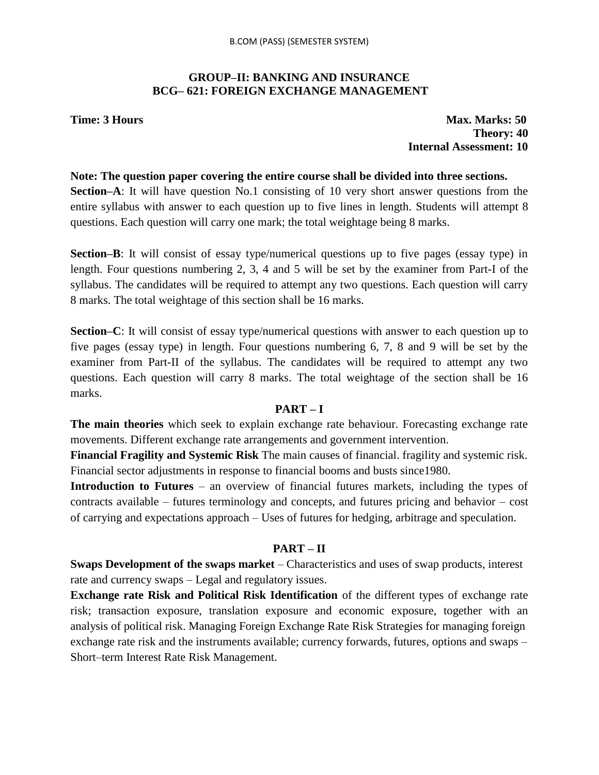# **GROUP–II: BANKING AND INSURANCE BCG– 621: FOREIGN EXCHANGE MANAGEMENT**

**Time: 3 Hours Max. Marks: 50 Theory: 40 Internal Assessment: 10**

#### **Note: The question paper covering the entire course shall be divided into three sections.**

**Section–A**: It will have question No.1 consisting of 10 very short answer questions from the entire syllabus with answer to each question up to five lines in length. Students will attempt 8 questions. Each question will carry one mark; the total weightage being 8 marks.

**Section–B**: It will consist of essay type/numerical questions up to five pages (essay type) in length. Four questions numbering 2, 3, 4 and 5 will be set by the examiner from Part-I of the syllabus. The candidates will be required to attempt any two questions. Each question will carry 8 marks. The total weightage of this section shall be 16 marks.

**Section–C**: It will consist of essay type/numerical questions with answer to each question up to five pages (essay type) in length. Four questions numbering 6, 7, 8 and 9 will be set by the examiner from Part-II of the syllabus. The candidates will be required to attempt any two questions. Each question will carry 8 marks. The total weightage of the section shall be 16 marks.

# **PART – I**

**The main theories** which seek to explain exchange rate behaviour. Forecasting exchange rate movements. Different exchange rate arrangements and government intervention.

**Financial Fragility and Systemic Risk** The main causes of financial. fragility and systemic risk. Financial sector adjustments in response to financial booms and busts since1980.

**Introduction to Futures** – an overview of financial futures markets, including the types of contracts available – futures terminology and concepts, and futures pricing and behavior – cost of carrying and expectations approach – Uses of futures for hedging, arbitrage and speculation.

# **PART – II**

**Swaps Development of the swaps market** – Characteristics and uses of swap products, interest rate and currency swaps – Legal and regulatory issues.

**Exchange rate Risk and Political Risk Identification** of the different types of exchange rate risk; transaction exposure, translation exposure and economic exposure, together with an analysis of political risk. Managing Foreign Exchange Rate Risk Strategies for managing foreign exchange rate risk and the instruments available; currency forwards, futures, options and swaps – Short–term Interest Rate Risk Management.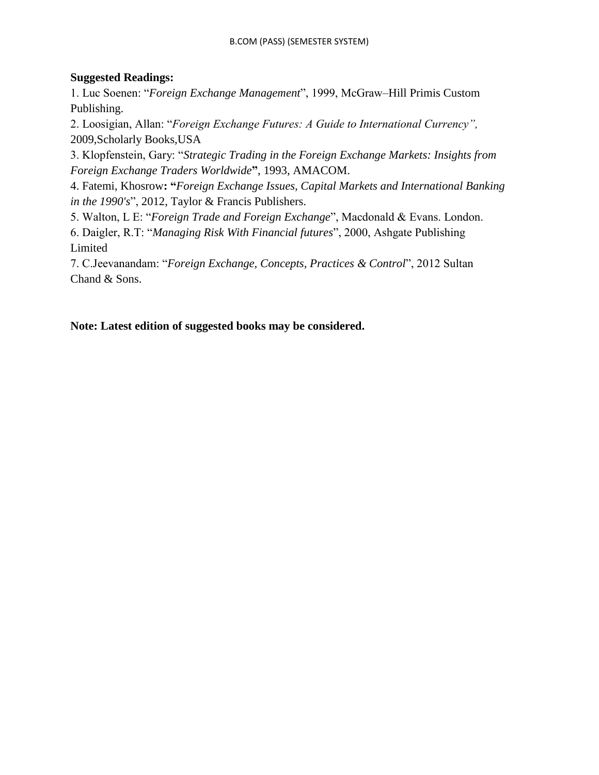# **Suggested Readings:**

1. Luc Soenen: "*Foreign Exchange Management*", 1999, McGraw–Hill Primis Custom Publishing.

2. Loosigian, Allan: "*Foreign Exchange Futures: A Guide to International Currency",* 2009,Scholarly Books,USA

3. Klopfenstein, Gary: "*Strategic Trading in the Foreign Exchange Markets: Insights from Foreign Exchange Traders Worldwide***"**, 1993, AMACOM.

4. Fatemi, Khosrow**: "***Foreign Exchange Issues, Capital Markets and International Banking in the 1990's*", 2012, Taylor & Francis Publishers.

5. Walton, L E: "*Foreign Trade and Foreign Exchange*", Macdonald & Evans. London.

6. Daigler, R.T: "*Managing Risk With Financial futures*", 2000, Ashgate Publishing Limited

7. C.Jeevanandam: "*Foreign Exchange, Concepts, Practices & Control*", 2012 Sultan Chand & Sons.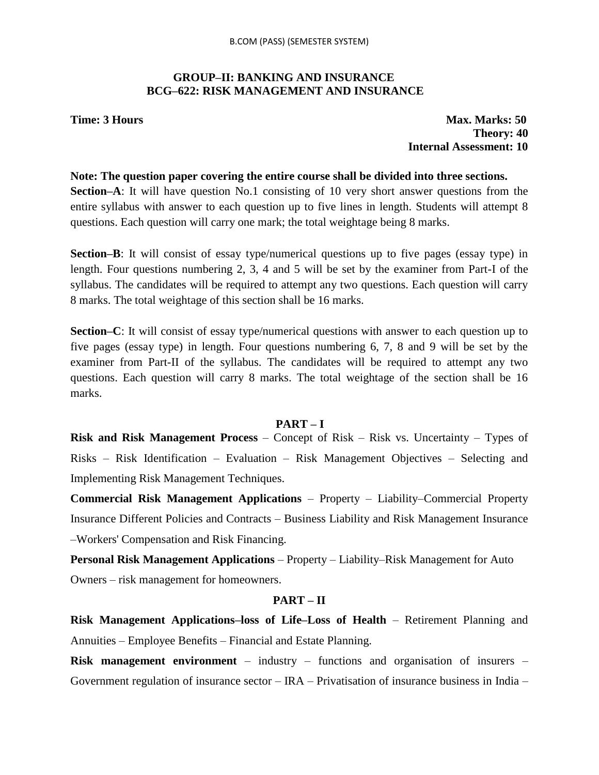# **GROUP–II: BANKING AND INSURANCE BCG–622: RISK MANAGEMENT AND INSURANCE**

**Time: 3 Hours Max. Marks: 50 Theory: 40 Internal Assessment: 10**

#### **Note: The question paper covering the entire course shall be divided into three sections.**

**Section–A**: It will have question No.1 consisting of 10 very short answer questions from the entire syllabus with answer to each question up to five lines in length. Students will attempt 8 questions. Each question will carry one mark; the total weightage being 8 marks.

**Section–B**: It will consist of essay type/numerical questions up to five pages (essay type) in length. Four questions numbering 2, 3, 4 and 5 will be set by the examiner from Part-I of the syllabus. The candidates will be required to attempt any two questions. Each question will carry 8 marks. The total weightage of this section shall be 16 marks.

**Section–C**: It will consist of essay type/numerical questions with answer to each question up to five pages (essay type) in length. Four questions numbering 6, 7, 8 and 9 will be set by the examiner from Part-II of the syllabus. The candidates will be required to attempt any two questions. Each question will carry 8 marks. The total weightage of the section shall be 16 marks.

#### **PART – I**

**Risk and Risk Management Process** – Concept of Risk – Risk vs. Uncertainty – Types of Risks – Risk Identification – Evaluation – Risk Management Objectives – Selecting and Implementing Risk Management Techniques.

**Commercial Risk Management Applications** – Property – Liability–Commercial Property Insurance Different Policies and Contracts – Business Liability and Risk Management Insurance –Workers' Compensation and Risk Financing.

**Personal Risk Management Applications** – Property – Liability–Risk Management for Auto Owners – risk management for homeowners.

#### **PART – II**

**Risk Management Applications–loss of Life–Loss of Health** – Retirement Planning and Annuities – Employee Benefits – Financial and Estate Planning.

**Risk management environment** – industry – functions and organisation of insurers – Government regulation of insurance sector  $-$  IRA  $-$  Privatisation of insurance business in India  $-$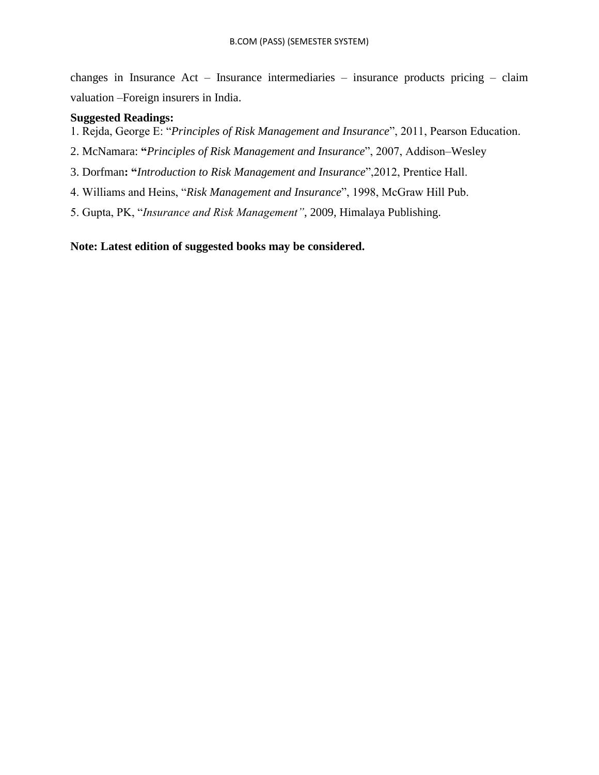changes in Insurance Act – Insurance intermediaries – insurance products pricing – claim valuation –Foreign insurers in India.

### **Suggested Readings:**

- 1. Rejda, George E: "*Principles of Risk Management and Insurance*", 2011, Pearson Education.
- 2. McNamara: **"***Principles of Risk Management and Insurance*", 2007, Addison–Wesley
- 3. Dorfman**: "***Introduction to Risk Management and Insurance*",2012, Prentice Hall.
- 4. Williams and Heins, "*Risk Management and Insurance*", 1998, McGraw Hill Pub.
- 5. Gupta, PK, "*Insurance and Risk Management"*, 2009, Himalaya Publishing.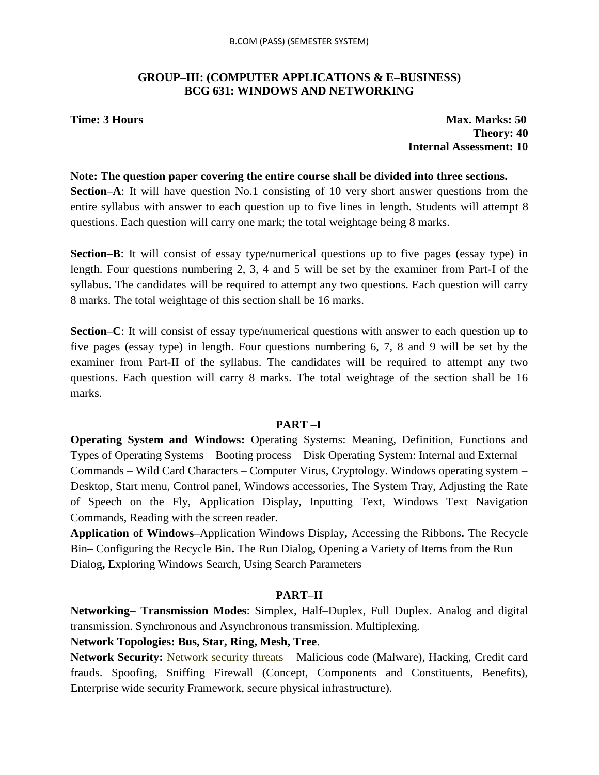# **GROUP–III: (COMPUTER APPLICATIONS & E–BUSINESS) BCG 631: WINDOWS AND NETWORKING**

**Time: 3 Hours Max. Marks: 50 Theory: 40 Internal Assessment: 10**

#### **Note: The question paper covering the entire course shall be divided into three sections.**

**Section–A**: It will have question No.1 consisting of 10 very short answer questions from the entire syllabus with answer to each question up to five lines in length. Students will attempt 8 questions. Each question will carry one mark; the total weightage being 8 marks.

**Section–B**: It will consist of essay type/numerical questions up to five pages (essay type) in length. Four questions numbering 2, 3, 4 and 5 will be set by the examiner from Part-I of the syllabus. The candidates will be required to attempt any two questions. Each question will carry 8 marks. The total weightage of this section shall be 16 marks.

**Section–C**: It will consist of essay type/numerical questions with answer to each question up to five pages (essay type) in length. Four questions numbering 6, 7, 8 and 9 will be set by the examiner from Part-II of the syllabus. The candidates will be required to attempt any two questions. Each question will carry 8 marks. The total weightage of the section shall be 16 marks.

#### **PART –I**

**Operating System and Windows:** Operating Systems: Meaning, Definition, Functions and Types of Operating Systems – Booting process – Disk Operating System: Internal and External Commands – Wild Card Characters – Computer Virus, Cryptology. Windows operating system – Desktop, Start menu, Control panel, Windows accessories, The System Tray, Adjusting the Rate of Speech on the Fly, Application Display, Inputting Text, Windows Text Navigation Commands, Reading with the screen reader.

**Application of Windows–**Application Windows Display**,** Accessing the Ribbons**.** The Recycle Bin**–** Configuring the Recycle Bin**.** The Run Dialog, Opening a Variety of Items from the Run Dialog**,** Exploring Windows Search, Using Search Parameters

# **PART–II**

**Networking– Transmission Modes**: Simplex, Half–Duplex, Full Duplex. Analog and digital transmission. Synchronous and Asynchronous transmission. Multiplexing.

# **Network Topologies: Bus, Star, Ring, Mesh, Tree**.

**Network Security:** Network security threats – Malicious code (Malware), Hacking, Credit card frauds. Spoofing, Sniffing Firewall (Concept, Components and Constituents, Benefits), Enterprise wide security Framework, secure physical infrastructure).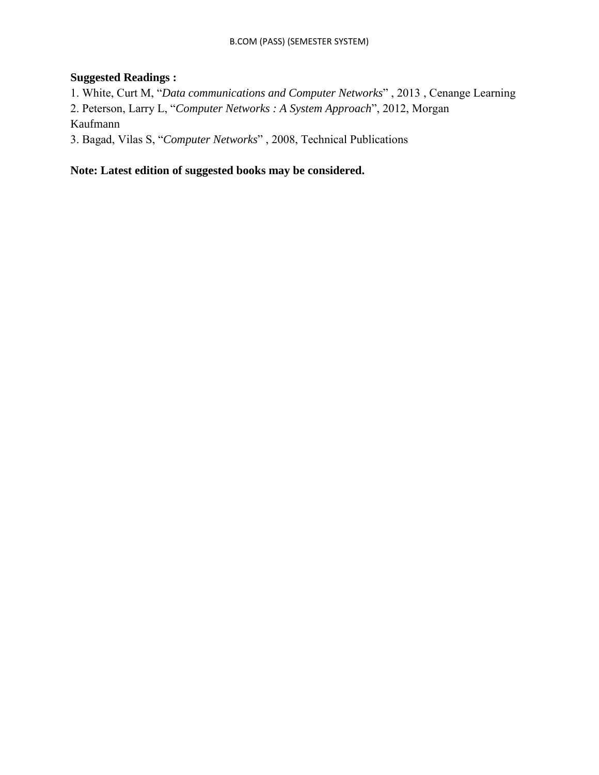# **Suggested Readings :**

1. White, Curt M, "*Data communications and Computer Networks*" , 2013 , Cenange Learning 2. Peterson, Larry L, "*Computer Networks : A System Approach*", 2012, Morgan Kaufmann

3. Bagad, Vilas S, "*Computer Networks*" , 2008, Technical Publications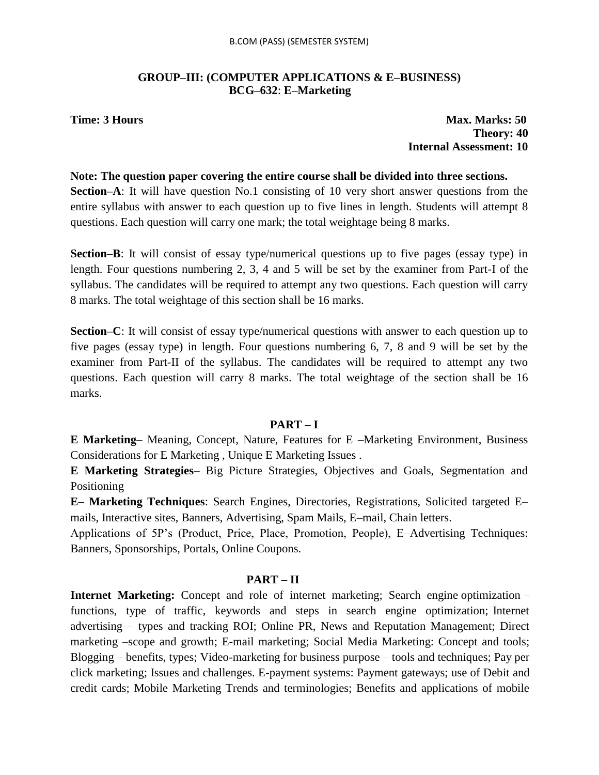# **GROUP–III: (COMPUTER APPLICATIONS & E–BUSINESS) BCG–632**: **E–Marketing**

**Time: 3 Hours Max. Marks: 50 Theory: 40 Internal Assessment: 10**

#### **Note: The question paper covering the entire course shall be divided into three sections.**

**Section–A**: It will have question No.1 consisting of 10 very short answer questions from the entire syllabus with answer to each question up to five lines in length. Students will attempt 8 questions. Each question will carry one mark; the total weightage being 8 marks.

**Section–B**: It will consist of essay type/numerical questions up to five pages (essay type) in length. Four questions numbering 2, 3, 4 and 5 will be set by the examiner from Part-I of the syllabus. The candidates will be required to attempt any two questions. Each question will carry 8 marks. The total weightage of this section shall be 16 marks.

**Section–C**: It will consist of essay type/numerical questions with answer to each question up to five pages (essay type) in length. Four questions numbering 6, 7, 8 and 9 will be set by the examiner from Part-II of the syllabus. The candidates will be required to attempt any two questions. Each question will carry 8 marks. The total weightage of the section shall be 16 marks.

# **PART – I**

**E Marketing**– Meaning, Concept, Nature, Features for E –Marketing Environment, Business Considerations for E Marketing , Unique E Marketing Issues .

**E Marketing Strategies**– Big Picture Strategies, Objectives and Goals, Segmentation and Positioning

**E– Marketing Techniques**: Search Engines, Directories, Registrations, Solicited targeted E– mails, Interactive sites, Banners, Advertising, Spam Mails, E–mail, Chain letters.

Applications of 5P"s (Product, Price, Place, Promotion, People), E–Advertising Techniques: Banners, Sponsorships, Portals, Online Coupons.

# **PART – II**

**Internet Marketing:** Concept and role of internet marketing; Search engine optimization – functions, type of traffic, keywords and steps in search engine optimization; Internet advertising – types and tracking ROI; Online PR, News and Reputation Management; Direct marketing –scope and growth; E-mail marketing; Social Media Marketing: Concept and tools; Blogging – benefits, types; Video-marketing for business purpose – tools and techniques; Pay per click marketing; Issues and challenges. E-payment systems: Payment gateways; use of Debit and credit cards; Mobile Marketing Trends and terminologies; Benefits and applications of mobile